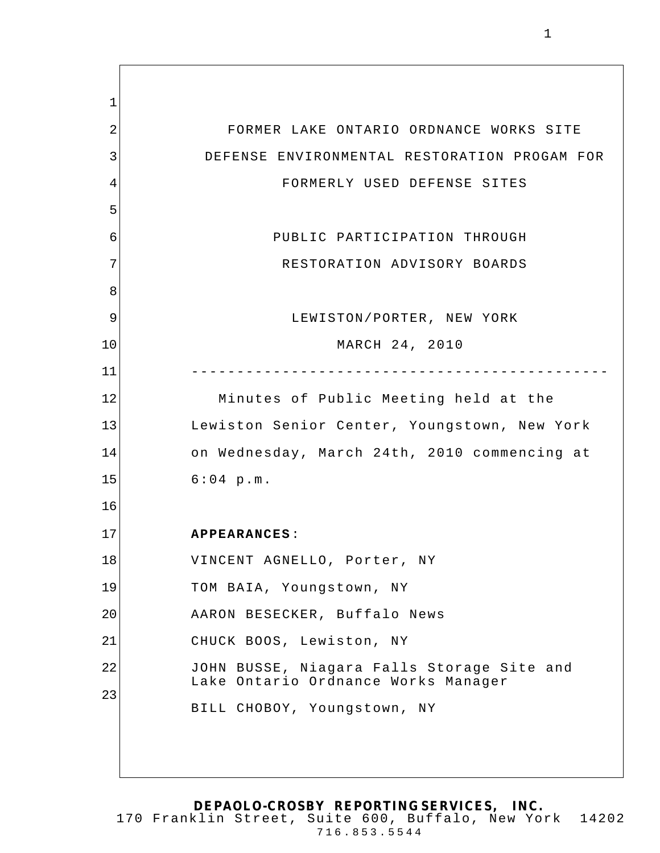1 2 3 4 5 6 7 8 9 10 11 12 13 14 15 16 17 18 19 20 21 22 23 FORMER LAKE ONTARIO ORDNANCE WORKS SITE DEFENSE ENVIRONMENTAL RESTORATION PROGAM FOR FORMERLY USED DEFENSE SITES PUBLIC PARTICIPATION THROUGH RESTORATION ADVISORY BOARDS LEWISTON/PORTER, NEW YORK MARCH 24, 2010 ---------------------------------------------- Minutes of Public Meeting held at the Lewiston Senior Center, Youngstown, New York on Wednesday, March 24th, 2010 commencing at 6:04 p.m. **APPEARANCES**: VINCENT AGNELLO, Porter, NY TOM BAIA, Youngstown, NY AARON BESECKER, Buffalo News CHUCK BOOS, Lewiston, NY JOHN BUSSE, Niagara Falls Storage Site and Lake Ontario Ordnance Works Manager BILL CHOBOY, Youngstown, NY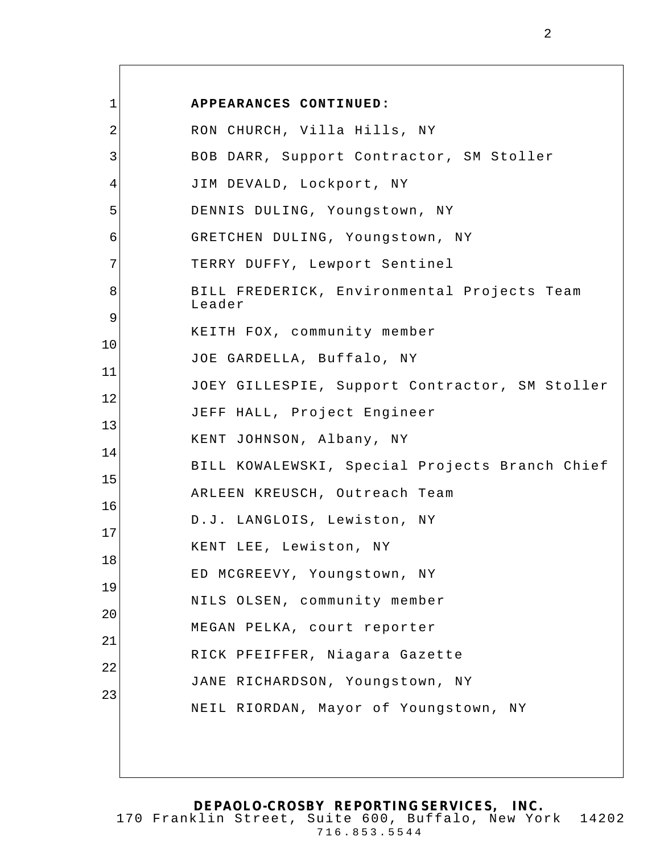| $\mathbf 1$ | APPEARANCES CONTINUED:                                |
|-------------|-------------------------------------------------------|
| 2           | RON CHURCH, Villa Hills, NY                           |
| 3           | BOB DARR, Support Contractor, SM Stoller              |
| 4           | JIM DEVALD, Lockport, NY                              |
| 5           | DENNIS DULING, Youngstown, NY                         |
|             | GRETCHEN DULING, Youngstown, NY                       |
|             | TERRY DUFFY, Lewport Sentinel                         |
|             | BILL FREDERICK, Environmental Projects Team<br>Leader |
|             |                                                       |
|             | KEITH FOX, community member                           |
|             | JOE GARDELLA, Buffalo, NY                             |
|             | JOEY GILLESPIE, Support Contractor, SM Stoller        |
|             | JEFF HALL, Project Engineer                           |
|             | KENT JOHNSON, Albany, NY                              |
|             | BILL KOWALEWSKI, Special Projects Branch Chief        |
|             | ARLEEN KREUSCH, Outreach Team                         |
|             | D.J. LANGLOIS, Lewiston, NY                           |
|             | KENT LEE, Lewiston, NY                                |
|             | ED MCGREEVY, Youngstown, NY                           |
|             | NILS OLSEN, community member                          |
|             | MEGAN PELKA, court reporter                           |
|             | RICK PFEIFFER, Niagara Gazette                        |
|             | JANE RICHARDSON, Youngstown, NY                       |
|             | NEIL RIORDAN, Mayor of Youngstown, NY                 |
|             |                                                       |
|             |                                                       |

 $\Gamma$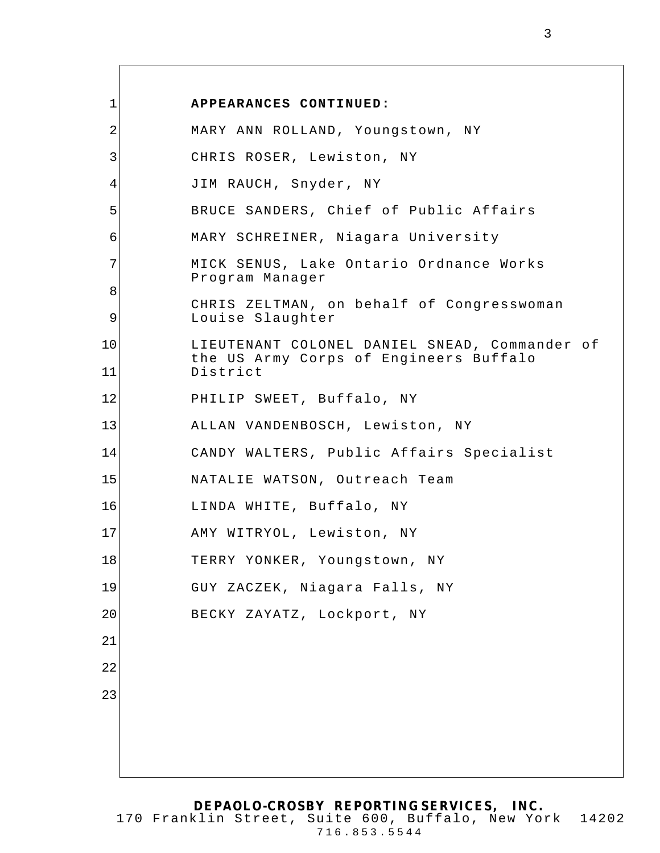| $\mathbf 1$    | APPEARANCES CONTINUED:                                                                              |
|----------------|-----------------------------------------------------------------------------------------------------|
| $\overline{a}$ | MARY ANN ROLLAND, Youngstown, NY                                                                    |
| 3              | CHRIS ROSER, Lewiston, NY                                                                           |
| 4              | JIM RAUCH, Snyder, NY                                                                               |
| 5              | BRUCE SANDERS, Chief of Public Affairs                                                              |
| 6              | MARY SCHREINER, Niagara University                                                                  |
| 7              | MICK SENUS, Lake Ontario Ordnance Works<br>Program Manager                                          |
| 8<br>9         | CHRIS ZELTMAN, on behalf of Congresswoman<br>Louise Slaughter                                       |
| 10<br>11       | LIEUTENANT COLONEL DANIEL SNEAD, Commander of<br>the US Army Corps of Engineers Buffalo<br>District |
| 12             | PHILIP SWEET, Buffalo, NY                                                                           |
| 13             | ALLAN VANDENBOSCH, Lewiston, NY                                                                     |
| 14             | CANDY WALTERS, Public Affairs Specialist                                                            |
| 15             | NATALIE WATSON, Outreach Team                                                                       |
| 16             | LINDA WHITE, Buffalo, NY                                                                            |
| 17             | AMY WITRYOL, Lewiston, NY                                                                           |
| 18             | TERRY YONKER, Youngstown, NY                                                                        |
| 19             | GUY ZACZEK, Niagara Falls, NY                                                                       |
| 20             | BECKY ZAYATZ, Lockport, NY                                                                          |
| 21             |                                                                                                     |
| 22             |                                                                                                     |
| 23             |                                                                                                     |
|                |                                                                                                     |
|                |                                                                                                     |
|                |                                                                                                     |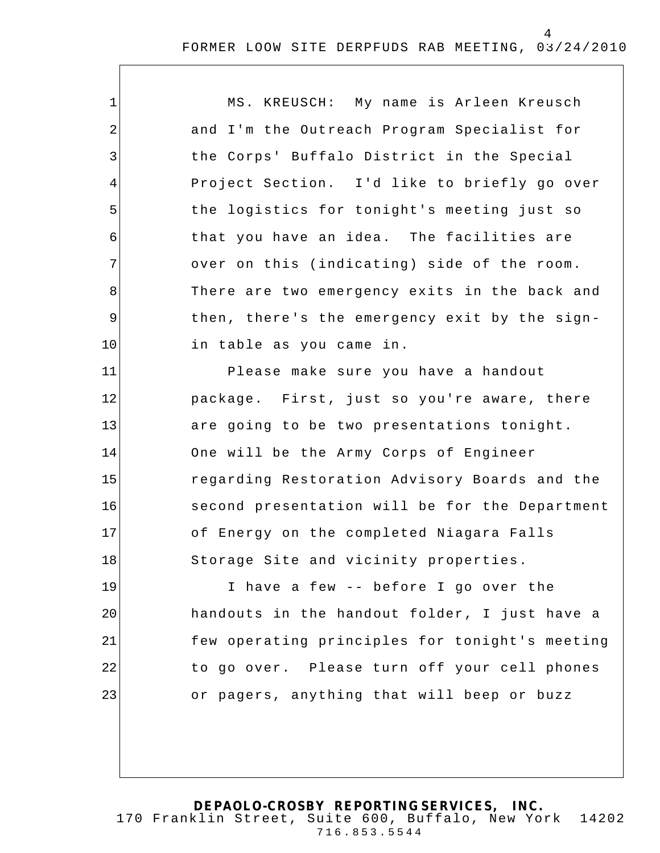| 1  | MS. KREUSCH: My name is Arleen Kreusch         |
|----|------------------------------------------------|
| 2  | and I'm the Outreach Program Specialist for    |
| 3  | the Corps' Buffalo District in the Special     |
| 4  | Project Section. I'd like to briefly go over   |
| 5  | the logistics for tonight's meeting just so    |
| 6  | that you have an idea. The facilities are      |
| 7  | over on this (indicating) side of the room.    |
| 8  | There are two emergency exits in the back and  |
| 9  | then, there's the emergency exit by the sign-  |
| 10 | in table as you came in.                       |
| 11 | Please make sure you have a handout            |
| 12 | package. First, just so you're aware, there    |
| 13 | are going to be two presentations tonight.     |
| 14 | One will be the Army Corps of Engineer         |
| 15 | regarding Restoration Advisory Boards and the  |
| 16 | second presentation will be for the Department |
| 17 | of Energy on the completed Niagara Falls       |
| 18 | Storage Site and vicinity properties.          |
| 19 | I have a few -- before I go over the           |
| 20 | handouts in the handout folder, I just have a  |
| 21 | few operating principles for tonight's meeting |
| 22 | to go over. Please turn off your cell phones   |
| 23 | or pagers, anything that will beep or buzz     |
|    |                                                |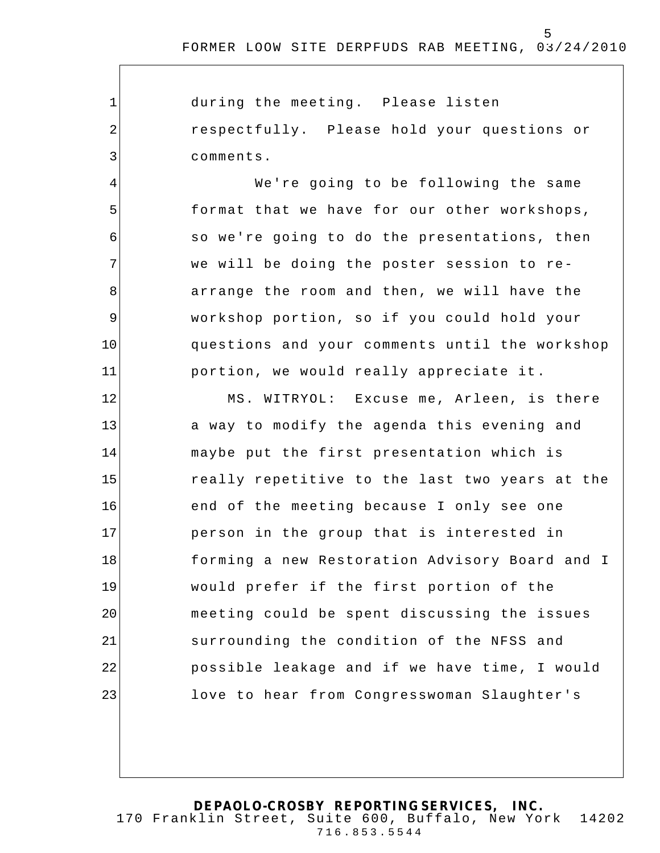5

during the meeting. Please listen respectfully. Please hold your questions or comments.

1

2

3

4

5

6

7

8

9

10

11

We're going to be following the same format that we have for our other workshops, so we're going to do the presentations, then we will be doing the poster session to rearrange the room and then, we will have the workshop portion, so if you could hold your questions and your comments until the workshop portion, we would really appreciate it .

12 13 14 15 16 17 18 19 20 21 22 23 MS. WITRYOL: Excuse me, Arleen, is there a way to modify the agenda this evening and maybe put the first presentation which is really repetitive to the last two years at the end of the meeting because I only see one person in the group that is interested in forming a new Restoration Advisory Board and I would prefer if the first portion of the meeting could be spent discussing the issues surrounding the condition of the NFSS and possible leakage and if we have time, I would love to hear from Congresswoman Slaughter's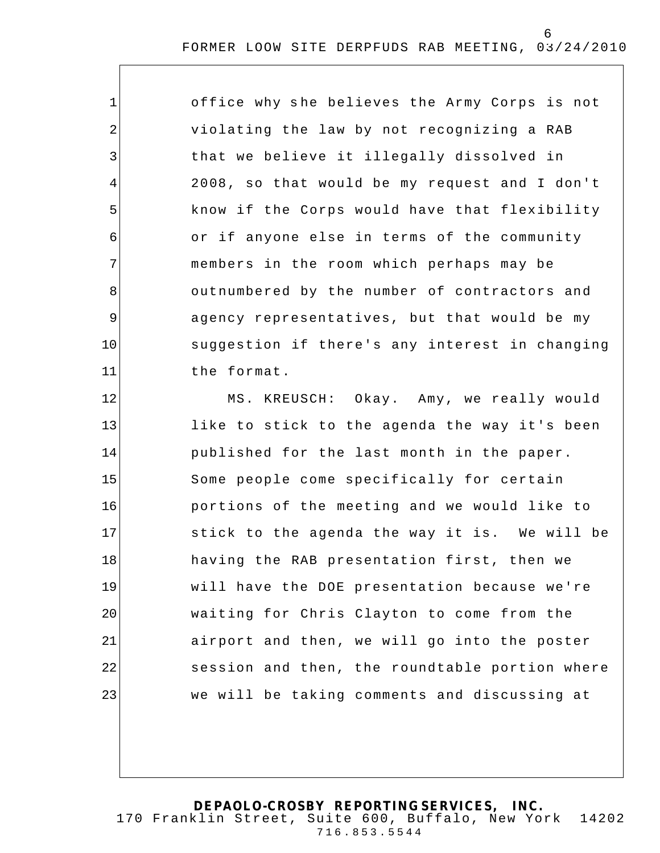office why s he believes the Army Corps is not violating the law by not recognizing a RAB that we believe it illegally dissolved in 2008, so that would be my request and I don't know if the Corps would have that flexibility or if anyone else in terms of the community members in the room which perhaps may be outnumbered by the number of contractors and agency representatives, but that would be my suggestion if there's any interest in changing the format.

1

2

3

4

5

6

7

8

9

10

11

12 13 14 15 16 17 18 19 20 21 22 23 MS. KREUSCH: Okay. Amy, we really would like to stick to the agenda the way it's been published for the last month in the paper. Some people come specifically for certain portions of the meeting and we would like to stick to the agenda the way it is. We will be having the RAB presentation first, then we will have the DOE presentation because we're waiting for Chris Clayton to come from the airport and then, we will go into the poster session and then, the roundtable portion where we will be taking comments and discussing at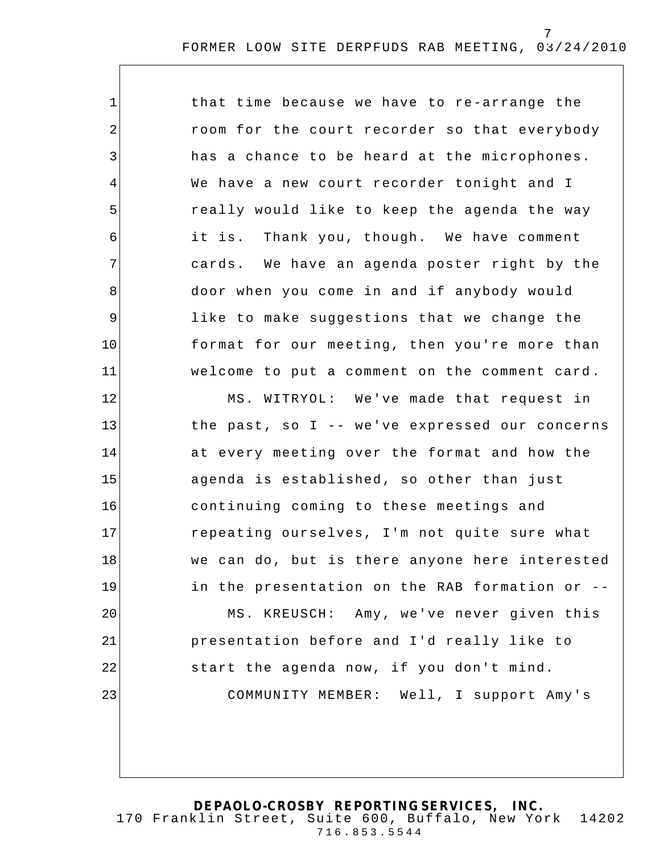| $\mathbf{1}$   | that time because we have to re-arrange the    |
|----------------|------------------------------------------------|
| $\overline{2}$ | room for the court recorder so that everybody  |
| 3              | has a chance to be heard at the microphones.   |
| 4              | We have a new court recorder tonight and I     |
| 5              | really would like to keep the agenda the way   |
| 6              | it is. Thank you, though. We have comment      |
| 7              | cards. We have an agenda poster right by the   |
| 8              | door when you come in and if anybody would     |
| $\mathsf 9$    | like to make suggestions that we change the    |
| 10             | format for our meeting, then you're more than  |
| 11             | welcome to put a comment on the comment card.  |
| 12             | MS. WITRYOL: We've made that request in        |
| 13             | the past, so I -- we've expressed our concerns |
| 14             | at every meeting over the format and how the   |
| 15             | agenda is established, so other than just      |
| 16             | continuing coming to these meetings and        |
| 17             | repeating ourselves, I'm not quite sure what   |
| 18             | we can do, but is there anyone here interested |
| 19             | in the presentation on the RAB formation or -- |
| 20             | MS. KREUSCH: Amy, we've never given this       |
| 21             | presentation before and I'd really like to     |
| 22             | start the agenda now, if you don't mind.       |
| 23             | COMMUNITY MEMBER: Well, I support Amy's        |
|                |                                                |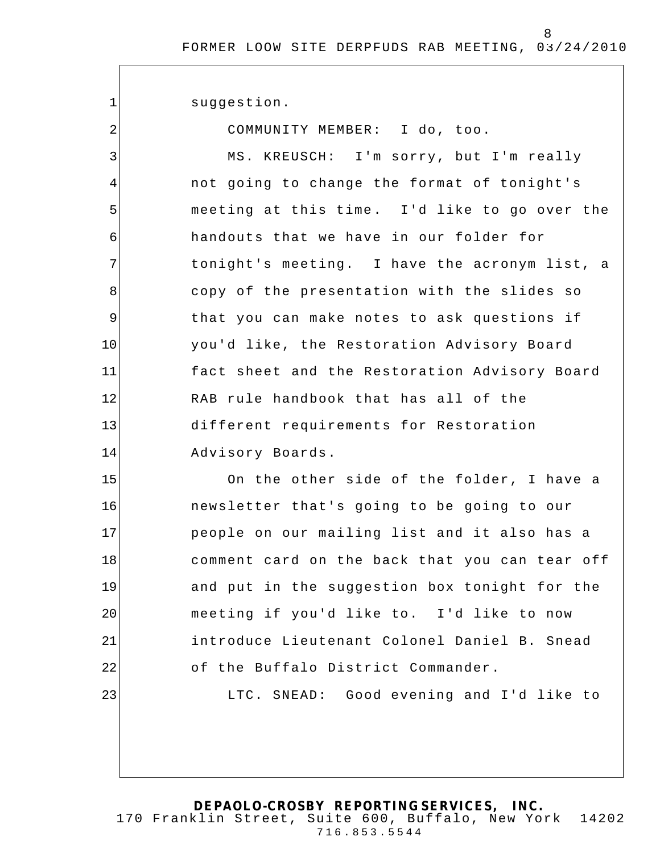suggestion.

1

2

COMMUNITY MEMBER: I do, too.

3 4 5 6 7 8 9 10 11 12 13 14 MS. KREUSCH: I'm sorry, but I'm really not going to change the format of tonight's meeting at this time . I'd like to go over the handouts that we have in our folder for tonight's meeting. I have the acronym list, a copy of the presentation with the slides so that you can make notes to ask questions if you'd like, the Restoration Advisory Board fact sheet and the Restoration Advisory Board RAB rule handbook that has all of the different requirements for Restoration Advisory Boards.

15 16 17 18 19 20 21 22 23 On the other side of the folder, I have a newsletter that's going to be going to our people on our mailing list and it also has a comment card on the back that you can tear off and put in the suggestion box tonight for the meeting if you'd like to. I'd like to now introduce Lieutenant Colonel Daniel B. Snead of the Buffalo District Commander. LTC. SNEAD: Good evening and I'd like to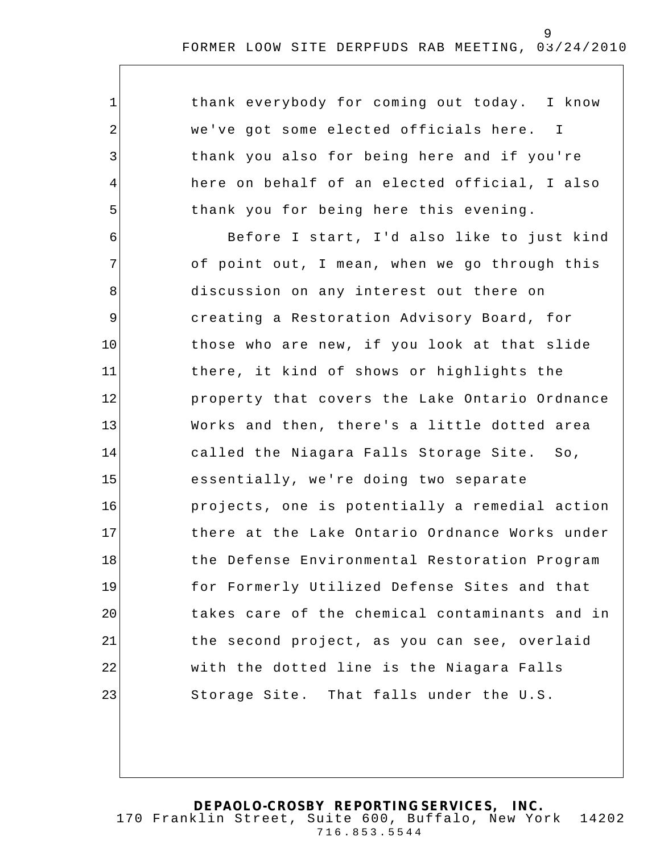| $\mathbf{1}$   | thank everybody for coming out today. I know   |
|----------------|------------------------------------------------|
| 2              | we've got some elected officials here. I       |
| 3              | thank you also for being here and if you're    |
| $\overline{4}$ | here on behalf of an elected official, I also  |
| 5              | thank you for being here this evening.         |
| 6              | Before I start, I'd also like to just kind     |
| 7              | of point out, I mean, when we go through this  |
| 8              | discussion on any interest out there on        |
| 9              | creating a Restoration Advisory Board, for     |
| 10             | those who are new, if you look at that slide   |
| 11             | there, it kind of shows or highlights the      |
| 12             | property that covers the Lake Ontario Ordnance |
| 13             | Works and then, there's a little dotted area   |
| 14             | called the Niagara Falls Storage Site. So,     |
| 15             | essentially, we're doing two separate          |
| 16             | projects, one is potentially a remedial action |
| 17             | there at the Lake Ontario Ordnance Works under |
| 18             | the Defense Environmental Restoration Program  |
| 19             | for Formerly Utilized Defense Sites and that   |
| 20             | takes care of the chemical contaminants and in |
| 21             | the second project, as you can see, overlaid   |
| 22             | with the dotted line is the Niagara Falls      |
| 23             | Storage Site. That falls under the U.S.        |
|                |                                                |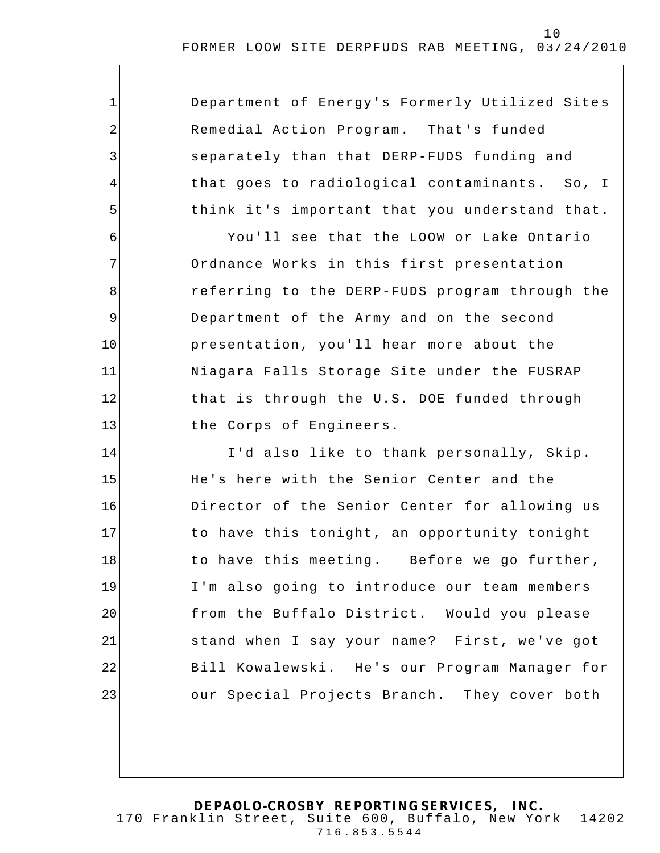| $\mathbf{1}$   | Department of Energy's Formerly Utilized Sites |
|----------------|------------------------------------------------|
| $\overline{2}$ | Remedial Action Program. That's funded         |
| 3              | separately than that DERP-FUDS funding and     |
| 4              | that goes to radiological contaminants. So, I  |
| 5              | think it's important that you understand that. |
| 6              | You'll see that the LOOW or Lake Ontario       |
| 7              | Ordnance Works in this first presentation      |
| 8              | referring to the DERP-FUDS program through the |
| 9              | Department of the Army and on the second       |
| 10             | presentation, you'll hear more about the       |
| 11             | Niagara Falls Storage Site under the FUSRAP    |
| 12             | that is through the U.S. DOE funded through    |
| 13             | the Corps of Engineers.                        |
| 14             | I'd also like to thank personally, Skip.       |
| 15             | He's here with the Senior Center and the       |
| 16             | Director of the Senior Center for allowing us  |
| 17             | to have this tonight, an opportunity tonight   |
| 18             | to have this meeting. Before we go further,    |
| 19             | I'm also going to introduce our team members   |
| 20             | from the Buffalo District. Would you please    |
| 21             | stand when I say your name? First, we've got   |
| 22             | Bill Kowalewski. He's our Program Manager for  |
| 23             | our Special Projects Branch. They cover both   |
|                |                                                |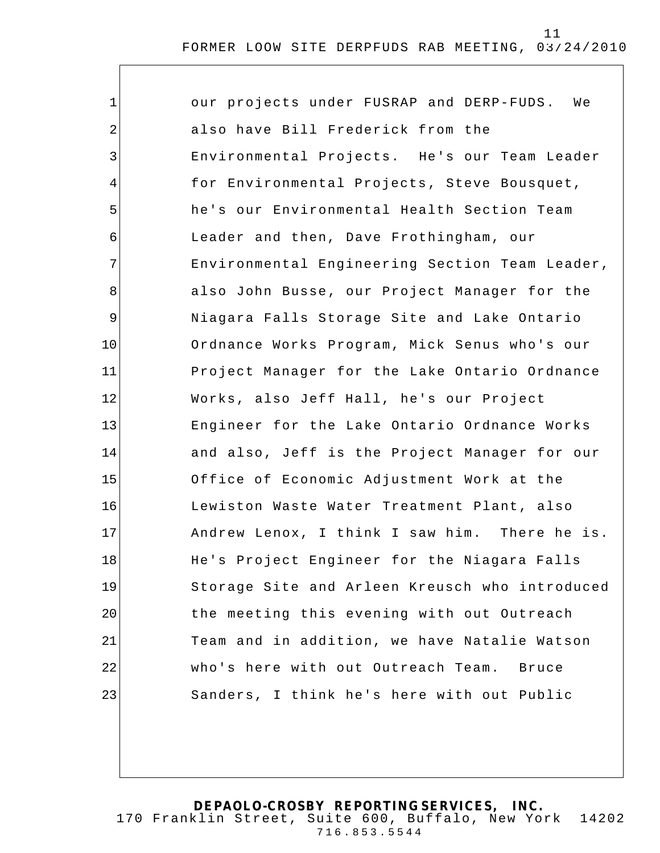| $\mathbf{1}$ | our projects under FUSRAP and DERP-FUDS.<br>We |
|--------------|------------------------------------------------|
| 2            | also have Bill Frederick from the              |
| 3            | Environmental Projects. He's our Team Leader   |
| 4            | for Environmental Projects, Steve Bousquet,    |
| 5            | he's our Environmental Health Section Team     |
| 6            | Leader and then, Dave Frothingham, our         |
| 7            | Environmental Engineering Section Team Leader, |
| 8            | also John Busse, our Project Manager for the   |
| $\mathsf 9$  | Niagara Falls Storage Site and Lake Ontario    |
| 10           | Ordnance Works Program, Mick Senus who's our   |
| 11           | Project Manager for the Lake Ontario Ordnance  |
| 12           | Works, also Jeff Hall, he's our Project        |
| 13           | Engineer for the Lake Ontario Ordnance Works   |
| 14           | and also, Jeff is the Project Manager for our  |
| 15           | Office of Economic Adjustment Work at the      |
| 16           | Lewiston Waste Water Treatment Plant, also     |
| 17           | Andrew Lenox, I think I saw him. There he is.  |
| 18           | He's Project Engineer for the Niagara Falls    |
| 19           | Storage Site and Arleen Kreusch who introduced |
| 20           | the meeting this evening with out Outreach     |
| 21           | Team and in addition, we have Natalie Watson   |
| 22           | who's here with out Outreach Team.<br>Bruce    |
| 23           | Sanders, I think he's here with out Public     |
|              |                                                |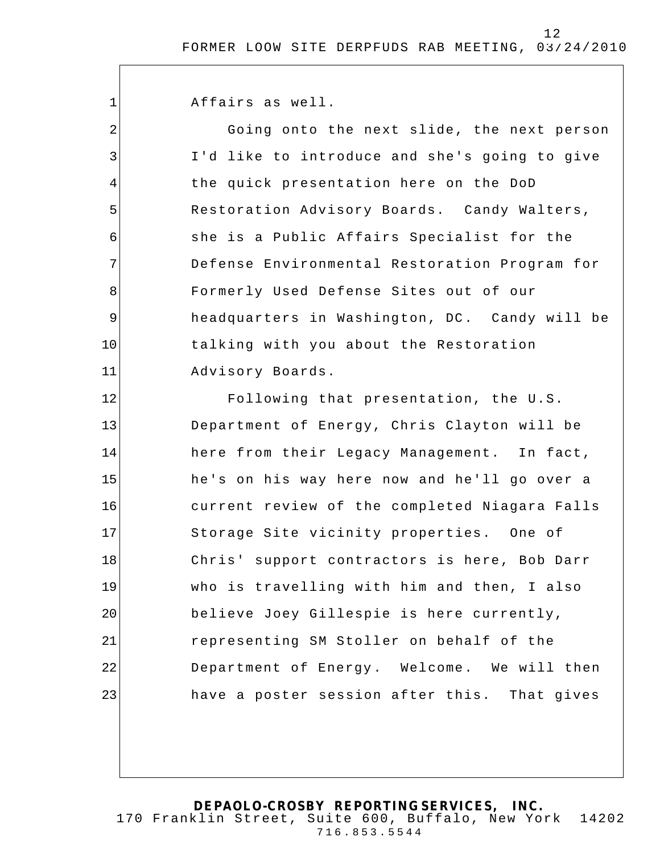Affairs as well.

1

2

3

4

5

6

7

8

9

10

11

Going onto the next slide, the next person I'd like to introduce and she's going to give the quick presentation here on the DoD Restoration Advisory Boards. Candy Walters, she is a Public Affairs Specialist for the Defense Environmental Restoration Program for Formerly Used Defense Sites out of our headquarters in Washington, DC. Candy will be talking with you about the Restoration Advisory Boards.

12 13 14 15 16 17 18 19 20 21 22 23 Following that presentation, the U.S. Department of Energy, Chris Clayton will be here from their Legacy Management. In fact, he's on his way here now and he'll go over a current review of the completed Niagara Falls Storage Site vicinity properties. One of Chris' support contractors is here, Bob Darr who is travelling with him and then, I also believe Joey Gillespie is here currently, representing SM Stoller on behalf of the Department of Energy. Welcome. We will then have a poster session after this. That gives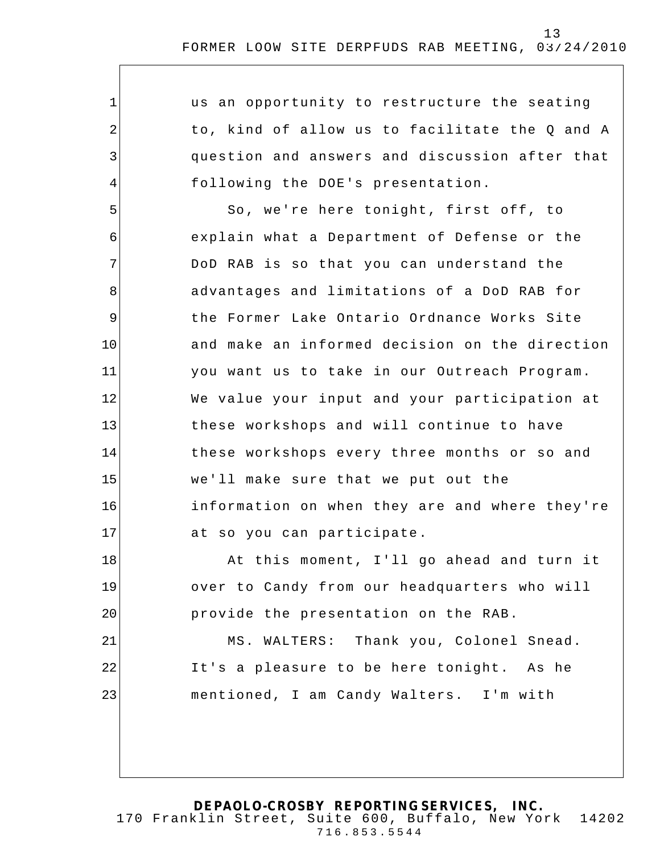| 1           | us an opportunity to restructure the seating   |
|-------------|------------------------------------------------|
| 2           | to, kind of allow us to facilitate the Q and A |
| 3           | question and answers and discussion after that |
| 4           | following the DOE's presentation.              |
| 5           | So, we're here tonight, first off, to          |
| 6           | explain what a Department of Defense or the    |
| 7           | DoD RAB is so that you can understand the      |
| 8           | advantages and limitations of a DoD RAB for    |
| $\mathsf 9$ | the Former Lake Ontario Ordnance Works Site    |
| 10          | and make an informed decision on the direction |
| 11          | you want us to take in our Outreach Program.   |
| 12          | We value your input and your participation at  |
| 13          | these workshops and will continue to have      |
| 14          | these workshops every three months or so and   |
| 15          | we'll make sure that we put out the            |
| 16          | information on when they are and where they're |
| 17          | at so you can participate.                     |
| 18          | At this moment, I'll go ahead and turn it      |
| 19          | over to Candy from our headquarters who will   |
| 20          | provide the presentation on the RAB.           |
| 21          | MS. WALTERS: Thank you, Colonel Snead.         |
| 22          | It's a pleasure to be here tonight. As he      |
| 23          | mentioned, I am Candy Walters. I'm with        |
|             |                                                |
|             |                                                |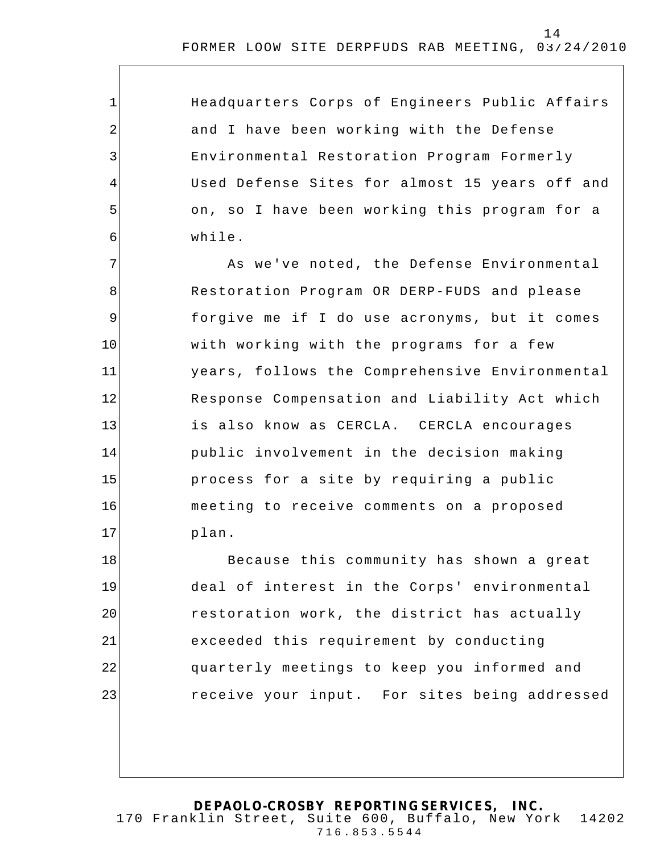| $\mathbf{1}$   | Headquarters Corps of Engineers Public Affairs |
|----------------|------------------------------------------------|
| $\overline{2}$ | and I have been working with the Defense       |
| 3              | Environmental Restoration Program Formerly     |
| 4              | Used Defense Sites for almost 15 years off and |
| 5              | on, so I have been working this program for a  |
| 6              | while.                                         |
| 7              | As we've noted, the Defense Environmental      |
| 8              | Restoration Program OR DERP-FUDS and please    |
| 9              | forgive me if I do use acronyms, but it comes  |
| 10             | with working with the programs for a few       |
| 11             | years, follows the Comprehensive Environmental |
| 12             | Response Compensation and Liability Act which  |
| 13             | is also know as CERCLA. CERCLA encourages      |
| 14             | public involvement in the decision making      |
| 15             | process for a site by requiring a public       |
| 16             | meeting to receive comments on a proposed      |
| 17             | plan.                                          |
| 18             | Because this community has shown a great       |
| 19             | deal of interest in the Corps' environmental   |
| 20             | restoration work, the district has actually    |
| 21             | exceeded this requirement by conducting        |
| 22             | quarterly meetings to keep you informed and    |
| 23             | receive your input. For sites being addressed  |
|                |                                                |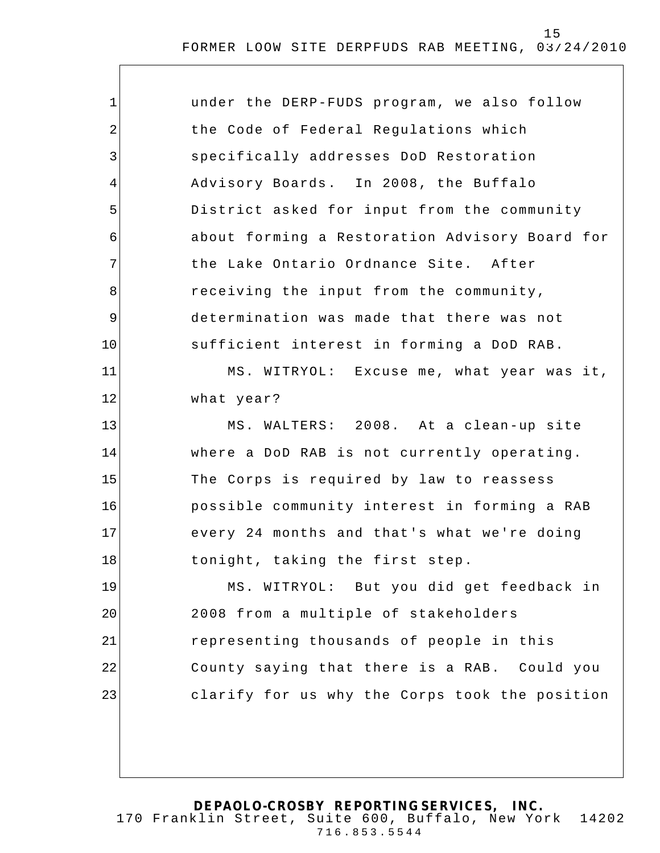| $\mathbf 1$ | under the DERP-FUDS program, we also follow    |
|-------------|------------------------------------------------|
| 2           | the Code of Federal Regulations which          |
| 3           | specifically addresses DoD Restoration         |
| 4           | Advisory Boards. In 2008, the Buffalo          |
| 5           | District asked for input from the community    |
| 6           | about forming a Restoration Advisory Board for |
| 7           | the Lake Ontario Ordnance Site. After          |
| 8           | receiving the input from the community,        |
| $\mathsf 9$ | determination was made that there was not      |
| 10          | sufficient interest in forming a DoD RAB.      |
| 11          | MS. WITRYOL: Excuse me, what year was it,      |
| 12          | what year?                                     |
| 13          | MS. WALTERS: 2008. At a clean-up site          |
| 14          | where a DoD RAB is not currently operating.    |
| 15          | The Corps is required by law to reassess       |
| 16          | possible community interest in forming a RAB   |
| 17          | every 24 months and that's what we're doing    |
| 18          | tonight, taking the first step.                |
| 19          | MS. WITRYOL: But you did get feedback in       |
| 20          | 2008 from a multiple of stakeholders           |
| 21          | representing thousands of people in this       |
| 22          | County saying that there is a RAB. Could you   |
| 23          | clarify for us why the Corps took the position |
|             |                                                |
|             |                                                |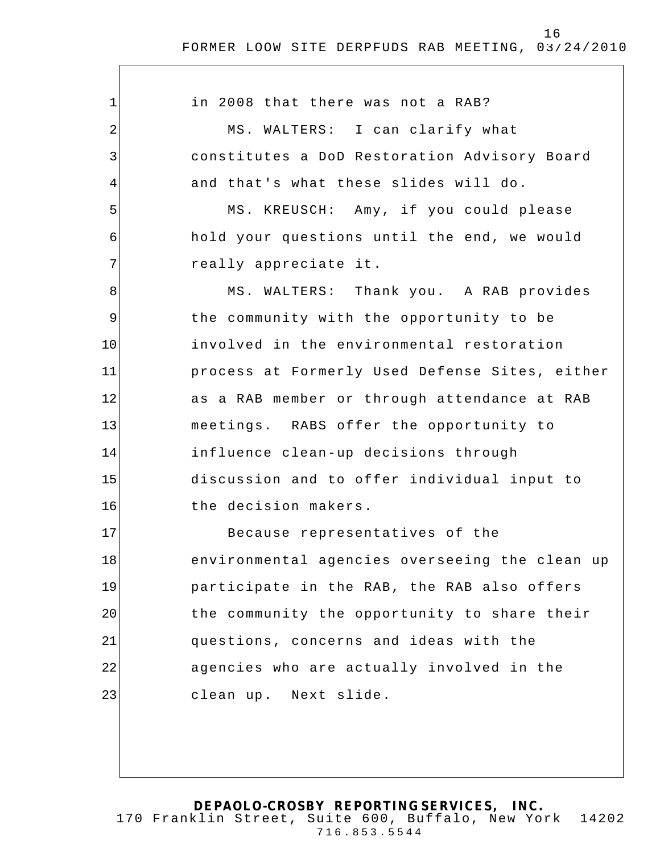$\overline{\phantom{a}}$ 

| 1           | in 2008 that there was not a RAB?              |
|-------------|------------------------------------------------|
| 2           | MS. WALTERS: I can clarify what                |
| 3           | constitutes a DoD Restoration Advisory Board   |
| 4           | and that's what these slides will do.          |
| 5           | MS. KREUSCH: Amy, if you could please          |
| 6           | hold your questions until the end, we would    |
| 7           | really appreciate it.                          |
| 8           | MS. WALTERS: Thank you. A RAB provides         |
| $\mathsf 9$ | the community with the opportunity to be       |
| 10          | involved in the environmental restoration      |
| 11          | process at Formerly Used Defense Sites, either |
| 12          | as a RAB member or through attendance at RAB   |
| 13          | meetings. RABS offer the opportunity to        |
| 14          | influence clean-up decisions through           |
| 15          | discussion and to offer individual input to    |
| 16          | the decision makers.                           |
| 17          | Because representatives of the                 |
| 18          | environmental agencies overseeing the clean up |
| 19          | participate in the RAB, the RAB also offers    |
| 20          | the community the opportunity to share their   |
| 21          | questions, concerns and ideas with the         |
| 22          | agencies who are actually involved in the      |
| 23          | clean up. Next slide.                          |
|             |                                                |
|             |                                                |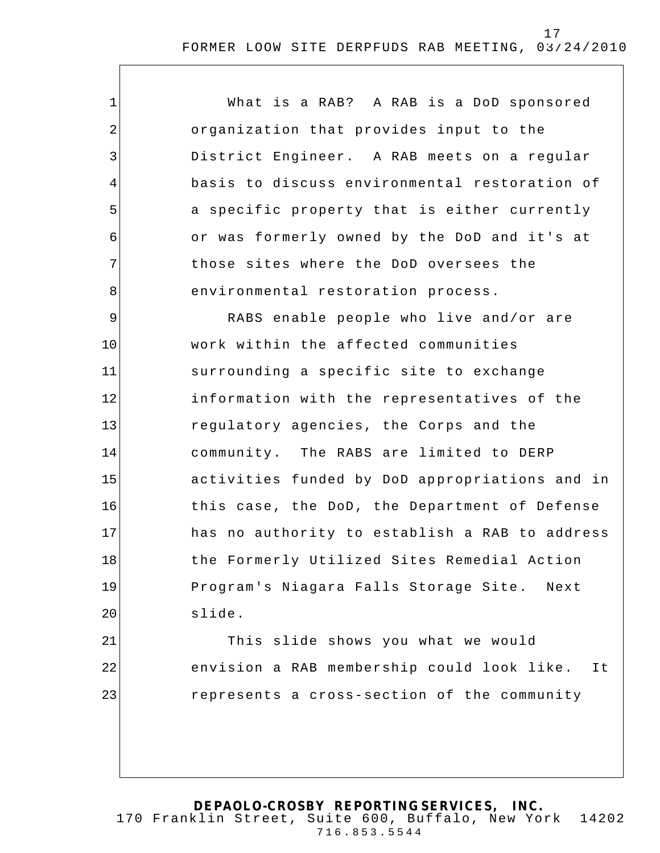| $\mathbf{1}$   | What is a RAB? A RAB is a DoD sponsored          |
|----------------|--------------------------------------------------|
| $\overline{2}$ | organization that provides input to the          |
| $\mathfrak{Z}$ | District Engineer. A RAB meets on a regular      |
| 4              | basis to discuss environmental restoration of    |
| 5              | a specific property that is either currently     |
| 6              | or was formerly owned by the DoD and it's at     |
| 7              | those sites where the DoD oversees the           |
| 8              | environmental restoration process.               |
| 9              | RABS enable people who live and/or are           |
| 10             | work within the affected communities             |
| 11             | surrounding a specific site to exchange          |
| 12             | information with the representatives of the      |
| 13             | regulatory agencies, the Corps and the           |
| 14             | community. The RABS are limited to DERP          |
| 15             | activities funded by DoD appropriations and in   |
| 16             | this case, the DoD, the Department of Defense    |
| 17             | has no authority to establish a RAB to address   |
| 18             | the Formerly Utilized Sites Remedial Action      |
| 19             | Program's Niagara Falls Storage Site. Next       |
| 20             | slide.                                           |
| 21             | This slide shows you what we would               |
| 22             | envision a RAB membership could look like.<br>It |
| 23             | represents a cross-section of the community      |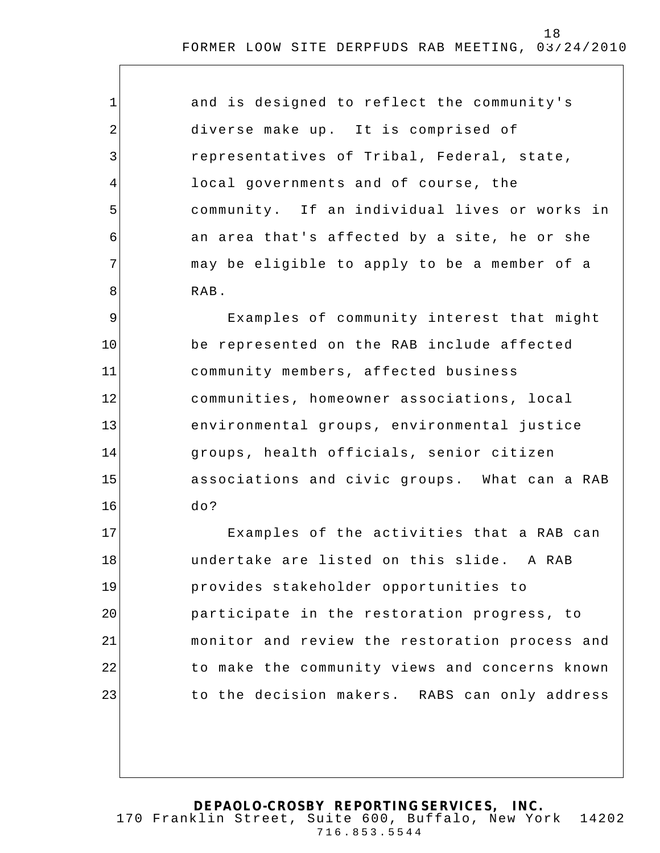| $\mathbf{1}$   | and is designed to reflect the community's    |
|----------------|-----------------------------------------------|
| $\overline{2}$ | diverse make up. It is comprised of           |
| 3              | representatives of Tribal, Federal, state,    |
| $\overline{4}$ | local governments and of course, the          |
| 5              | community. If an individual lives or works in |
| 6              | an area that's affected by a site, he or she  |
| 7              | may be eligible to apply to be a member of a  |
| 8              | RAB.                                          |
| 9              | Examples of community interest that might     |
| 10             | be represented on the RAB include affected    |
| 11             | community members, affected business          |
| 12             | communities, homeowner associations, local    |
|                |                                               |

environmental groups, environmental justice groups, health officials, senior citizen associations and civic groups. What can a RAB do?

13

14

15

16

17 18 19 20 21 22 23 Examples of the activities that a RAB can undertake are listed on this slide. A RAB provides stakeholder opportunities to participate in the restoration progress, to monitor and review the restoration process and to make the community views and concerns known to the decision makers. RABS can only address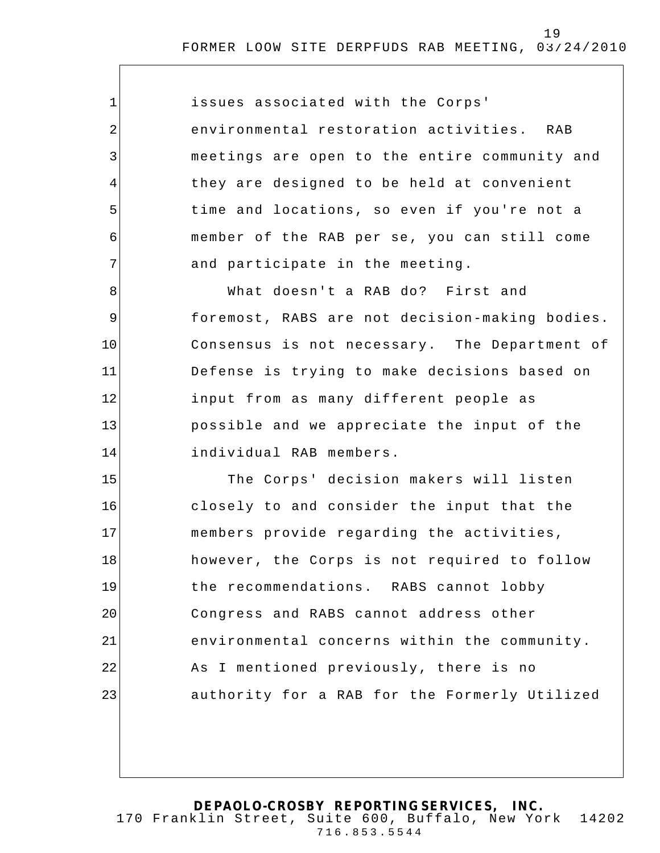| $\mathbf 1$ | issues associated with the Corps'              |
|-------------|------------------------------------------------|
| 2           | environmental restoration activities. RAB      |
| 3           | meetings are open to the entire community and  |
| 4           | they are designed to be held at convenient     |
| 5           | time and locations, so even if you're not a    |
| 6           | member of the RAB per se, you can still come   |
| 7           | and participate in the meeting.                |
| 8           | What doesn't a RAB do? First and               |
| 9           | foremost, RABS are not decision-making bodies. |
| 10          | Consensus is not necessary. The Department of  |
| 11          | Defense is trying to make decisions based on   |
| 12          | input from as many different people as         |
| 13          | possible and we appreciate the input of the    |
| 14          | individual RAB members.                        |
| 15          | The Corps' decision makers will listen         |
| 16          | closely to and consider the input that the     |
| 17          | members provide regarding the activities,      |
| 18          | however, the Corps is not required to follow   |
| 19          | the recommendations. RABS cannot lobby         |
| 20          | Congress and RABS cannot address other         |
| 21          | environmental concerns within the community.   |
| 22          | As I mentioned previously, there is no         |
| 23          | authority for a RAB for the Formerly Utilized  |
|             |                                                |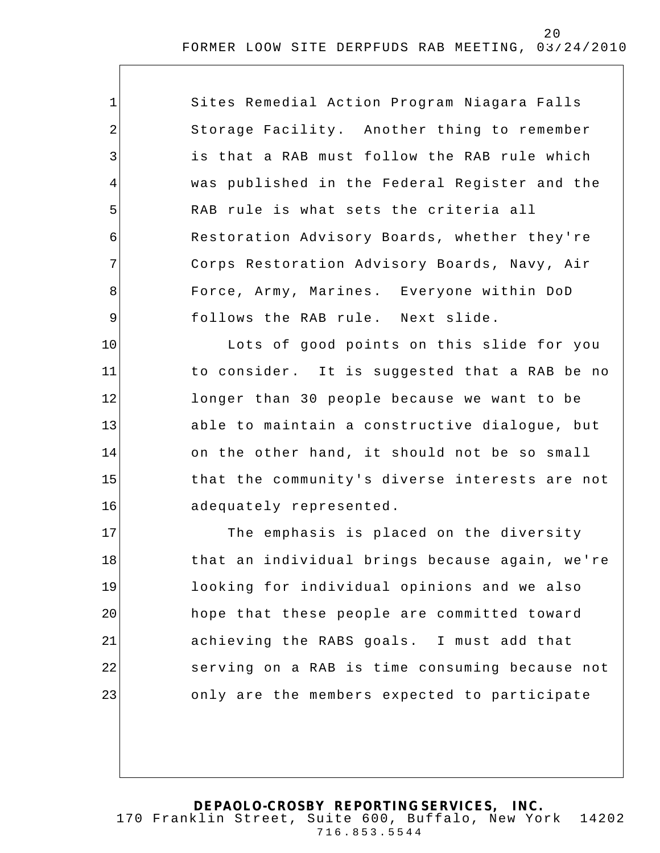| $\mathbf{1}$   | Sites Remedial Action Program Niagara Falls    |
|----------------|------------------------------------------------|
| 2              | Storage Facility. Another thing to remember    |
| $\mathfrak{Z}$ | is that a RAB must follow the RAB rule which   |
| 4              | was published in the Federal Register and the  |
| 5              | RAB rule is what sets the criteria all         |
| 6              | Restoration Advisory Boards, whether they're   |
| 7              | Corps Restoration Advisory Boards, Navy, Air   |
| 8              | Force, Army, Marines. Everyone within DoD      |
| $\mathsf 9$    | follows the RAB rule. Next slide.              |
| 10             | Lots of good points on this slide for you      |
| 11             | to consider. It is suggested that a RAB be no  |
| 12             | longer than 30 people because we want to be    |
| 13             | able to maintain a constructive dialogue, but  |
| 14             | on the other hand, it should not be so small   |
| 15             | that the community's diverse interests are not |
| 16             | adequately represented.                        |
| 17             | The emphasis is placed on the diversity        |
| 18             | that an individual brings because again, we're |
| 19             | looking for individual opinions and we also    |
| 20             | hope that these people are committed toward    |
| 21             | achieving the RABS goals. I must add that      |
| 22             | serving on a RAB is time consuming because not |
| 23             | only are the members expected to participate   |
|                |                                                |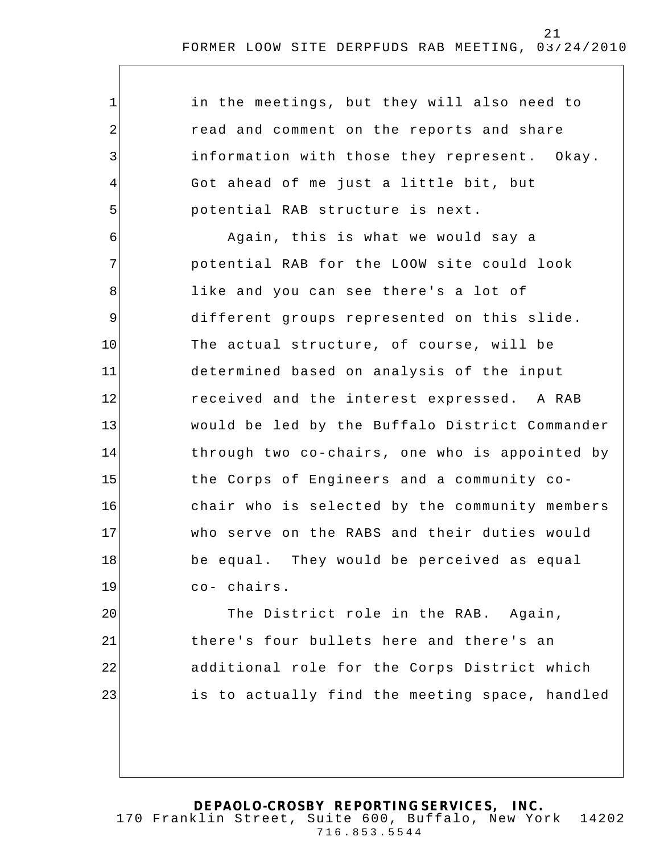| $\mathbf 1$    | in the meetings, but they will also need to    |
|----------------|------------------------------------------------|
| $\overline{2}$ | read and comment on the reports and share      |
| 3              | information with those they represent. Okay.   |
| 4              | Got ahead of me just a little bit, but         |
| 5              | potential RAB structure is next.               |
| 6              | Again, this is what we would say a             |
| 7              | potential RAB for the LOOW site could look     |
| 8              | like and you can see there's a lot of          |
| $\mathsf 9$    | different groups represented on this slide.    |
| 10             | The actual structure, of course, will be       |
| 11             | determined based on analysis of the input      |
| 12             | received and the interest expressed. A RAB     |
| 13             | would be led by the Buffalo District Commander |
| 14             | through two co-chairs, one who is appointed by |
| 15             | the Corps of Engineers and a community co-     |
| 16             | chair who is selected by the community members |
| 17             | who serve on the RABS and their duties would   |
| 18             | be equal. They would be perceived as equal     |
| 19             | co- chairs.                                    |
| 20             | The District role in the RAB. Again,           |
| 21             | there's four bullets here and there's an       |
| 22             | additional role for the Corps District which   |
| 23             | is to actually find the meeting space, handled |
|                |                                                |
|                |                                                |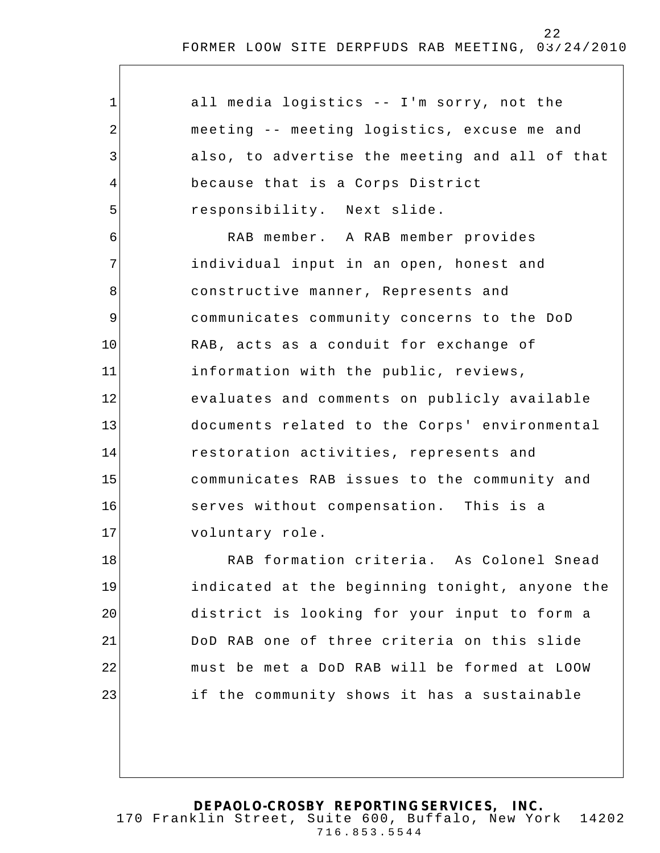| $\mathbf{1}$   | all media logistics -- I'm sorry, not the      |
|----------------|------------------------------------------------|
| $\overline{2}$ | meeting -- meeting logistics, excuse me and    |
| 3              | also, to advertise the meeting and all of that |
| 4              | because that is a Corps District               |
| 5              | responsibility. Next slide.                    |
| 6              | RAB member. A RAB member provides              |
| 7              | individual input in an open, honest and        |
| 8              | constructive manner, Represents and            |
| $\mathsf 9$    | communicates community concerns to the DoD     |
| 10             | RAB, acts as a conduit for exchange of         |
| 11             | information with the public, reviews,          |
| 12             | evaluates and comments on publicly available   |
| 13             | documents related to the Corps' environmental  |
| 14             | restoration activities, represents and         |
| 15             | communicates RAB issues to the community and   |
| 16             | serves without compensation. This is a         |
| 17             | voluntary role.                                |
| 18             | RAB formation criteria. As Colonel Snead       |
| 19             | indicated at the beginning tonight, anyone the |
| 20             | district is looking for your input to form a   |
| 21             | DoD RAB one of three criteria on this slide    |
| 22             | must be met a DoD RAB will be formed at LOOW   |
| 23             | if the community shows it has a sustainable    |
|                |                                                |
|                |                                                |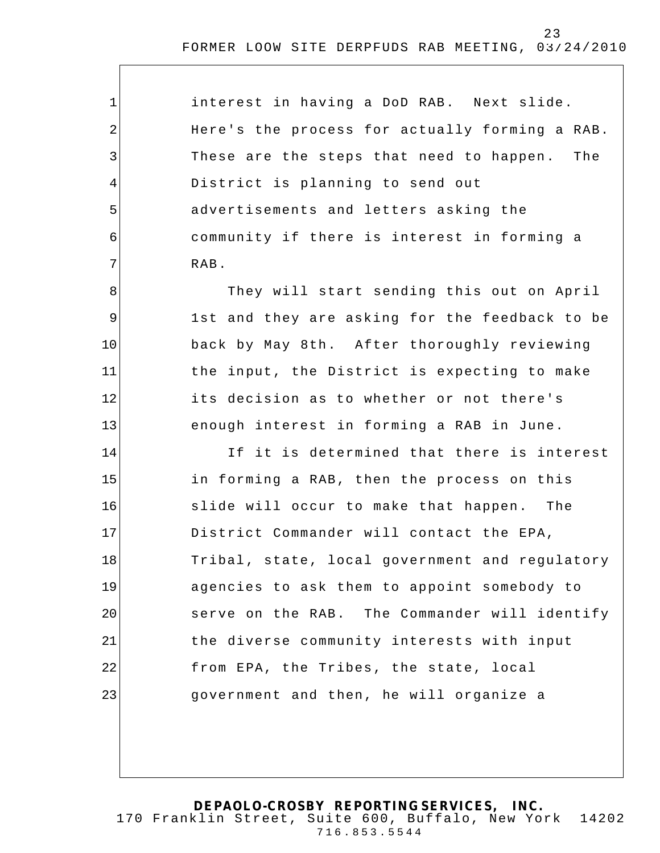| interest in having a DoD RAB. Next slide.      |
|------------------------------------------------|
| Here's the process for actually forming a RAB. |
| These are the steps that need to happen. The   |
| District is planning to send out               |
| advertisements and letters asking the          |
| community if there is interest in forming a    |
| RAB.                                           |

1

2

3

4

5

6

7

8

9

10

11

12

13

They will start sending this out on April 1st and they are asking for the feedback to be back by May 8th. After thoroughly reviewing the input, the District is expecting to make its decision as to whether or not there's enough interest in forming a RAB in June.

14 15 16 17 18 19 20 21 22 23 If it is determined that there is interest in forming a RAB, then the process on this slide will occur to make that happen. The District Commander will contact the EPA, Tribal, state, local government and regulatory agencies to ask them to appoint somebody to serve on the RAB. The Commander will identify the diverse community interests with input from EPA, the Tribes, the state, local government and then, he will organize a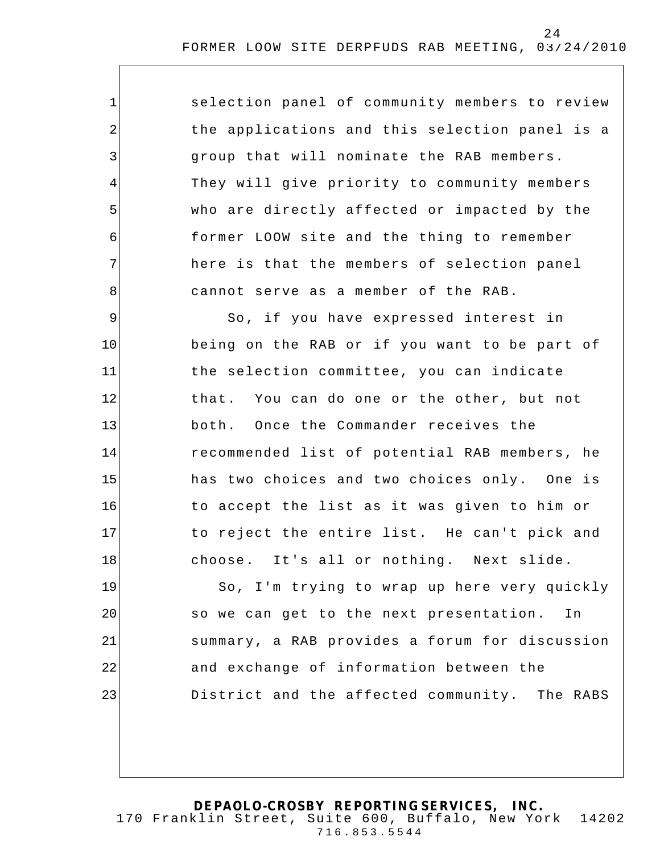selection panel of community members to review the applications and this selection panel is a group that will nominate the RAB members. They will give priority to community members who are directly affected or impacted by the former LOOW site and the thing to remember here is that the members of selection panel cannot serve as a member of the RAB.

1

2

3

4

5

6

7

8

9 10 11 12 13 14 15 16 17 18 So, if you have expressed interest in being on the RAB or if you want to be part of the selection committee, you can indicate that. You can do one or the other, but not both. Once the Commander receives the recommended list of potential RAB members, he has two choices and two choices only. One is to accept the list as it was given to him or to reject the entire list. He can't pick and choose. It's all or nothing. Next slide.

19 20 21 22 23 So, I'm trying to wrap up here very quickly so we can get to the next presentation. In summary, a RAB provides a forum for discussion and exchange of information between the District and the affected community. The RABS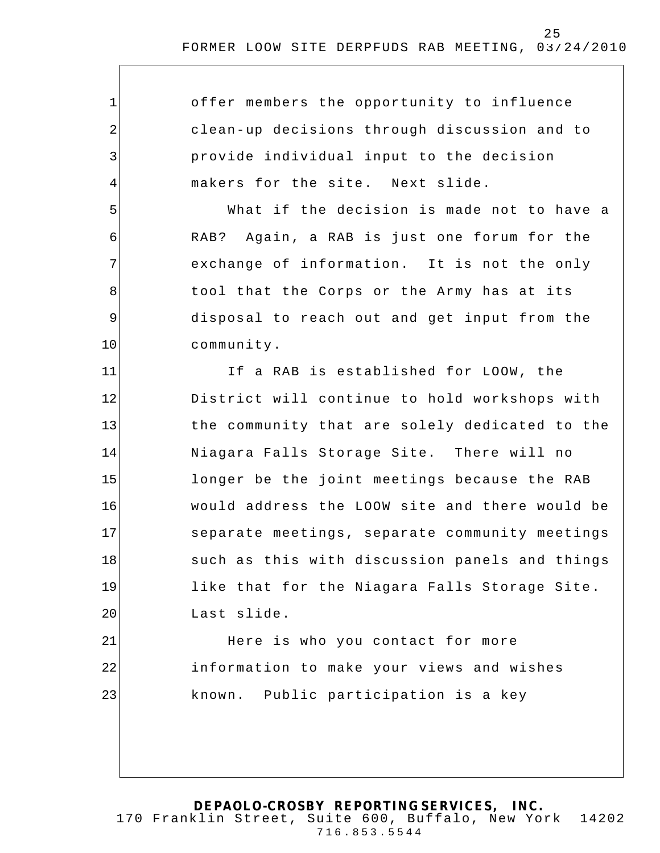1 2 3 4 5 6 7 8 9 10 11 12 13 14 15 16 17 18 19 20 21 22 23 offer members the opportunity to influence clean-up decisions through discussion and to provide individual input to the decision makers for the site. Next slide. What if the decision is made not to have a RAB? Again, a RAB is just one forum for the exchange of information. It is not the only tool that the Corps or the Army has at its disposal to reach out and get input from the community. If a RAB is established for LOOW, the District will continue to hold workshops with the community that are solely dedicated to the Niagara Falls Storage Site. There will no longer be the joint meetings because the RAB would address the LOOW site and there would be separate meetings, separate community meetings such as this with discussion panels and things like that for the Niagara Falls Storage Site . Last slide. Here is who you contact for more information to make your views and wishes known. Public participation is a key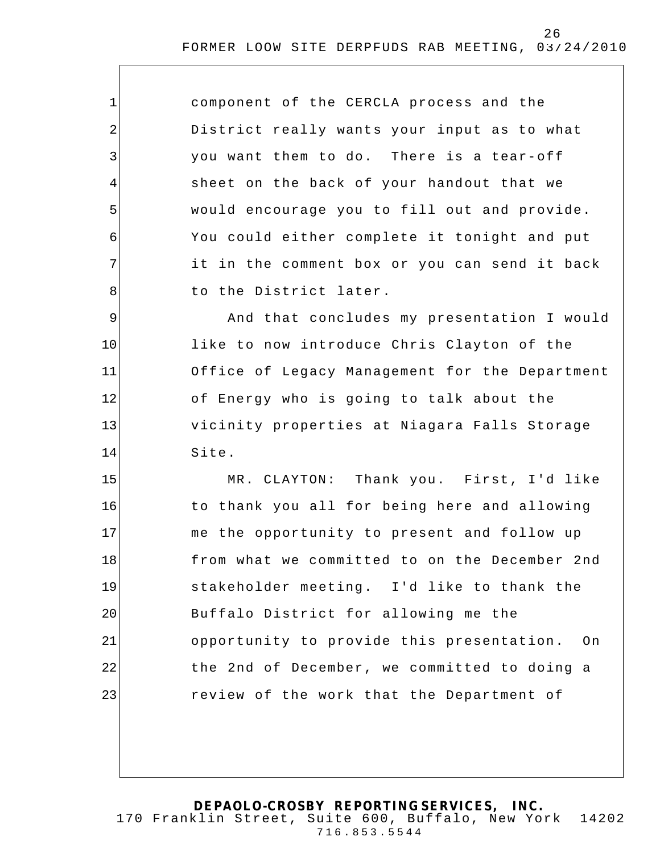| $\mathbf{1}$   | component of the CERCLA process and the         |
|----------------|-------------------------------------------------|
| $\overline{2}$ | District really wants your input as to what     |
| 3              | you want them to do. There is a tear-off        |
| 4              | sheet on the back of your handout that we       |
| 5              | would encourage you to fill out and provide.    |
| 6              | You could either complete it tonight and put    |
| 7              | it in the comment box or you can send it back   |
| 8              | to the District later.                          |
| 9              | And that concludes my presentation I would      |
| 10             | like to now introduce Chris Clayton of the      |
| 11             | Office of Legacy Management for the Department  |
| 12             | of Energy who is going to talk about the        |
| 13             | vicinity properties at Niagara Falls Storage    |
| 14             | Site.                                           |
| 15             | MR. CLAYTON: Thank you. First, I'd like         |
| 16             | to thank you all for being here and allowing    |
| 17             | me the opportunity to present and follow up     |
| 18             | from what we committed to on the December 2nd   |
| 19             | stakeholder meeting. I'd like to thank the      |
| 20             | Buffalo District for allowing me the            |
| 21             | opportunity to provide this presentation.<br>On |
| 22             | the 2nd of December, we committed to doing a    |
| 23             | review of the work that the Department of       |
|                |                                                 |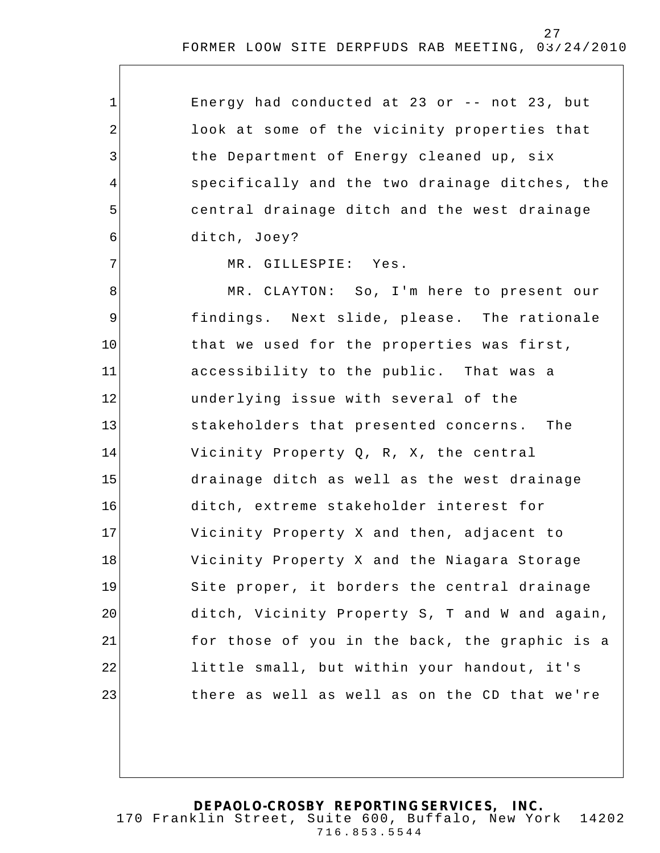Energy had conducted at 23 or -- not 23, but look at some of the vicinity properties that the Department of Energy cleaned up, six specifically and the two drainage ditches, the central drainage ditch and the west drainage ditch, Joey?

MR. GILLESPIE: Yes.

1

2

3

4

5

6

7

8 9 10 11 12 13 14 15 16 17 18 19 20 21 22 23 MR. CLAYTON: So, I'm here to present our findings. Next slide, please. The rationale that we used for the properties was first, accessibility to the public. That was a underlying issue with several of the stakeholders that presented concerns. The Vicinity Property Q, R, X, the central drainage ditch as well as the west drainage ditch, extreme stakeholder interest for Vicinity Property X and then, adjacent to Vicinity Property X and the Niagara Storage Site proper, it borders the central drainage ditch, Vicinity Property S, T and W and again, for those of you in the back, the graphic is a little small, but within your handout, it's there as well as well as on the CD that we're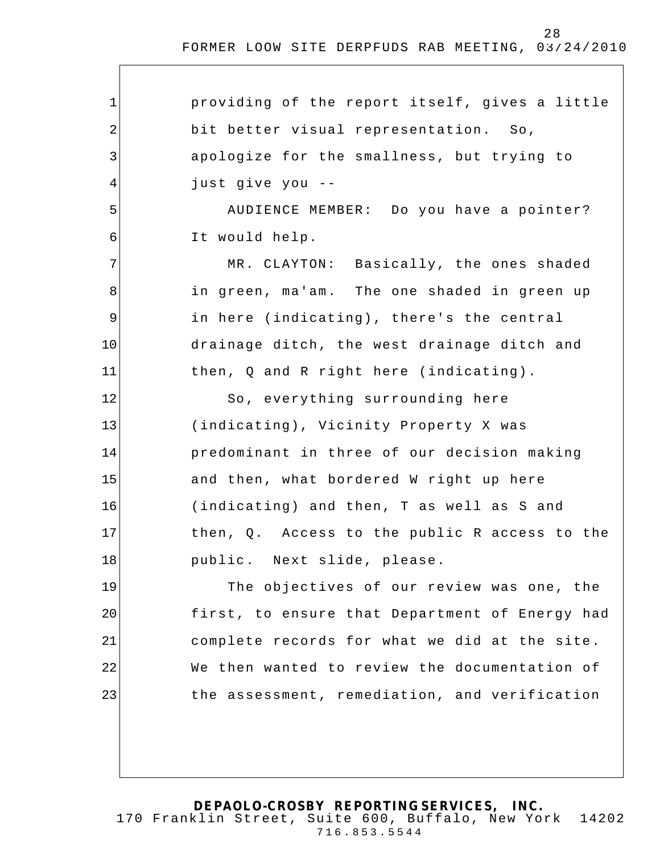1 2 3 4 5 6 7 8 9 10 11 12 13 14 15 16 17 18 19 20 21 22 23 providing of the report itself, gives a little bit better visual representation. So, apologize for the smallness, but trying to just give you -- AUDIENCE MEMBER: Do you have a pointer? It would help. MR. CLAYTON: Basically, the ones shaded in green, ma'am. The one shaded in green up in here (indicating), there's the central drainage ditch, the west drainage ditch and then, Q and R right here (indicating). So, everything surrounding here (indicating), Vicinity Property X was predominant in three of our decision making and then, what bordered W right up here (indicating) and then, T as well as S and then, Q. Access to the public R access to the public. Next slide, please. The objectives of our review was one, the first, to ensure that Department of Energy had complete records for what we did at the site. We then wanted to review the documentation of the assessment, remediation, and verification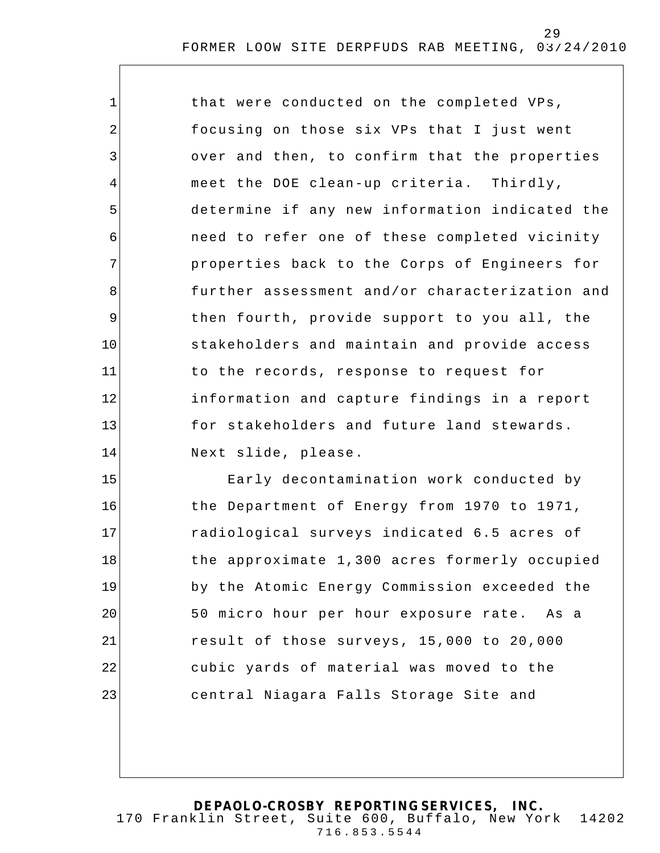| $\mathbf 1$    | that were conducted on the completed VPs,      |
|----------------|------------------------------------------------|
| 2              | focusing on those six VPs that I just went     |
| $\mathfrak{Z}$ | over and then, to confirm that the properties  |
| 4              | meet the DOE clean-up criteria. Thirdly,       |
| 5              | determine if any new information indicated the |
| 6              | need to refer one of these completed vicinity  |
| 7              | properties back to the Corps of Engineers for  |
| 8              | further assessment and/or characterization and |
| $\mathsf 9$    | then fourth, provide support to you all, the   |
| 10             | stakeholders and maintain and provide access   |
| 11             | to the records, response to request for        |
| 12             | information and capture findings in a report   |
| 13             | for stakeholders and future land stewards.     |
| 14             | Next slide, please.                            |
| 15             | Early decontamination work conducted by        |
| 16             | the Department of Energy from 1970 to 1971,    |
| 17             | radiological surveys indicated 6.5 acres of    |
| 18             | the approximate 1,300 acres formerly occupied  |
| 19             | by the Atomic Energy Commission exceeded the   |
| 20             | 50 micro hour per hour exposure rate. As a     |
| 21             | result of those surveys, 15,000 to 20,000      |
| 22             | cubic yards of material was moved to the       |
| 23             | central Niagara Falls Storage Site and         |
|                |                                                |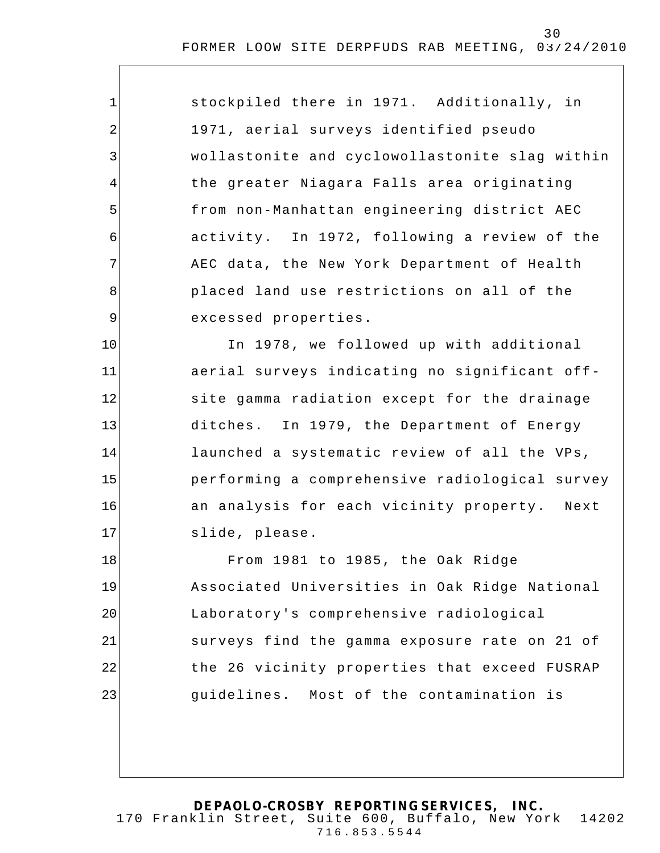| $\mathbf 1$    | stockpiled there in 1971. Additionally, in     |
|----------------|------------------------------------------------|
| 2              | 1971, aerial surveys identified pseudo         |
| 3              | wollastonite and cyclowollastonite slag within |
| $\overline{4}$ | the greater Niagara Falls area originating     |
| 5              | from non-Manhattan engineering district AEC    |
| 6              | activity. In 1972, following a review of the   |
| 7              | AEC data, the New York Department of Health    |
| 8              | placed land use restrictions on all of the     |
| $\mathsf 9$    | excessed properties.                           |
| 10             | In 1978, we followed up with additional        |
| 11             | aerial surveys indicating no significant off-  |
| 12             | site gamma radiation except for the drainage   |
| 13             | ditches. In 1979, the Department of Energy     |
| 14             | launched a systematic review of all the VPs,   |
| 15             | performing a comprehensive radiological survey |
| 16             | an analysis for each vicinity property. Next   |
| 17             | slide, please.                                 |
| 18             | From 1981 to 1985, the Oak Ridge               |
| 19             | Associated Universities in Oak Ridge National  |
| 20             | Laboratory's comprehensive radiological        |
| 21             | surveys find the gamma exposure rate on 21 of  |
| 22             | the 26 vicinity properties that exceed FUSRAP  |
| 23             | guidelines. Most of the contamination is       |
|                |                                                |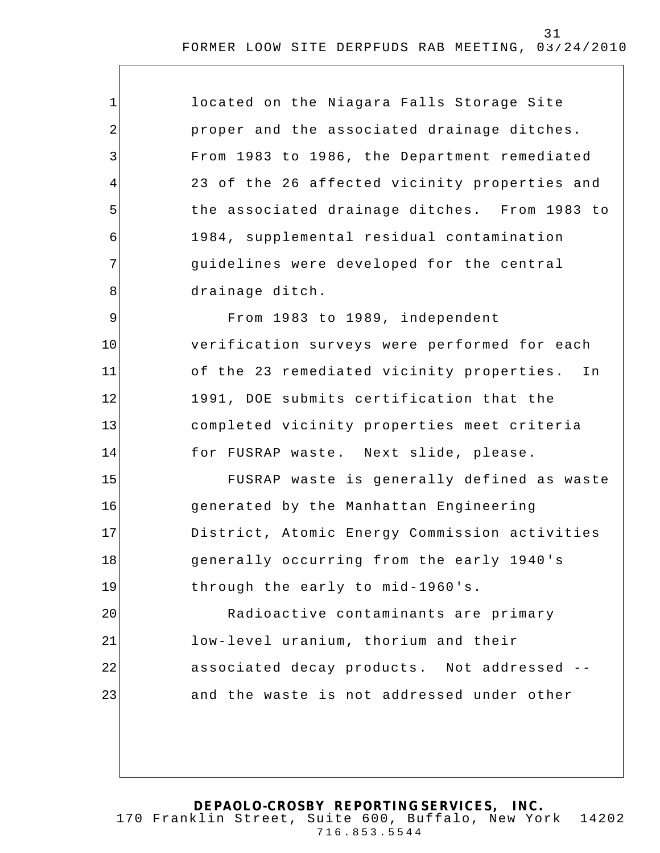| $\mathbf 1$ | located on the Niagara Falls Storage Site       |
|-------------|-------------------------------------------------|
| 2           | proper and the associated drainage ditches.     |
| 3           | From 1983 to 1986, the Department remediated    |
| 4           | 23 of the 26 affected vicinity properties and   |
| 5           | the associated drainage ditches. From 1983 to   |
| 6           | 1984, supplemental residual contamination       |
| 7           | guidelines were developed for the central       |
| 8           | drainage ditch.                                 |
| 9           | From 1983 to 1989, independent                  |
| 10          | verification surveys were performed for each    |
| 11          | of the 23 remediated vicinity properties.<br>In |
| 12          | 1991, DOE submits certification that the        |
| 13          | completed vicinity properties meet criteria     |
| 14          | for FUSRAP waste. Next slide, please.           |
| 15          | FUSRAP waste is generally defined as waste      |
| 16          | generated by the Manhattan Engineering          |
| 17          | District, Atomic Energy Commission activities   |
| 18          | generally occurring from the early 1940's       |
| 19          | through the early to mid-1960's.                |
| 20          | Radioactive contaminants are primary            |
| 21          | low-level uranium, thorium and their            |
| 22          | associated decay products. Not addressed --     |
| 23          | and the waste is not addressed under other      |
|             |                                                 |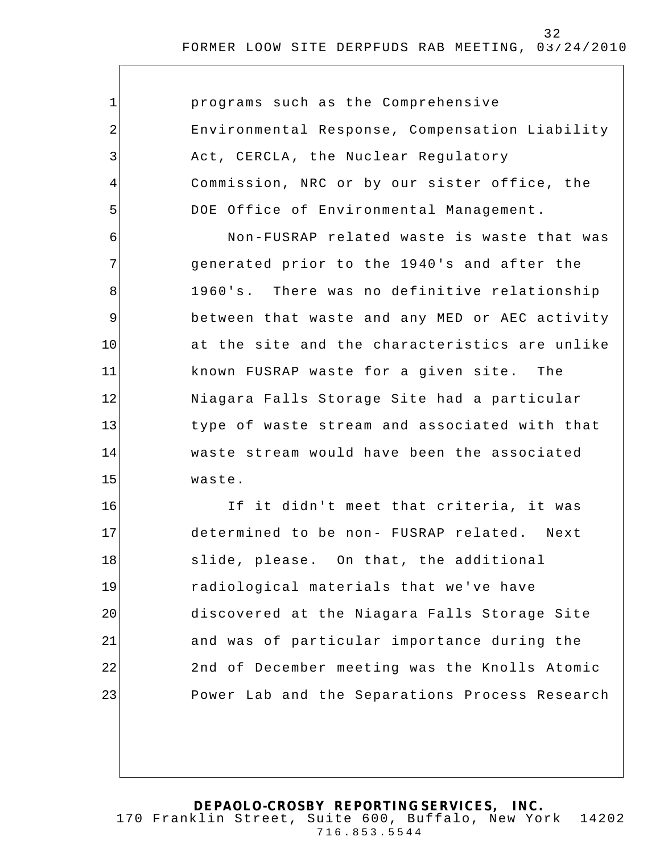| $\mathbf 1$ | programs such as the Comprehensive             |
|-------------|------------------------------------------------|
| 2           | Environmental Response, Compensation Liability |
| 3           | Act, CERCLA, the Nuclear Regulatory            |
| 4           | Commission, NRC or by our sister office, the   |
| 5           | DOE Office of Environmental Management.        |
| 6           | Non-FUSRAP related waste is waste that was     |
| 7           | generated prior to the 1940's and after the    |
| 8           | 1960's. There was no definitive relationship   |
| 9           | between that waste and any MED or AEC activity |
| 10          | at the site and the characteristics are unlike |
| 11          | known FUSRAP waste for a given site. The       |
| 12          | Niagara Falls Storage Site had a particular    |
| 13          | type of waste stream and associated with that  |
| 14          | waste stream would have been the associated    |
| 15          | waste.                                         |
| 16          | If it didn't meet that criteria, it was        |
| 17          | determined to be non- FUSRAP related. Next     |
| 18          | slide, please. On that, the additional         |
| 19          | radiological materials that we've have         |
| 20          | discovered at the Niagara Falls Storage Site   |
| 21          | and was of particular importance during the    |
| 22          | 2nd of December meeting was the Knolls Atomic  |
| 23          | Power Lab and the Separations Process Research |
|             |                                                |
|             |                                                |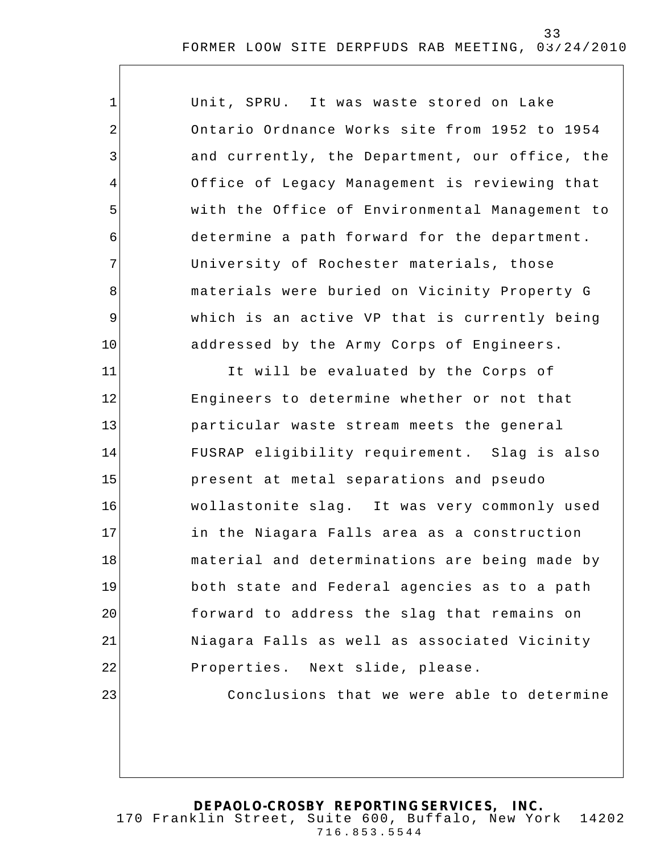| $\mathbf 1$    | Unit, SPRU. It was waste stored on Lake        |
|----------------|------------------------------------------------|
| $\overline{2}$ | Ontario Ordnance Works site from 1952 to 1954  |
| 3              | and currently, the Department, our office, the |
| 4              | Office of Legacy Management is reviewing that  |
| 5              | with the Office of Environmental Management to |
| 6              | determine a path forward for the department.   |
| 7              | University of Rochester materials, those       |
| 8              | materials were buried on Vicinity Property G   |
| $\overline{9}$ | which is an active VP that is currently being  |
| 10             | addressed by the Army Corps of Engineers.      |
| 11             | It will be evaluated by the Corps of           |
| 12             | Engineers to determine whether or not that     |
| 13             | particular waste stream meets the general      |
| 14             | FUSRAP eligibility requirement. Slag is also   |
| 15             | present at metal separations and pseudo        |
| 16             | wollastonite slag. It was very commonly used   |
| 17             | in the Niagara Falls area as a construction    |
| 18             | material and determinations are being made by  |
| 19             | both state and Federal agencies as to a path   |
| 20             | forward to address the slag that remains on    |
| 21             | Niagara Falls as well as associated Vicinity   |
| 22             | Properties. Next slide, please.                |
| 23             | Conclusions that we were able to determine     |
|                |                                                |
|                |                                                |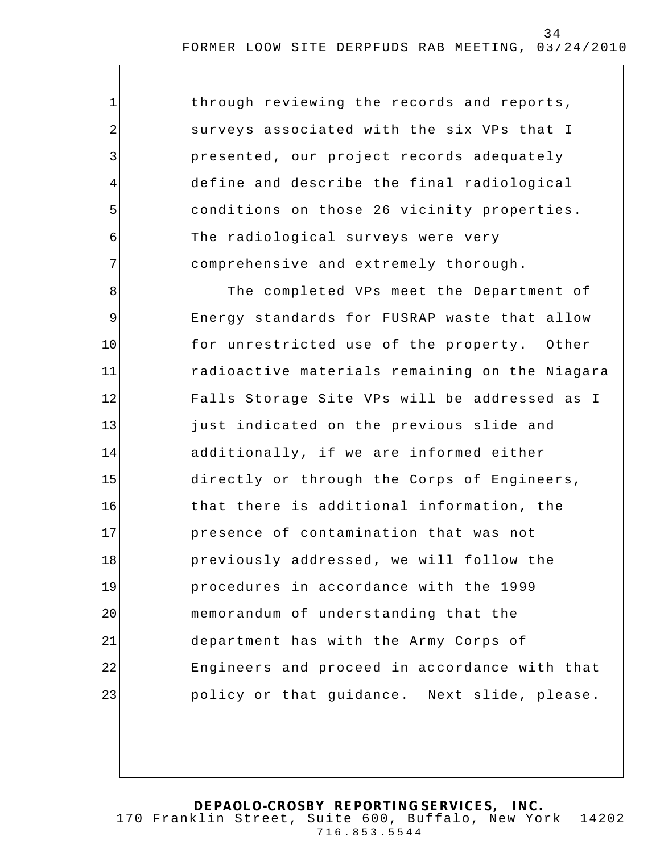| 1              | through reviewing the records and reports,     |
|----------------|------------------------------------------------|
| 2              | surveys associated with the six VPs that I     |
| $\mathfrak{Z}$ | presented, our project records adequately      |
| 4              | define and describe the final radiological     |
| 5              | conditions on those 26 vicinity properties.    |
| 6              | The radiological surveys were very             |
| 7              | comprehensive and extremely thorough.          |
| 8              | The completed VPs meet the Department of       |
| $\mathsf 9$    | Energy standards for FUSRAP waste that allow   |
| 10             | for unrestricted use of the property. Other    |
| 11             | radioactive materials remaining on the Niagara |
| 12             | Falls Storage Site VPs will be addressed as I  |
| 13             | just indicated on the previous slide and       |
| 14             | additionally, if we are informed either        |
| 15             | directly or through the Corps of Engineers,    |
| 16             | that there is additional information, the      |
| 17             | presence of contamination that was not         |
| 18             | previously addressed, we will follow the       |
| 19             | procedures in accordance with the 1999         |
| 20             | memorandum of understanding that the           |
| 21             | department has with the Army Corps of          |
| 22             | Engineers and proceed in accordance with that  |
| 23             | policy or that guidance. Next slide, please.   |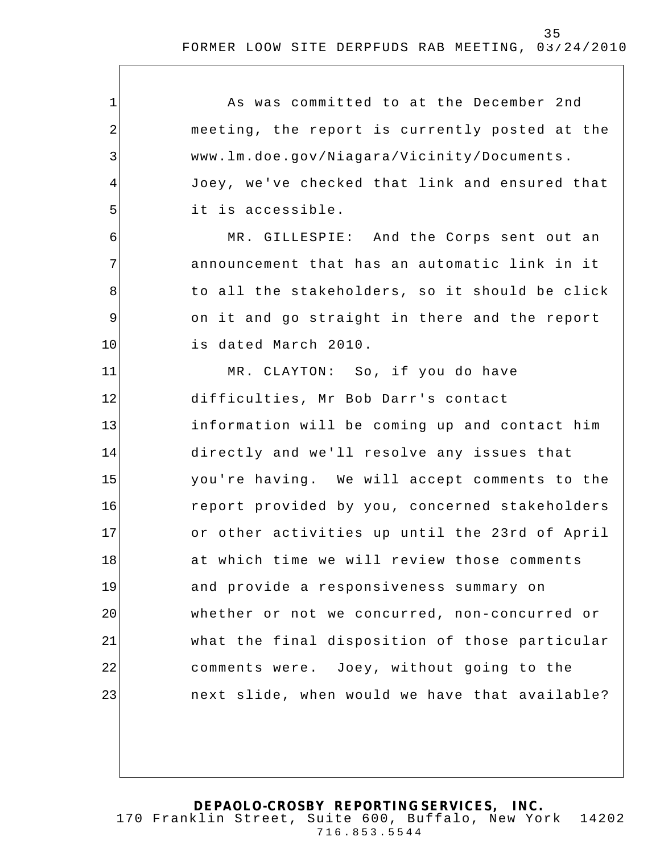1 2 3 4 5 6 7 8 9 10 11 12 13 14 15 16 17 18 19 20 21 22 23 As was committed to at the December 2nd meeting, the report is currently posted at the www.lm.doe.gov/Niagara/Vicinity/Documents. Joey, we've checked that link and ensured that it is accessible. MR. GILLESPIE: And the Corps sent out an announcement that has an automatic link in it to all the stakeholders, so it should be click on it and go straight in there and the report is dated March 2010. MR. CLAYTON: So, if you do have difficulties, Mr Bob Darr's contact information will be coming up and contact him directly and we'll resolve any issues that you're having. We will accept comments to the report provided by you, concerned stakeholders or other activities up until the 23rd of April at which time we will review those comments and provide a responsiveness summary on whether or not we concurred, non-concurred or what the final disposition of those particular comments were. Joey, without going to the next slide, when would we have that available?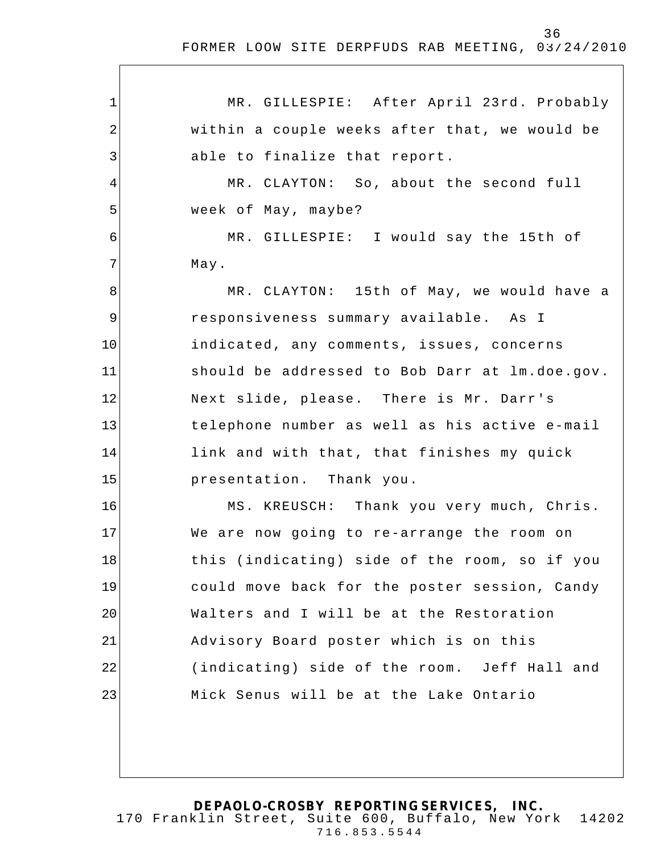1 2 3 4 5 6 7 8 9 10 11 12 13 14 15 16 17 18 19 20 21 22 23 MR. GILLESPIE: After April 23rd. Probably within a couple weeks after that, we would be able to finalize that report. MR. CLAYTON: So, about the second full week of May, maybe? MR. GILLESPIE: I would say the 15th of May. MR. CLAYTON: 15th of May, we would have a responsiveness summary available. As I indicated, any comments, issues, concerns should be addressed to Bob Darr at lm.doe.gov. Next slide, please. There is Mr. Darr's telephone number as well as his active e-mail link and with that, that finishes my quick presentation. Thank you. MS. KREUSCH: Thank you very much, Chris. We are now going to re-arrange the room on this (indicating) side of the room, so if you could move back for the poster session, Candy Walters and I will be at the Restoration Advisory Board poster which is on this (indicating) side of the room. Jeff Hall and Mick Senus will be at the Lake Ontario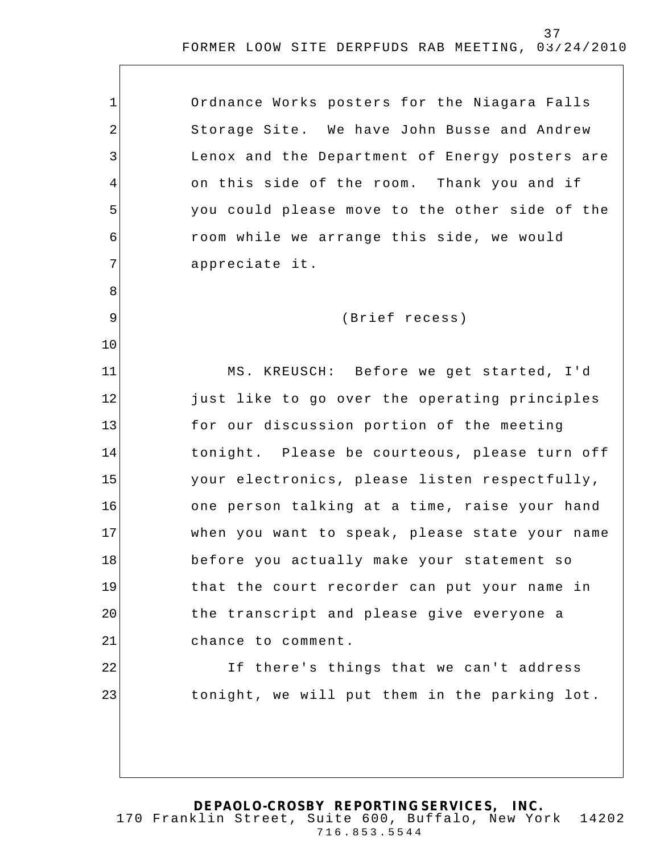| $\mathbf 1$    | Ordnance Works posters for the Niagara Falls   |
|----------------|------------------------------------------------|
| 2              | Storage Site. We have John Busse and Andrew    |
| 3              | Lenox and the Department of Energy posters are |
| 4              | on this side of the room. Thank you and if     |
| 5              | you could please move to the other side of the |
| 6              | room while we arrange this side, we would      |
| 7              | appreciate it.                                 |
| 8              |                                                |
| $\overline{9}$ | (Brief recess)                                 |
| 10             |                                                |
| 11             | MS. KREUSCH: Before we get started, I'd        |
| 12             | just like to go over the operating principles  |
| 13             | for our discussion portion of the meeting      |
| 14             | tonight. Please be courteous, please turn off  |
| 15             | your electronics, please listen respectfully,  |
| 16             | one person talking at a time, raise your hand  |
| 17             | when you want to speak, please state your name |
| 18             | before you actually make your statement so     |
| 19             | that the court recorder can put your name in   |
| 20             | the transcript and please give everyone a      |
| 21             | chance to comment.                             |
| 22             | If there's things that we can't address        |
| 23             | tonight, we will put them in the parking lot.  |
|                |                                                |
|                |                                                |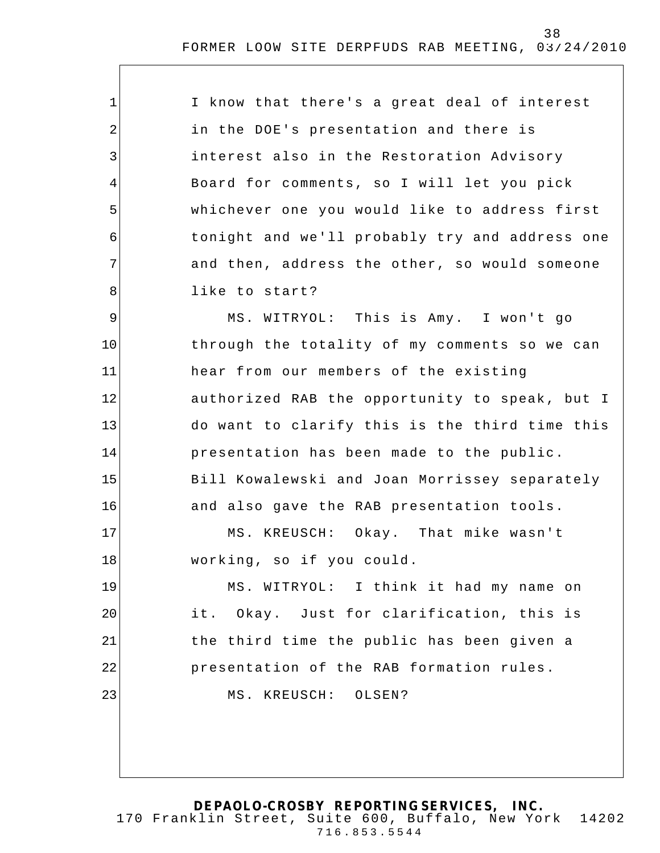| I know that there's a great deal of interest   |
|------------------------------------------------|
| in the DOE's presentation and there is         |
| interest also in the Restoration Advisory      |
| Board for comments, so I will let you pick     |
| whichever one you would like to address first  |
| tonight and we'll probably try and address one |
| and then, address the other, so would someone  |
| like to start?                                 |
| MS. WITRYOL: This is Amy. I won't go           |
| through the totality of my comments so we can  |

1

2

3

4

5

6

7

8

9

11

10 12 13 14 15 16 hear from our members of the existing authorized RAB the opportunity to speak, but I do want to clarify this is the third time this presentation has been made to the public. Bill Kowalewski and Joan Morrissey separately and also gave the RAB presentation tools.

17 18 MS. KREUSCH: Okay. That mike wasn't working, so if you could.

19 20 21 22 23 MS. WITRYOL: I think it had my name on it. Okay. Just for clarification, this is the third time the public has been given a presentation of the RAB formation rules. MS. KREUSCH: OLSEN?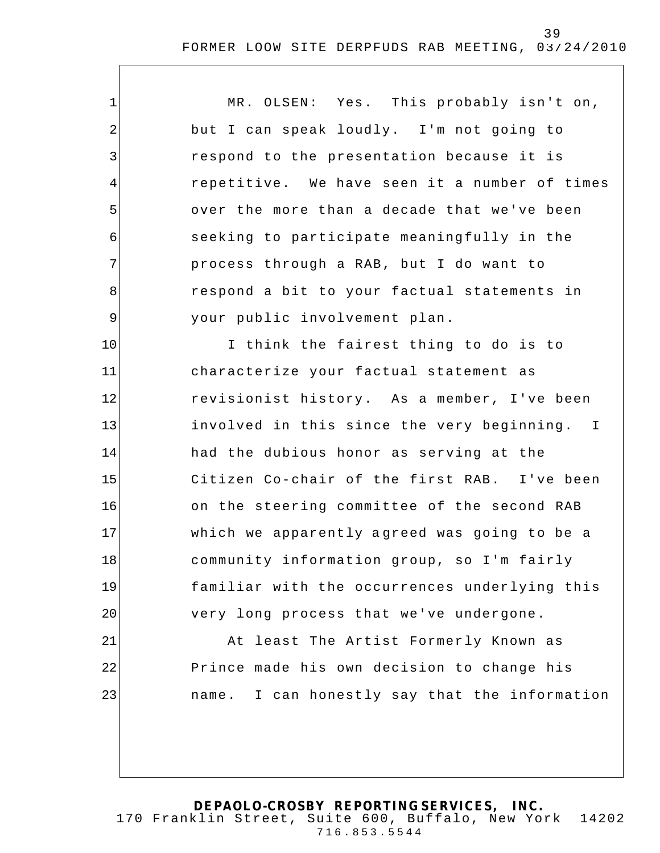| $\mathbf{1}$   | MR. OLSEN: Yes. This probably isn't on,          |
|----------------|--------------------------------------------------|
| $\overline{2}$ | but I can speak loudly. I'm not going to         |
| 3              | respond to the presentation because it is        |
| 4              | repetitive. We have seen it a number of times    |
| 5              | over the more than a decade that we've been      |
| 6              | seeking to participate meaningfully in the       |
| 7              | process through a RAB, but I do want to          |
| 8              | respond a bit to your factual statements in      |
| $\overline{9}$ | your public involvement plan.                    |
| 10             | I think the fairest thing to do is to            |
| 11             | characterize your factual statement as           |
| 12             | revisionist history. As a member, I've been      |
| 13             | involved in this since the very beginning. I     |
| 14             | had the dubious honor as serving at the          |
| 15             | Citizen Co-chair of the first RAB. I've been     |
| 16             | on the steering committee of the second RAB      |
| 17             | which we apparently agreed was going to be a     |
| 18             | community information group, so I'm fairly       |
| 19             | familiar with the occurrences underlying this    |
| 20             | very long process that we've undergone.          |
| 21             | At least The Artist Formerly Known as            |
| 22             | Prince made his own decision to change his       |
| 23             | I can honestly say that the information<br>name. |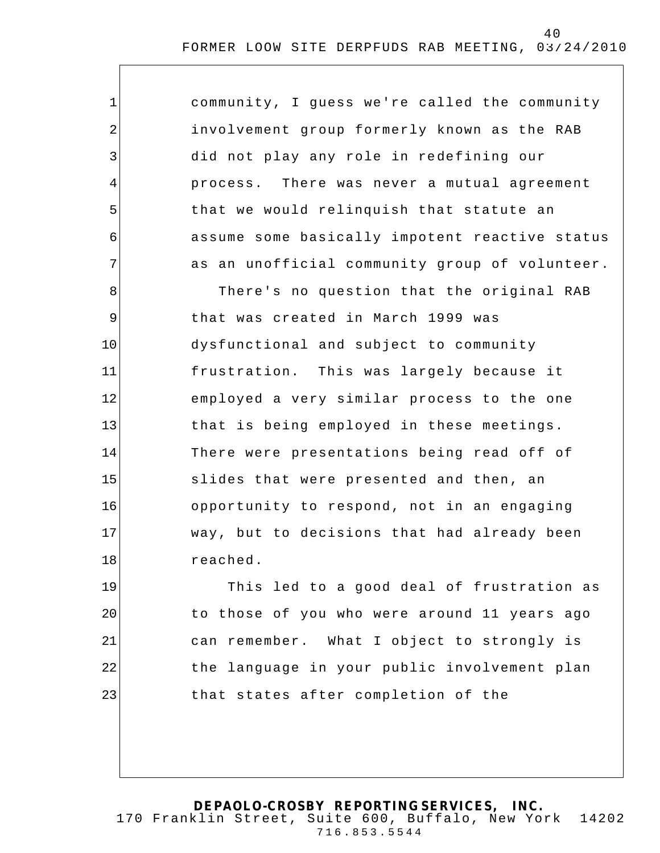| $\mathbf 1$ | community, I guess we're called the community  |
|-------------|------------------------------------------------|
| 2           | involvement group formerly known as the RAB    |
| 3           | did not play any role in redefining our        |
| 4           | There was never a mutual agreement<br>process. |
| 5           | that we would relinquish that statute an       |
| 6           | assume some basically impotent reactive status |
| 7           | as an unofficial community group of volunteer. |
| 8           | There's no question that the original RAB      |
| $\mathsf 9$ | that was created in March 1999 was             |
| 10          | dysfunctional and subject to community         |
| 11          | frustration. This was largely because it       |
| 12          | employed a very similar process to the one     |
| 13          | that is being employed in these meetings.      |
| 14          | There were presentations being read off of     |
| 15          | slides that were presented and then, an        |
| 16          | opportunity to respond, not in an engaging     |
| 17          | way, but to decisions that had already been    |
| 18          | reached.                                       |
| 19          | This led to a good deal of frustration as      |
| 20          | to those of you who were around 11 years ago   |
| 21          | can remember. What I object to strongly is     |
| 22          | the language in your public involvement plan   |
| 23          | that states after completion of the            |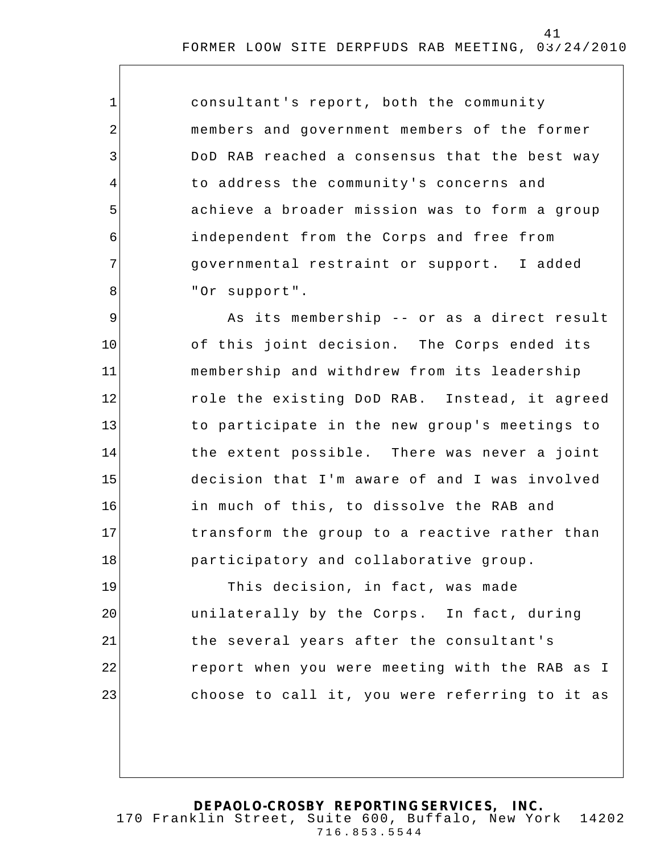consultant's report, both the community members and government members of the former DoD RAB reached a consensus that the best way to address the community's concerns and achieve a broader mission was to form a group independent from the Corps and free from governmental restraint or support. I added "Or support".

1

2

3

4

5

6

7

8

9 10 11 12 13 14 15 16 17 18 As its membership -- or as a direct result of this joint decision. The Corps ended its membership and withdrew from its leadership role the existing DoD RAB. Instead, it agreed to participate in the new group's meetings to the extent possible. There was never a joint decision that I'm aware of and I was involved in much of this, to dissolve the RAB and transform the group to a reactive rather than participatory and collaborative group.

19 20 21 22 23 This decision, in fact, was made unilaterally by the Corps. In fact, during the several years after the consultant's report when you were meeting with the RAB as I choose to call it, you were referring to it as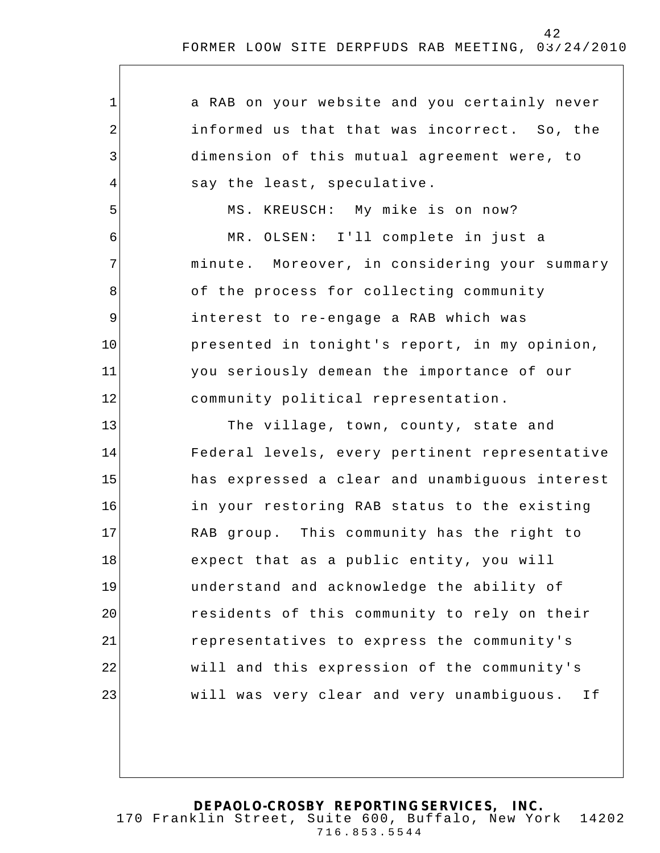| 1              | a RAB on your website and you certainly never   |
|----------------|-------------------------------------------------|
| $\overline{2}$ | informed us that that was incorrect. So, the    |
| 3              | dimension of this mutual agreement were, to     |
| 4              | say the least, speculative.                     |
| 5              | MS. KREUSCH: My mike is on now?                 |
| 6              | MR. OLSEN: I'll complete in just a              |
| 7              | minute. Moreover, in considering your summary   |
| 8              | of the process for collecting community         |
| $\mathsf 9$    | interest to re-engage a RAB which was           |
| 10             | presented in tonight's report, in my opinion,   |
| 11             | you seriously demean the importance of our      |
| 12             | community political representation.             |
| 13             | The village, town, county, state and            |
| 14             | Federal levels, every pertinent representative  |
| 15             | has expressed a clear and unambiguous interest  |
| 16             | in your restoring RAB status to the existing    |
| 17             | RAB group. This community has the right to      |
| 18             | expect that as a public entity, you will        |
| 19             | understand and acknowledge the ability of       |
| 20             | residents of this community to rely on their    |
| 21             | representatives to express the community's      |
| 22             | will and this expression of the community's     |
| 23             | will was very clear and very unambiguous.<br>Ιf |
|                |                                                 |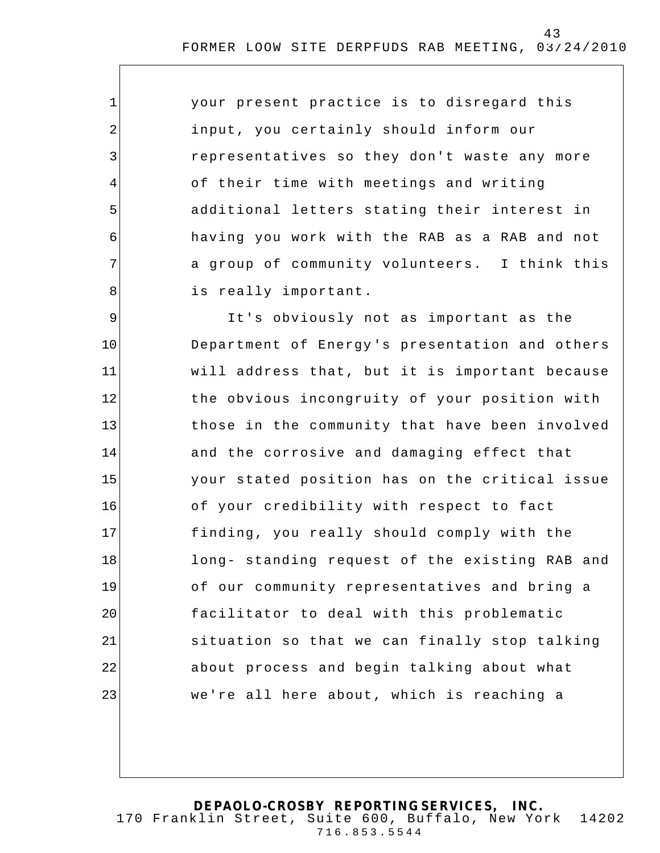| your present practice is to disregard this    |
|-----------------------------------------------|
| input, you certainly should inform our        |
| representatives so they don't waste any more  |
| of their time with meetings and writing       |
| additional letters stating their interest in  |
| having you work with the RAB as a RAB and not |
| a group of community volunteers. I think this |
| is really important.                          |

1

2

3

4

5

6

7

8

9 10 11 12 13 14 15 16 17 18 19 20 21 22 23 It's obviously not as important as the Department of Energy 's presentation and others will address that, but it is important because the obvious incongruity of your position with those in the community that have been involved and the corrosive and damaging effect that your stated position has on the critical issue of your credibility with respect to fact finding, you really should comply with the long- standing request of the existing RAB and of our community representatives and bring a facilitator to deal with this problematic situation so that we can finally stop talking about process and begin talking about what we're all here about, which is reaching a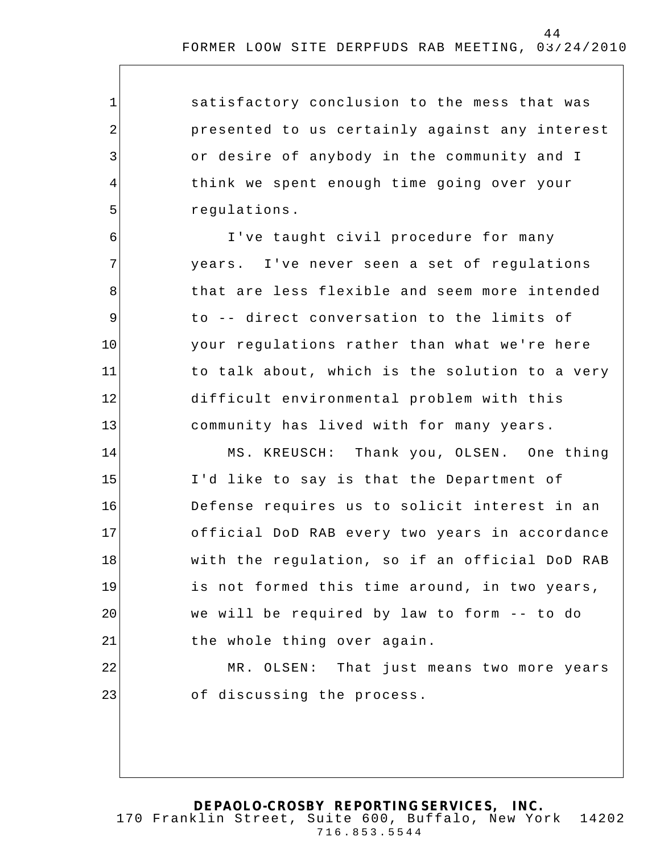satisfactory conclusion to the mess that was presented to us certainly against any interest or desire of anybody in the community and I think we spent enough time going over your regulations.

1

2

3

4

5

6

7

8

9

10

11

12

13

23

I've taught civil procedure for many years. I've never seen a set of regulations that are less flexible and seem more intended to -- direct conversation to the limits of your regulations rather than what we're here to talk about, which is the solution to a very difficult environmental problem with this community has lived with for many years.

14 15 16 17 18 19 20 21 22 MS. KREUSCH: Thank you, OLSEN. One thing I'd like to say is that the Department of Defense requires us to solicit interest in an official DoD RAB every two years in accordance with the regulation, so if an official DoD RAB is not formed this time around, in two years, we will be required by law to form -- to do the whole thing over again. MR. OLSEN: That just means two more years

of discussing the process.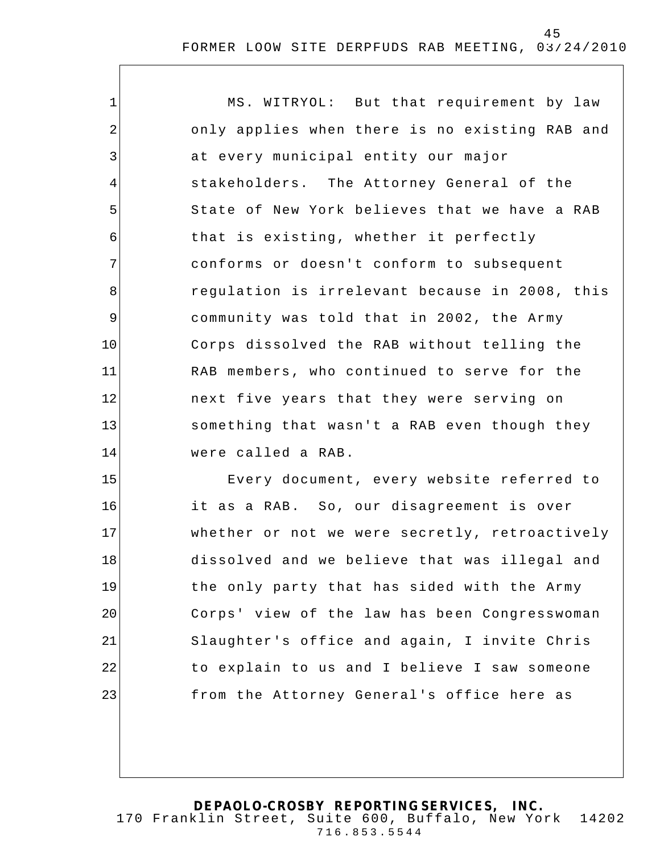| 1              | MS. WITRYOL: But that requirement by law       |
|----------------|------------------------------------------------|
| $\overline{2}$ | only applies when there is no existing RAB and |
| 3              | at every municipal entity our major            |
| $\overline{4}$ | stakeholders. The Attorney General of the      |
| 5              | State of New York believes that we have a RAB  |
| 6              | that is existing, whether it perfectly         |
| 7              | conforms or doesn't conform to subsequent      |
| 8              | regulation is irrelevant because in 2008, this |
| 9              | community was told that in 2002, the Army      |
| 10             | Corps dissolved the RAB without telling the    |
| 11             | RAB members, who continued to serve for the    |
| 12             | next five years that they were serving on      |
| 13             | something that wasn't a RAB even though they   |
| 14             | were called a RAB.                             |
| 15             | Every document, every website referred to      |
| 16             | it as a RAB. So, our disagreement is over      |
| 17             | whether or not we were secretly, retroactively |
| 18             | dissolved and we believe that was illegal and  |
| 19             | the only party that has sided with the Army    |
| 20             | Corps' view of the law has been Congresswoman  |
| 21             | Slaughter's office and again, I invite Chris   |
| 22             | to explain to us and I believe I saw someone   |
| 23             | from the Attorney General's office here as     |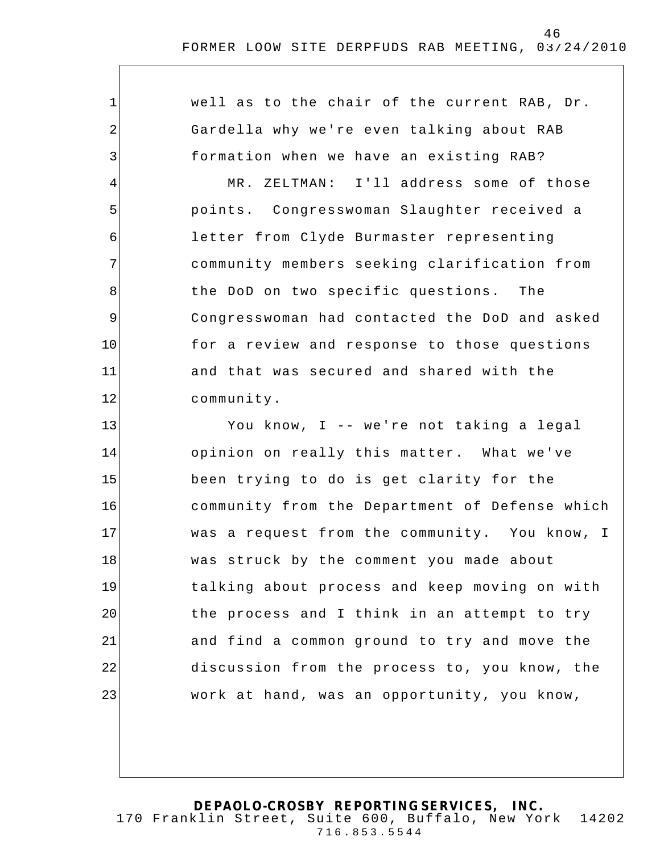1 2 3 4 5 6 7 8 9 10 11 12 13 14 15 16 17 18 19 20 21 22 23 well as to the chair of the current RAB, Dr. Gardella why we're even talking about RAB formation when we have an existing RAB? MR. ZELTMAN: I'll address some of those points. Congresswoman Slaughter received a letter from Clyde Burmaster representing community members seeking clarification from the DoD on two specific questions. The Congresswoman had contacted the DoD and asked for a review and response to those questions and that was secured and shared with the community. You know, I -- we're not taking a legal opinion on really this matter. What we've been trying to do is get clarity for the community from the Department of Defense which was a request from the community. You know, I was struck by the comment you made about talking about process and keep moving on with the process and I think in an attempt to try and find a common ground to try and move the discussion from the process to, you know, the work at hand, was an opportunity, you know,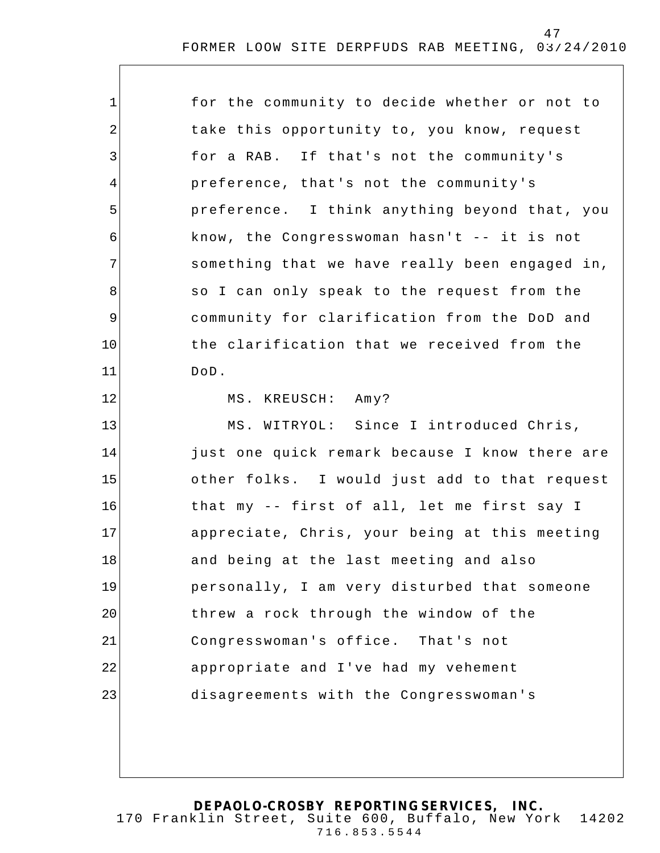| $\mathbf 1$    | for the community to decide whether or not to  |
|----------------|------------------------------------------------|
| 2              | take this opportunity to, you know, request    |
| 3              | for a RAB. If that's not the community's       |
| 4              | preference, that's not the community's         |
| 5              | preference. I think anything beyond that, you  |
| 6              | know, the Congresswoman hasn't -- it is not    |
| 7              | something that we have really been engaged in, |
| 8              | so I can only speak to the request from the    |
| $\overline{9}$ | community for clarification from the DoD and   |
| 10             | the clarification that we received from the    |
| 11             | DoD.                                           |
| 12             | MS. KREUSCH: Amy?                              |
| 13             | MS. WITRYOL: Since I introduced Chris,         |
| 14             | just one quick remark because I know there are |
| 15             | other folks. I would just add to that request  |
| 16             | that my -- first of all, let me first say I    |
| 17             | appreciate, Chris, your being at this meeting  |
| 18             | and being at the last meeting and also         |
| 19             | personally, I am very disturbed that someone   |
| 20             | threw a rock through the window of the         |
| 21             | Congresswoman's office. That's not             |
| 22             | appropriate and I've had my vehement           |
| 23             | disagreements with the Congresswoman's         |
|                |                                                |
|                |                                                |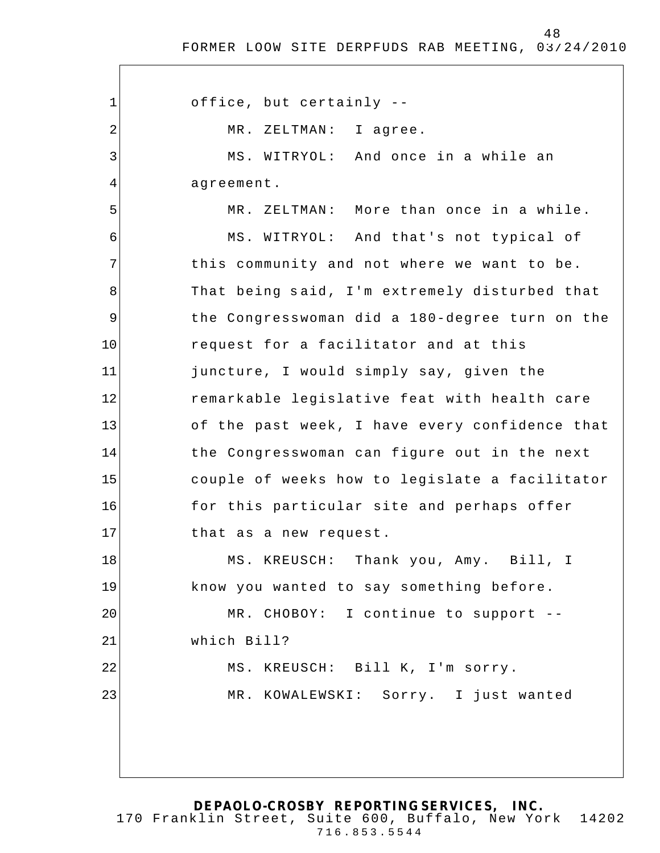1 2 3 4 5 6 7 8 9 10 11 12 13 14 15 16 17 18 19 20 21 22 23 office, but certainly -- MR. ZELTMAN: I agree. MS. WITRYOL: And once in a while an agreement. MR. ZELTMAN: More than once in a while. MS. WITRYOL: And that's not typical of this community and not where we want to be. That being said, I'm extremely disturbed that the Congresswoman did a 180-degree turn on the request for a facilitator and at this juncture, I would simply say, given the remarkable legislative feat with health care of the past week, I have every confidence that the Congresswoman can figure out in the next couple of weeks how to legislate a facilitator for this particular site and perhaps offer that as a new request. MS. KREUSCH: Thank you, Amy. Bill, I know you wanted to say something before. MR. CHOBOY: I continue to support - which Bill? MS. KREUSCH: Bill K, I'm sorry. MR. KOWALEWSKI: Sorry. I just wanted

**DEPAOLO-CROSBY REPORTING SERVICES, INC.** 170 Franklin Street, Suite 600, Buffalo, New York 14202 716.853.5544

48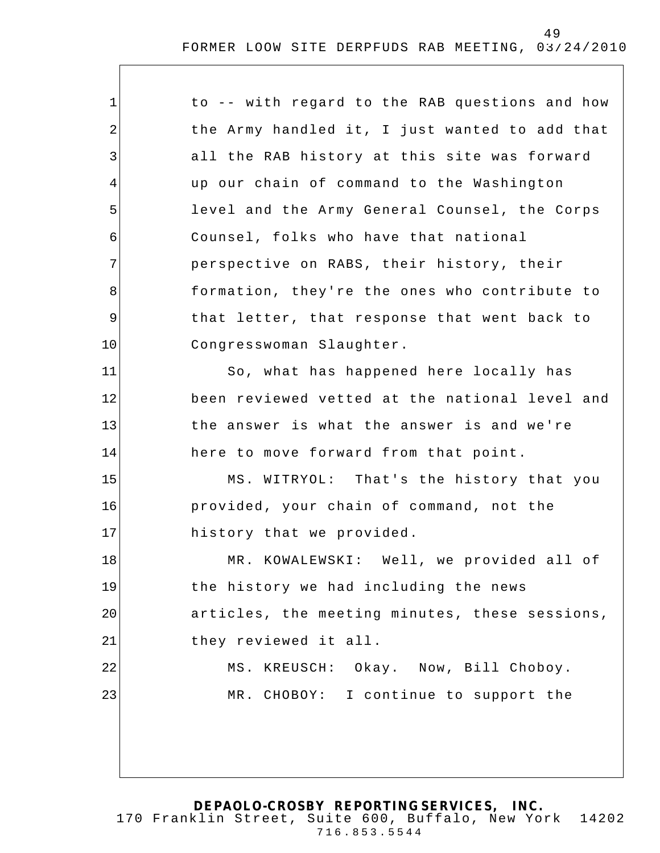| $\mathbf 1$ | to -- with regard to the RAB questions and how |
|-------------|------------------------------------------------|
| 2           | the Army handled it, I just wanted to add that |
| 3           | all the RAB history at this site was forward   |
| 4           | up our chain of command to the Washington      |
| 5           | level and the Army General Counsel, the Corps  |
| 6           | Counsel, folks who have that national          |
| 7           | perspective on RABS, their history, their      |
| 8           | formation, they're the ones who contribute to  |
| 9           | that letter, that response that went back to   |
| 10          | Congresswoman Slaughter.                       |
| 11          | So, what has happened here locally has         |
| 12          | been reviewed vetted at the national level and |
| 13          | the answer is what the answer is and we're     |
| 14          | here to move forward from that point.          |
| 15          | MS. WITRYOL: That's the history that you       |
| 16          | provided, your chain of command, not the       |
| 17          | history that we provided.                      |
| 18          | MR. KOWALEWSKI: Well, we provided all of       |
| 19          | the history we had including the news          |
| 20          | articles, the meeting minutes, these sessions, |
| 21          | they reviewed it all.                          |
| 22          | MS. KREUSCH: Okay. Now, Bill Choboy.           |
| 23          | CHOBOY: I continue to support the<br>MR.       |
|             |                                                |
|             |                                                |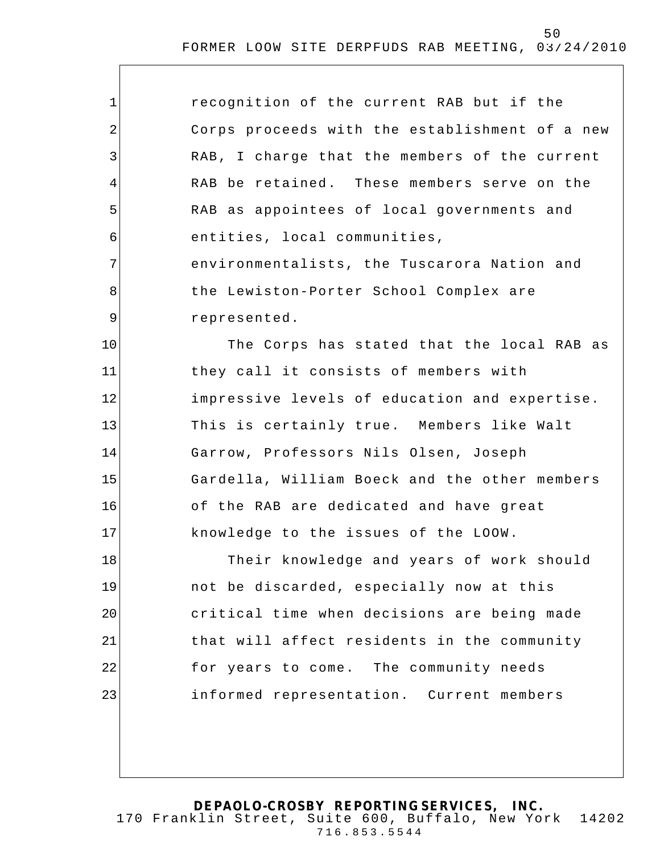| $\mathbf 1$ | recognition of the current RAB but if the      |
|-------------|------------------------------------------------|
| 2           | Corps proceeds with the establishment of a new |
| 3           | RAB, I charge that the members of the current  |
| 4           | RAB be retained. These members serve on the    |
| 5           | RAB as appointees of local governments and     |
| 6           | entities, local communities,                   |
| 7           | environmentalists, the Tuscarora Nation and    |
| 8           | the Lewiston-Porter School Complex are         |
| 9           | represented.                                   |
| 10          | The Corps has stated that the local RAB as     |
| 11          | they call it consists of members with          |
| 12          | impressive levels of education and expertise.  |
| 13          | This is certainly true. Members like Walt      |
| 14          | Garrow, Professors Nils Olsen, Joseph          |
| 15          | Gardella, William Boeck and the other members  |
| 16          | of the RAB are dedicated and have great        |
| 17          | knowledge to the issues of the LOOW.           |
| 18          | Their knowledge and years of work should       |
| 19          | not be discarded, especially now at this       |
| 20          | critical time when decisions are being made    |
| 21          | that will affect residents in the community    |
| 22          | for years to come. The community needs         |
| 23          | informed representation. Current members       |
|             |                                                |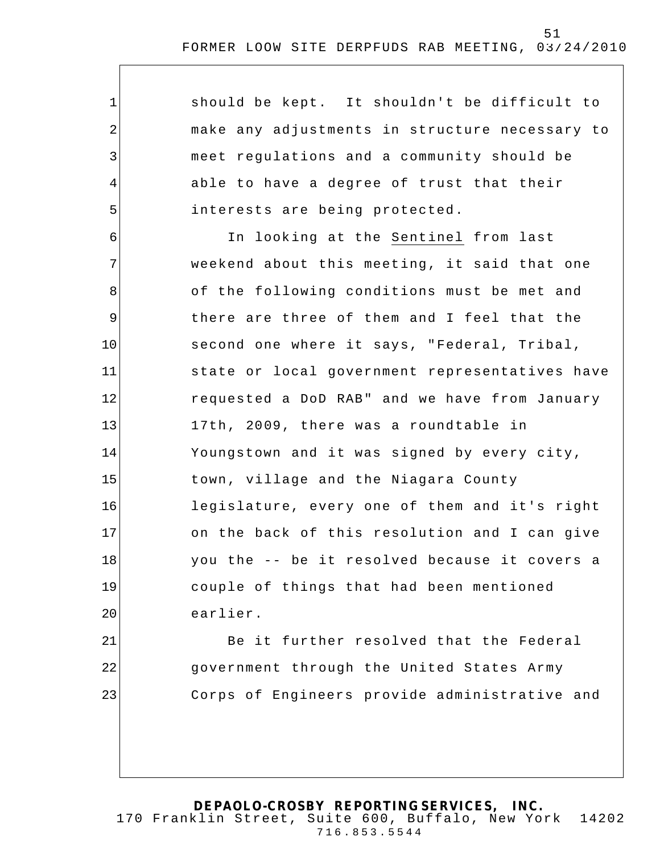1 2 3 4 5 6 7 8 9 10 11 12 13 14 15 16 17 18 19 20 21 22 23 should be kept. It shouldn't be difficult to make any adjustments in structure necessary to meet regulations and a community should be able to have a degree of trust that their interests are being protected. In looking at the Sentinel from last weekend about this meeting, it said that one of the following conditions must be met and there are three of them and I feel that the second one where it says, "Federal, Tribal, state or local government representatives have requested a DoD RAB" and we have from January 17th, 2009, there was a roundtable in Youngstown and it was signed by every city, town, village and the Niagara County legislature, every one of them and it's right on the back of this resolution and I can give you the -- be it resolved because it covers a couple of things that had been mentioned earlier. Be it further resolved that the Federal government through the United States Army Corps of Engineers provide administrative and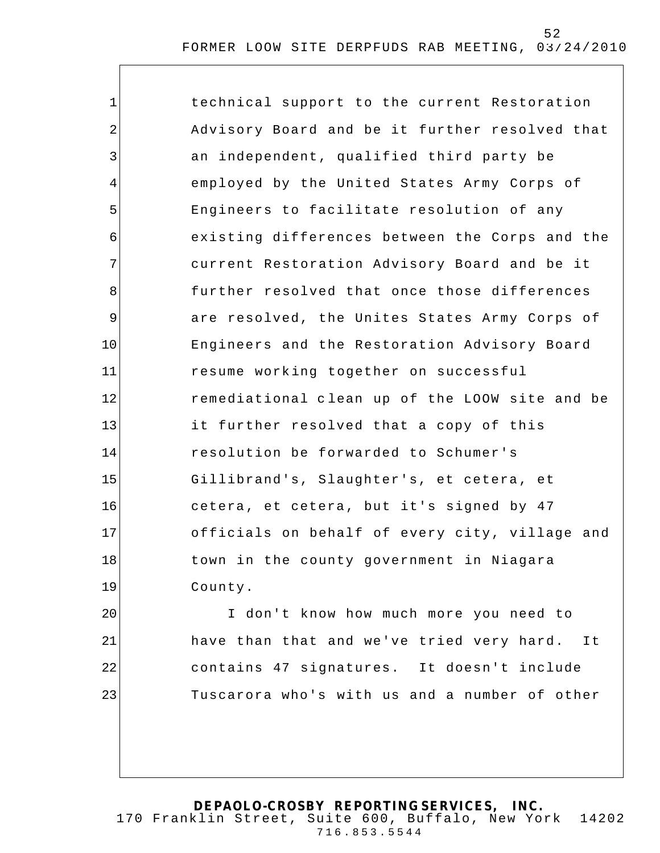| $\mathbf 1$ | technical support to the current Restoration   |
|-------------|------------------------------------------------|
| 2           | Advisory Board and be it further resolved that |
| 3           | an independent, qualified third party be       |
| 4           | employed by the United States Army Corps of    |
| 5           | Engineers to facilitate resolution of any      |
| 6           | existing differences between the Corps and the |
| 7           | current Restoration Advisory Board and be it   |
| 8           | further resolved that once those differences   |
| $\mathsf 9$ | are resolved, the Unites States Army Corps of  |
| 10          | Engineers and the Restoration Advisory Board   |
| 11          | resume working together on successful          |
| 12          | remediational clean up of the LOOW site and be |
| 13          | it further resolved that a copy of this        |
| 14          | resolution be forwarded to Schumer's           |
| 15          | Gillibrand's, Slaughter's, et cetera, et       |
| 16          | cetera, et cetera, but it's signed by 47       |
| 17          | officials on behalf of every city, village and |
| 18          | town in the county government in Niagara       |
| 19          | County.                                        |
| 20          | I don't know how much more you need to         |
| 21          | have than that and we've tried very hard. It   |
| 22          | contains 47 signatures. It doesn't include     |
| 23          | Tuscarora who's with us and a number of other  |
|             |                                                |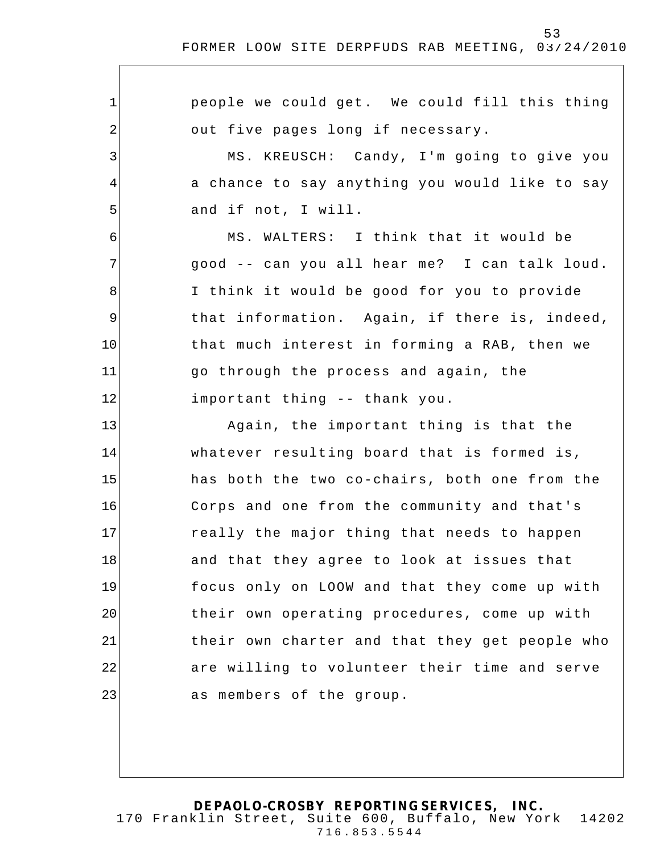1 2 3 4 5 6 7 8 9 10 11 12 13 14 15 16 17 18 19 20 21 22 23 people we could get. We could fill this thing out five pages long if necessary. MS. KREUSCH: Candy, I'm going to give you a chance to say anything you would like to say and if not, I will. MS. WALTERS: I think that it would be good -- can you all hear me? I can talk loud. I think it would be good for you to provide that information. Again, if there is, indeed, that much interest in forming a RAB, then we go through the process and again, the important thing -- thank you. Again, the important thing is that the whatever resulting board that is formed is, has both the two co-chairs, both one from the Corps and one from the community and that's really the major thing that needs to happen and that they a gree to look at issues that focus only on LOOW and that they come up with their own operating procedures, come up with their own charter and that they get people who are willing to volunteer their time and serve as members of the group.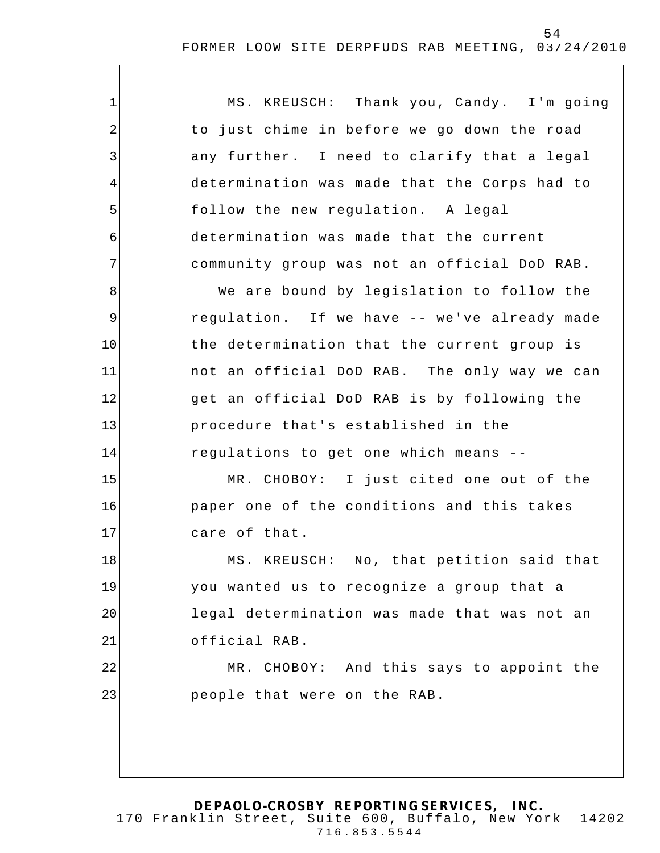| $\mathbf{1}$   | MS. KREUSCH: Thank you, Candy. I'm going     |
|----------------|----------------------------------------------|
| $\overline{2}$ | to just chime in before we go down the road  |
| 3              | any further. I need to clarify that a legal  |
| 4              | determination was made that the Corps had to |
| 5              | follow the new regulation. A legal           |
| 6              | determination was made that the current      |
| 7              | community group was not an official DoD RAB. |
| 8              | We are bound by legislation to follow the    |
| 9              | regulation. If we have -- we've already made |
| 10             | the determination that the current group is  |
| 11             | not an official DoD RAB. The only way we can |
| 12             | get an official DoD RAB is by following the  |
| 13             | procedure that's established in the          |
| 14             | regulations to get one which means --        |
| 15             | MR. CHOBOY: I just cited one out of the      |
| 16             | paper one of the conditions and this takes   |
| 17             | care of that.                                |
| 18             | MS. KREUSCH: No, that petition said that     |
| 19             | you wanted us to recognize a group that a    |
| 20             | legal determination was made that was not an |
| 21             | official RAB.                                |
| 22             | MR. CHOBOY: And this says to appoint the     |
| 23             | people that were on the RAB.                 |
|                |                                              |
|                |                                              |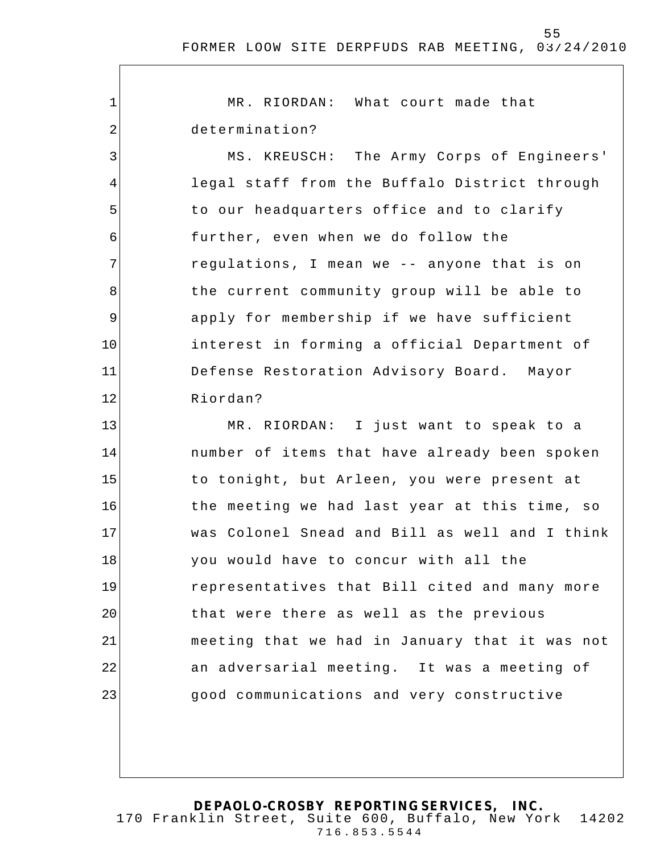55

1 2 3 4 5 6 7 8 9 10 11 12 13 14 15 16 17 18 19 20 21 22 23 MR. RIORDAN: What court made that determination? MS. KREUSCH: The Army Corps of Engineers' legal staff from the Buffalo District through to our headquarters office and to clarify further, even when we do follow the regulations, I mean we -- anyone that is on the current community group will be able to apply for membership if we have sufficient interest in forming a official Department of Defense Restoration Advisory Board. Mayor Riordan? MR. RIORDAN: I just want to speak to a number of items that have already been spoken to tonight, but Arleen, you were present at the meeting we had last year at this time, so was Colonel Snead and Bill as well and I think you would have to concur with all the representatives that Bill cited and many more that were there as well as the previous meeting that we had in January that it was not an adversarial meeting. It was a meeting of good communications and very constructive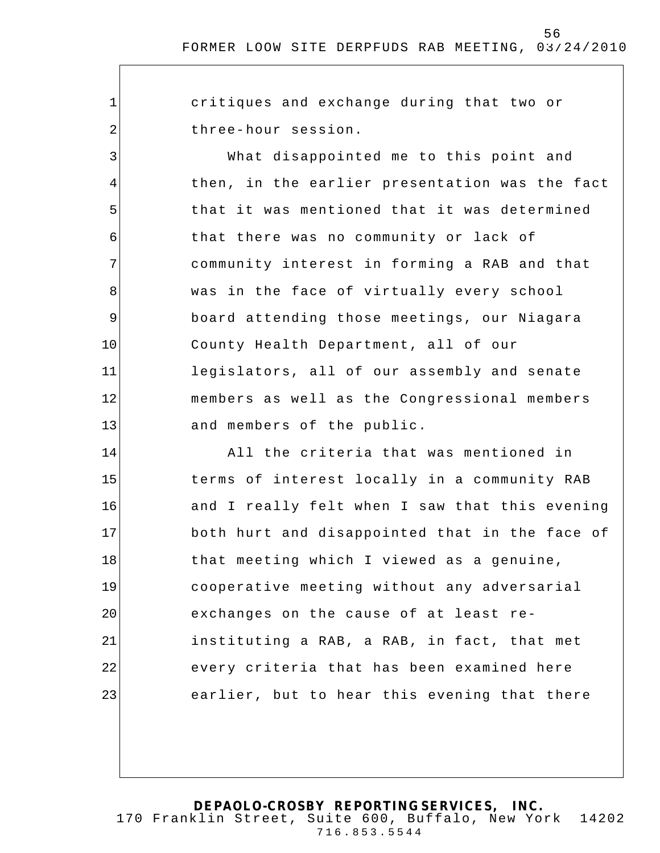critiques and exchange during that two or three-hour session.

1

2

3

4

5

6

7

8

9

10

11

12

13

What disappointed me to this point and then, in the earlier presentation was the fact that it was mentioned that it was determined that there was no community or lack of community interest in forming a RAB and that was in the face of virtually every school board attending those meetings, our Niagara County Health Department, all of our legislators, all of our assembly and senate members as well as the Congressional members and members of the public.

14 15 16 17 18 19 20 21 22 23 All the criteria that was mentioned in terms of interest locally in a community RAB and I really felt when I saw that this evening both hurt and disappointed that in the face of that meeting which I viewed as a genuine, cooperative meeting without any adversarial exchanges on the cause of at least reinstituting a RAB, a RAB, in fact, that met every criteria that has been examined here earlier, but to hear this evening that there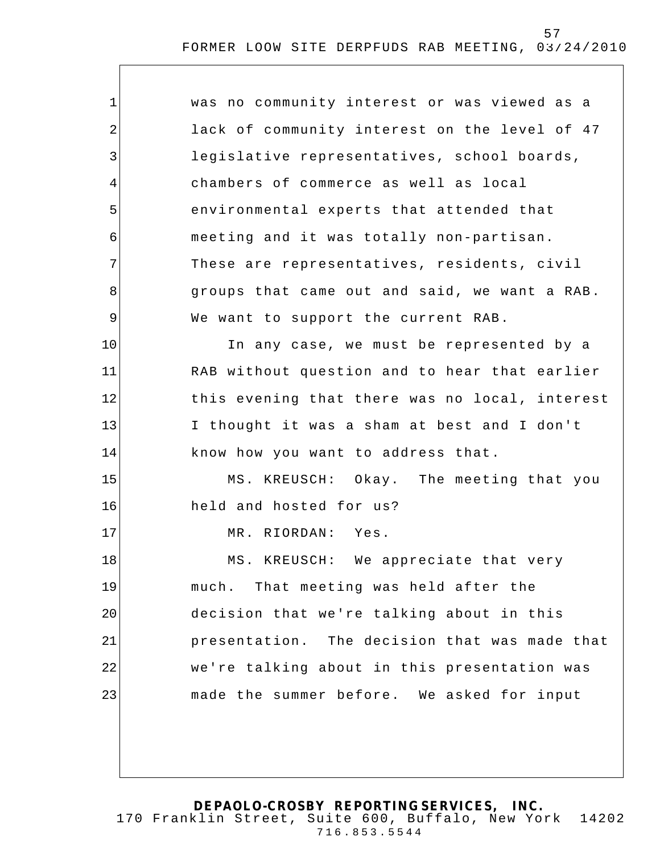| $\mathbf{1}$ | was no community interest or was viewed as a   |
|--------------|------------------------------------------------|
| 2            | lack of community interest on the level of 47  |
| 3            | legislative representatives, school boards,    |
| 4            | chambers of commerce as well as local          |
| 5            | environmental experts that attended that       |
| 6            | meeting and it was totally non-partisan.       |
| 7            | These are representatives, residents, civil    |
| 8            | groups that came out and said, we want a RAB.  |
| 9            | We want to support the current RAB.            |
| 10           | In any case, we must be represented by a       |
| 11           | RAB without question and to hear that earlier  |
| 12           | this evening that there was no local, interest |
| 13           | I thought it was a sham at best and I don't    |
| 14           | know how you want to address that.             |
| 15           | MS. KREUSCH: Okay. The meeting that you        |
| 16           | held and hosted for us?                        |
| 17           | MR. RIORDAN: Yes.                              |
| 18           | MS. KREUSCH:<br>We appreciate that very        |
| 19           | much. That meeting was held after the          |
| 20           | decision that we're talking about in this      |
| 21           | presentation. The decision that was made that  |
| 22           | we're talking about in this presentation was   |
| 23           | made the summer before. We asked for input     |
|              |                                                |
|              |                                                |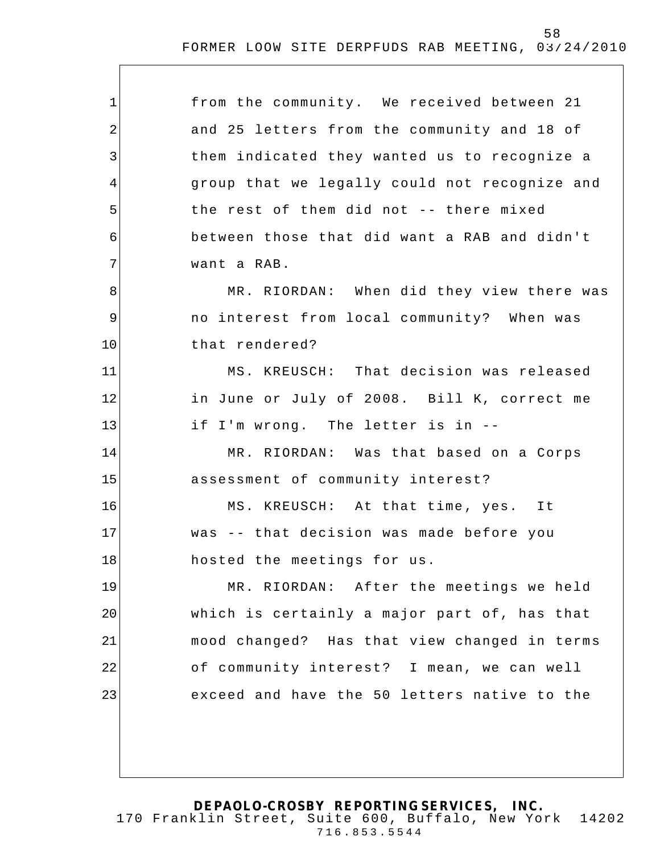| $\mathbf 1$ | from the community. We received between 21    |
|-------------|-----------------------------------------------|
| 2           | and 25 letters from the community and 18 of   |
| 3           | them indicated they wanted us to recognize a  |
| 4           | group that we legally could not recognize and |
| 5           | the rest of them did not -- there mixed       |
| 6           | between those that did want a RAB and didn't  |
| 7           | want a RAB.                                   |
| 8           | MR. RIORDAN: When did they view there was     |
| $\mathsf 9$ | no interest from local community? When was    |
| 10          | that rendered?                                |
| 11          | MS. KREUSCH: That decision was released       |
| 12          | in June or July of 2008. Bill K, correct me   |
| 13          | if I'm wrong. The letter is in --             |
| 14          | MR. RIORDAN: Was that based on a Corps        |
| 15          | assessment of community interest?             |
| 16          | MS. KREUSCH: At that time, yes. It            |
| 17          | was -- that decision was made before you      |
| 18          | hosted the meetings for us.                   |
| 19          | MR. RIORDAN: After the meetings we held       |
| 20          | which is certainly a major part of, has that  |
| 21          | mood changed? Has that view changed in terms  |
| 22          | of community interest? I mean, we can well    |
| 23          | exceed and have the 50 letters native to the  |
|             |                                               |
|             |                                               |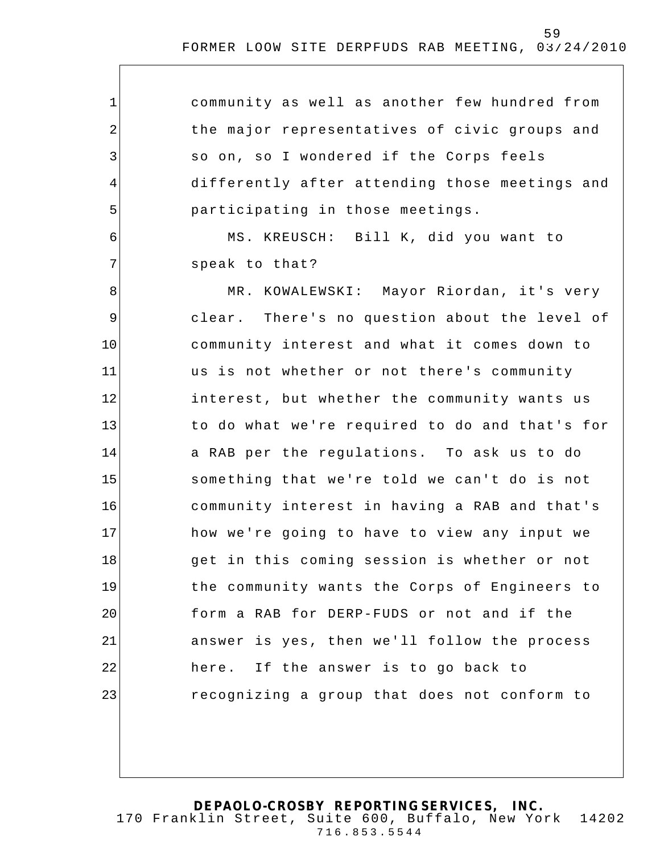| $\mathbf 1$ | community as well as another few hundred from  |
|-------------|------------------------------------------------|
| 2           | the major representatives of civic groups and  |
| 3           | so on, so I wondered if the Corps feels        |
| 4           | differently after attending those meetings and |
| 5           | participating in those meetings.               |
| 6           | MS. KREUSCH: Bill K, did you want to           |
| 7           | speak to that?                                 |
| 8           | MR. KOWALEWSKI: Mayor Riordan, it's very       |
| 9           | clear. There's no question about the level of  |
| 10          | community interest and what it comes down to   |
| 11          | us is not whether or not there's community     |
| 12          | interest, but whether the community wants us   |
| 13          | to do what we're required to do and that's for |
| 14          | a RAB per the regulations. To ask us to do     |
| 15          | something that we're told we can't do is not   |
| 16          | community interest in having a RAB and that's  |
| 17          | how we're going to have to view any input we   |
| 18          | get in this coming session is whether or not   |
| 19          | the community wants the Corps of Engineers to  |
| 20          | form a RAB for DERP-FUDS or not and if the     |
| 21          | answer is yes, then we'll follow the process   |
| 22          | here. If the answer is to go back to           |
| 23          | recognizing a group that does not conform to   |
|             |                                                |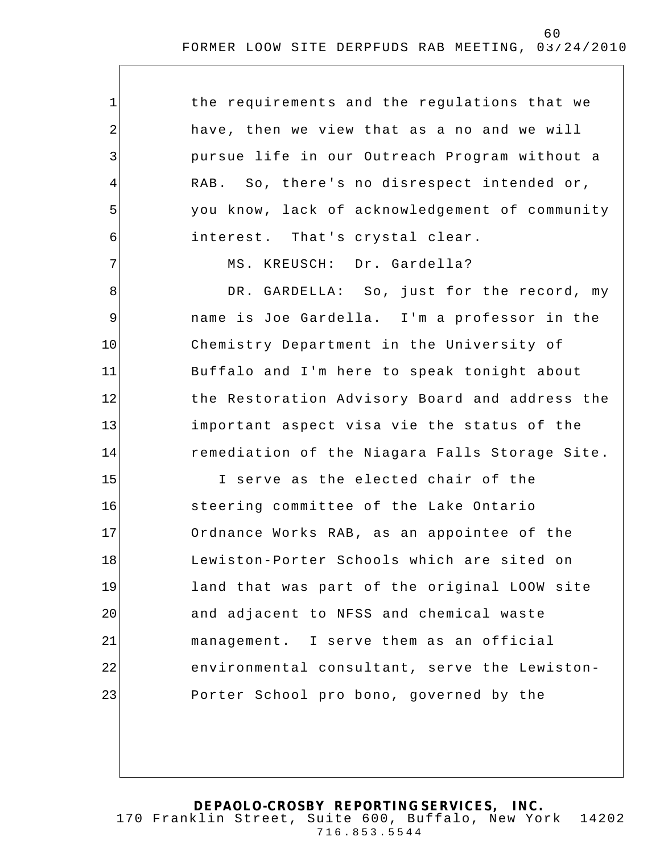the requirements and the regulations that we have, then we view that as a no and we will pursue life in our Outreach Program without a RAB. So, there's no disrespect intended or, you know, lack of acknowledgement of community interest. That's crystal clear.

MS. KREUSCH: Dr. Gardella?

1

2

3

4

5

6

7

8

9

10

11

12

13

14

DR. GARDELLA: So, just for the record, my name is Joe Gardella. I'm a professor in the Chemistry Department in the University of Buffalo and I'm here to speak tonight about the Restoration Advisory Board and address the important aspect visa vie the status of the remediation of the Niagara Falls Storage Site .

15 16 17 18 19 20 21 22 23 I serve as the elected chair of the steering committee of the Lake Ontario Ordnance Works RAB, as an appointee of the Lewiston-Porter Schools which are sited on land that was part of the original LOOW site and adjacent to NFSS and chemical waste management. I serve them as an official environmental consultant, serve the Lewiston-Porter School pro bono, governed by the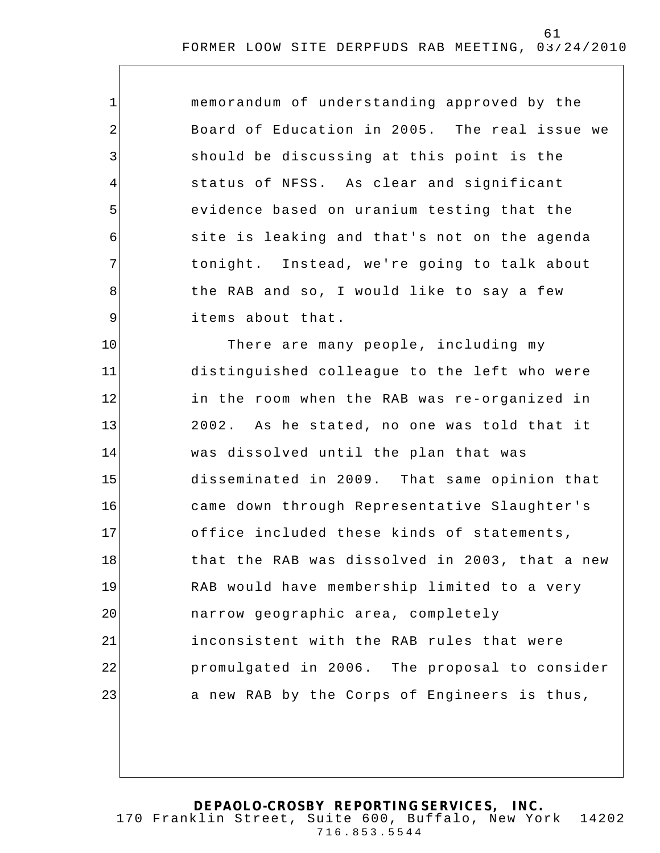| $\mathbf 1$    | memorandum of understanding approved by the    |
|----------------|------------------------------------------------|
| $\overline{2}$ | Board of Education in 2005. The real issue we  |
| 3              | should be discussing at this point is the      |
| 4              | status of NFSS. As clear and significant       |
| 5              | evidence based on uranium testing that the     |
| 6              | site is leaking and that's not on the agenda   |
| 7              | tonight. Instead, we're going to talk about    |
| 8              | the RAB and so, I would like to say a few      |
| $\mathsf 9$    | items about that.                              |
| 10             | There are many people, including my            |
| 11             | distinguished colleague to the left who were   |
| 12             | in the room when the RAB was re-organized in   |
| 13             | 2002. As he stated, no one was told that it    |
| 14             | was dissolved until the plan that was          |
| 15             | disseminated in 2009. That same opinion that   |
| 16             | came down through Representative Slaughter's   |
| 17             | office included these kinds of statements,     |
| 18             | that the RAB was dissolved in 2003, that a new |
| 19             | RAB would have membership limited to a very    |
| 20             | narrow geographic area, completely             |
| 21             | inconsistent with the RAB rules that were      |
| 22             | promulgated in 2006. The proposal to consider  |
| 23             | a new RAB by the Corps of Engineers is thus,   |
|                |                                                |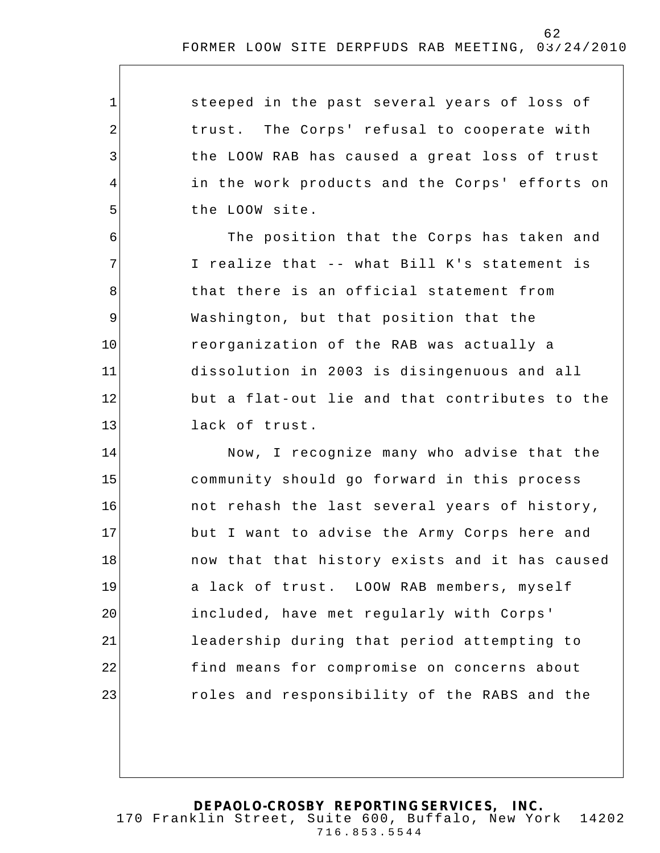| $\mathbf{1}$   | steeped in the past several years of loss of   |
|----------------|------------------------------------------------|
| $\overline{2}$ | trust. The Corps' refusal to cooperate with    |
| 3              | the LOOW RAB has caused a great loss of trust  |
| 4              | in the work products and the Corps' efforts on |
| 5              | the LOOW site.                                 |
| 6              | The position that the Corps has taken and      |
| 7              | I realize that -- what Bill K's statement is   |
| 8              | that there is an official statement from       |
| $\mathsf 9$    | Washington, but that position that the         |
| 10             | reorganization of the RAB was actually a       |
| 11             | dissolution in 2003 is disingenuous and all    |
| 12             | but a flat-out lie and that contributes to the |
| 13             | lack of trust.                                 |
| 14             | Now, I recognize many who advise that the      |
| 15             | community should go forward in this process    |
| 16             | not rehash the last several years of history,  |
| 17             | but I want to advise the Army Corps here and   |
| 18             | now that that history exists and it has caused |
| 19             | a lack of trust. LOOW RAB members, myself      |
| 20             | included, have met regularly with Corps'       |
| 21             | leadership during that period attempting to    |
| 22             | find means for compromise on concerns about    |
| 23             | roles and responsibility of the RABS and the   |
|                |                                                |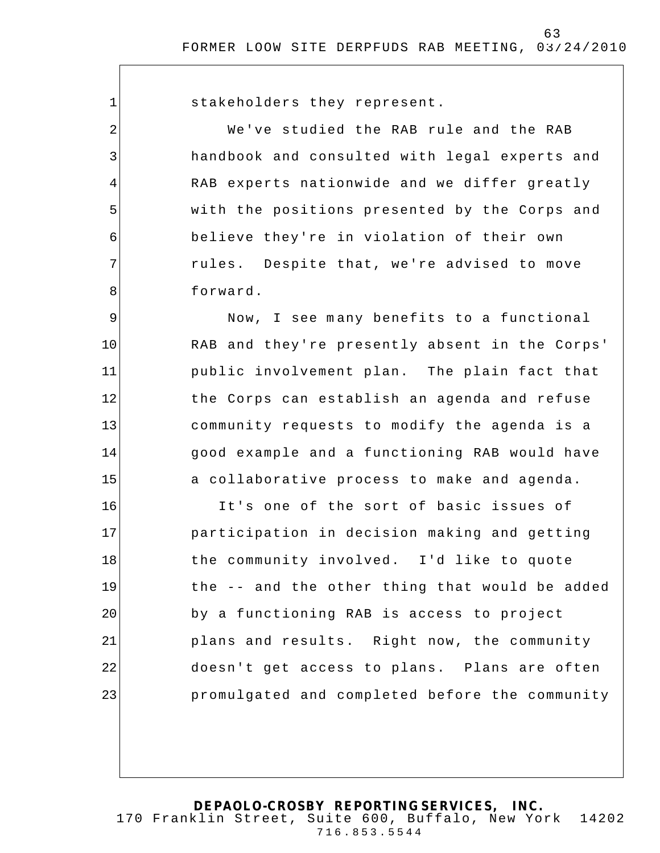stakeholders they represent.

1

2

3

4

5

6

7

8

9

10

11

12

13

14

15

We've studied the RAB rule and the RAB handbook and consulted with legal experts and RAB experts nationwide and we differ greatly with the positions presented by the Corps and believe they're in violation of their own rules. Despite that, we're advised to move forward.

Now, I see m any benefits to a functional RAB and they're presently absent in the Corps' public involvement plan. The plain fact that the Corps can establish an agenda and refuse community requests to modify the agenda is a good example and a functioning RAB would have a collaborative process to make and agenda.

16 17 18 19 20 21 22 23 It's one of the sort of basic issues of participation in decision making and getting the community involved. I'd like to quote the -- and the other thing that would be added by a functioning RAB is access to project plans and results. Right now, the community doesn't get access to plans. Plans are often promulgated and completed before the community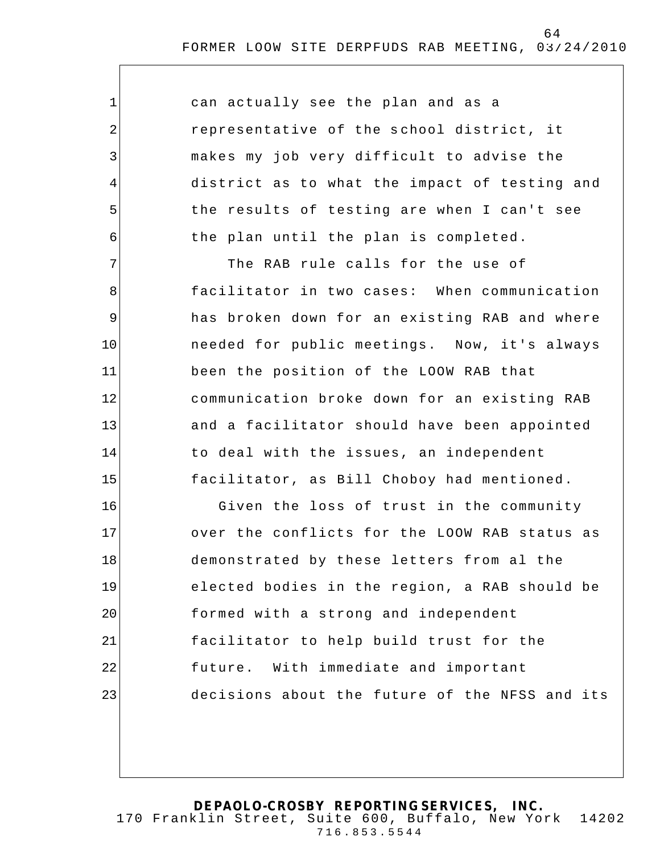| can actually see the plan and as a            |
|-----------------------------------------------|
| representative of the school district, it     |
| makes my job very difficult to advise the     |
| district as to what the impact of testing and |
| the results of testing are when I can't see   |
| the plan until the plan is completed.         |

1

2

3

4

5

6

7 8 9 10 11 12 13 14 15 The RAB rule calls for the use of facilitator in two cases: When communication has broken down for an existing RAB and where needed for public meetings. Now, it's always been the position of the LOOW RAB that communication broke down for an existing RAB and a facilitator should have been appointed to deal with the issues, an independent facilitator, as Bill Choboy had mentioned.

16 17 18 19 20 21 22 23 Given the loss of trust in the community over the conflicts for the LOOW RAB status as demonstrated by these letters from al the elected bodies in the region, a RAB should be formed with a strong and independent facilitator to help build trust for the future. With immediate and important decisions about the future of the NFSS and its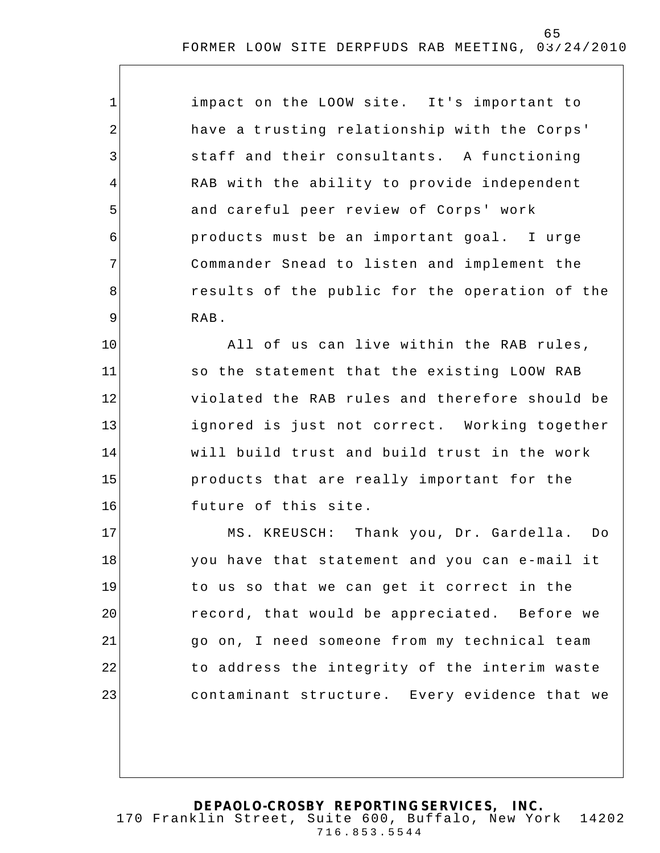impact on the LOOW site. It's important to have a trusting relationship with the Corps' staff and their consultants. A functioning RAB with the ability to provide independent and careful peer review of Corps' work products must be an important goal. I urge Commander Snead to listen and implement the results of the public for the operation of the RAB.

1

2

3

4

5

6

7

8

9

10 11 12 13 14 15 16 All of us can live within the RAB rules, so the statement that the existing LOOW RAB violated the RAB rules and therefore should be ignored is just not correct. Working together will build trust and build trust in the work products that are really important for the future of this site.

17 18 19 20 21 22 23 MS. KREUSCH: Thank you, Dr. Gardella. Do you have that statement and you can e-mail it to us so that we can get it correct in the record, that would be appreciated. Before we go on, I need someone from my technical team to address the integrity of the interim waste contaminant structure. Every evidence that we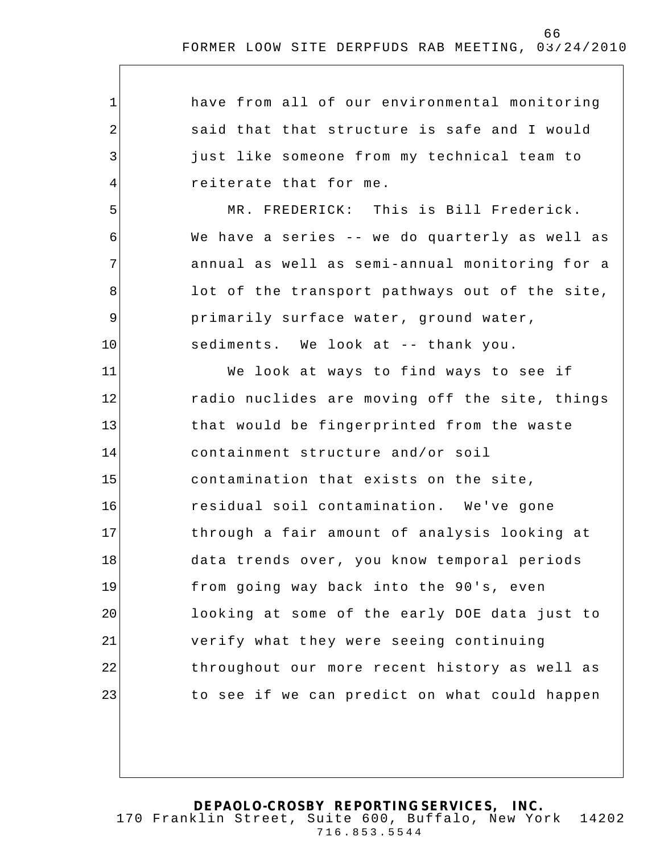| $\mathbf{1}$   | have from all of our environmental monitoring  |
|----------------|------------------------------------------------|
| $\overline{2}$ | said that that structure is safe and I would   |
| 3              | just like someone from my technical team to    |
| 4              | reiterate that for me.                         |
| 5              | MR. FREDERICK: This is Bill Frederick.         |
| 6              | We have a series -- we do quarterly as well as |
| 7              | annual as well as semi-annual monitoring for a |
| 8              | lot of the transport pathways out of the site, |
| 9              | primarily surface water, ground water,         |
| 10             | sediments. We look at -- thank you.            |
| 11             | We look at ways to find ways to see if         |
| 12             | radio nuclides are moving off the site, things |
| 13             | that would be fingerprinted from the waste     |
| 14             | containment structure and/or soil              |
| 15             | contamination that exists on the site,         |
| 16             | residual soil contamination. We've gone        |
| 17             | through a fair amount of analysis looking at   |
| 18             | data trends over, you know temporal periods    |
| 19             | from going way back into the 90's, even        |
| 20             | looking at some of the early DOE data just to  |
| 21             | verify what they were seeing continuing        |
| 22             | throughout our more recent history as well as  |
| 23             | to see if we can predict on what could happen  |
|                |                                                |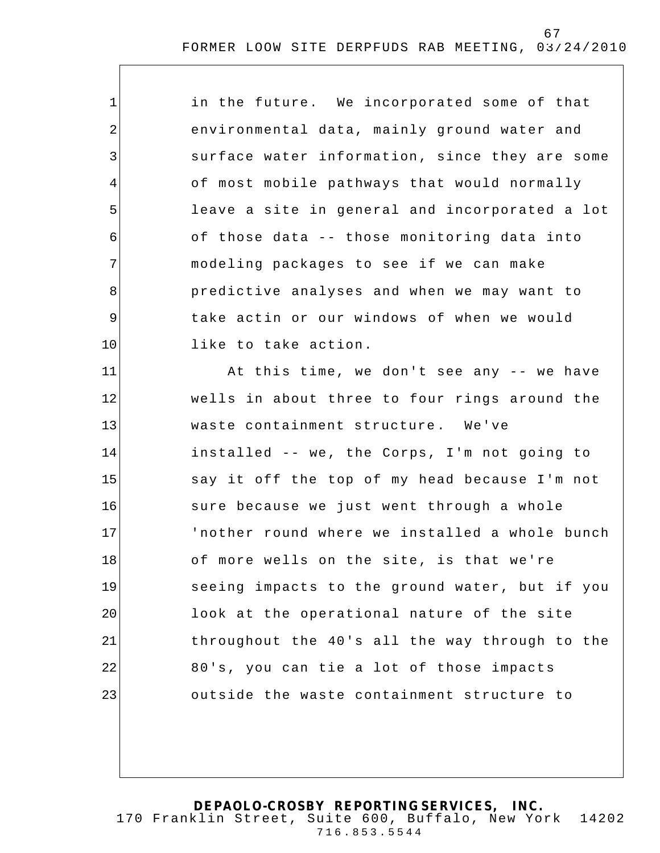| $\mathbf{1}$   | in the future. We incorporated some of that    |
|----------------|------------------------------------------------|
| $\overline{2}$ | environmental data, mainly ground water and    |
| $\mathfrak{Z}$ | surface water information, since they are some |
| 4              | of most mobile pathways that would normally    |
| 5              | leave a site in general and incorporated a lot |
| 6              | of those data -- those monitoring data into    |
| 7              | modeling packages to see if we can make        |
| 8              | predictive analyses and when we may want to    |
| $\mathsf 9$    | take actin or our windows of when we would     |
| 10             | like to take action.                           |
| 11             | At this time, we don't see any -- we have      |
| 12             | wells in about three to four rings around the  |
| 13             | waste containment structure. We've             |
| 14             | installed -- we, the Corps, I'm not going to   |
| 15             | say it off the top of my head because I'm not  |
| 16             | sure because we just went through a whole      |
| 17             | 'nother round where we installed a whole bunch |
| 18             | of more wells on the site, is that we're       |
| 19             | seeing impacts to the ground water, but if you |
| 20             | look at the operational nature of the site     |
| 21             | throughout the 40's all the way through to the |
| 22             | 80's, you can tie a lot of those impacts       |
| 23             | outside the waste containment structure to     |
|                |                                                |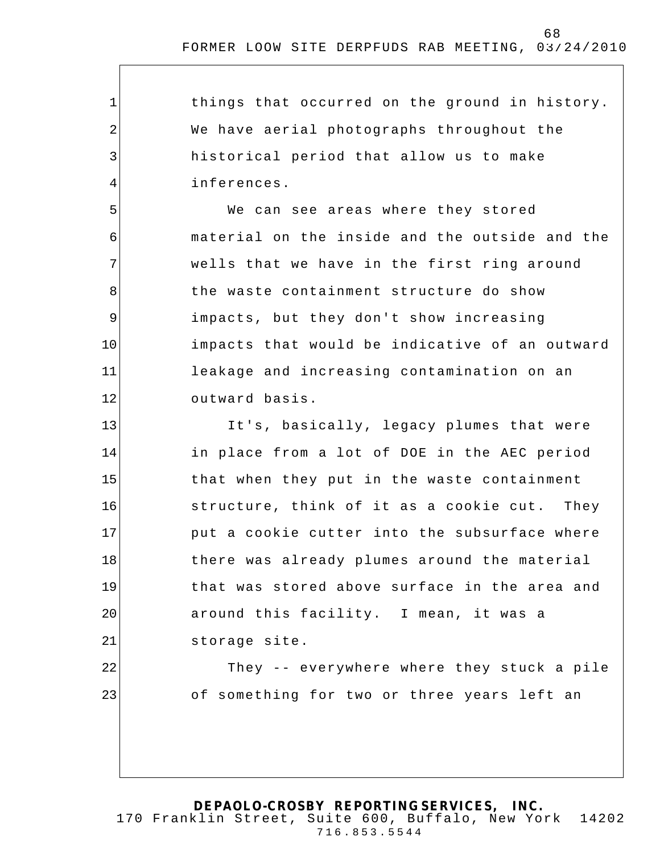things that occurred on the ground in history. We have aerial photographs throughout the historical period that allow us to make inferences.

1

2

3

4

5

6

7

8

9

10

11

12

22

23

We can see areas where they stored material on the inside and the outside and the wells that we have in the first ring around the waste containment structure do show impacts, but they don't show increasing impacts that would be indicative of an outward leakage and increasing contamination on an outward basis.

13 14 15 16 17 18 19 20 21 It's, basically, legacy plumes that were in place from a lot of DOE in the AEC period that when they put in the waste containment structure, think of it as a cookie cut. They put a cookie cutter into the subsurface where there was already plumes around the material that was stored above surface in the area and around this facility. I mean, it was a storage site.

> They -- everywhere where they stuck a pile of something for two or three years left an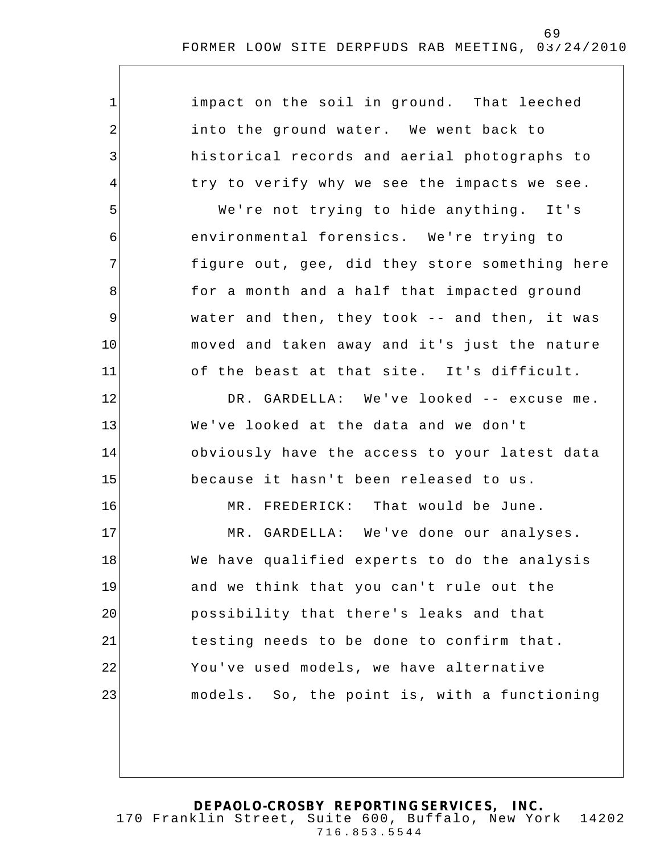| $\mathbf{1}$   | impact on the soil in ground. That leeched     |
|----------------|------------------------------------------------|
| $\overline{2}$ | into the ground water. We went back to         |
| $\overline{3}$ | historical records and aerial photographs to   |
| 4              | try to verify why we see the impacts we see.   |
| 5              | We're not trying to hide anything. It's        |
| 6              | environmental forensics. We're trying to       |
| 7              | figure out, gee, did they store something here |
| 8              | for a month and a half that impacted ground    |
| 9              | water and then, they took -- and then, it was  |
| 10             | moved and taken away and it's just the nature  |
| 11             | of the beast at that site. It's difficult.     |
| 12             | DR. GARDELLA: We've looked -- excuse me.       |
| 13             | We've looked at the data and we don't          |
| 14             | obviously have the access to your latest data  |
| 15             | because it hasn't been released to us.         |
| 16             | MR. FREDERICK: That would be June.             |
| 17             | MR. GARDELLA: We've done our analyses.         |
| 18             | We have qualified experts to do the analysis   |
| 19             | and we think that you can't rule out the       |
| 20             | possibility that there's leaks and that        |
| 21             | testing needs to be done to confirm that.      |
| 22             | You've used models, we have alternative        |
| 23             | models. So, the point is, with a functioning   |
|                |                                                |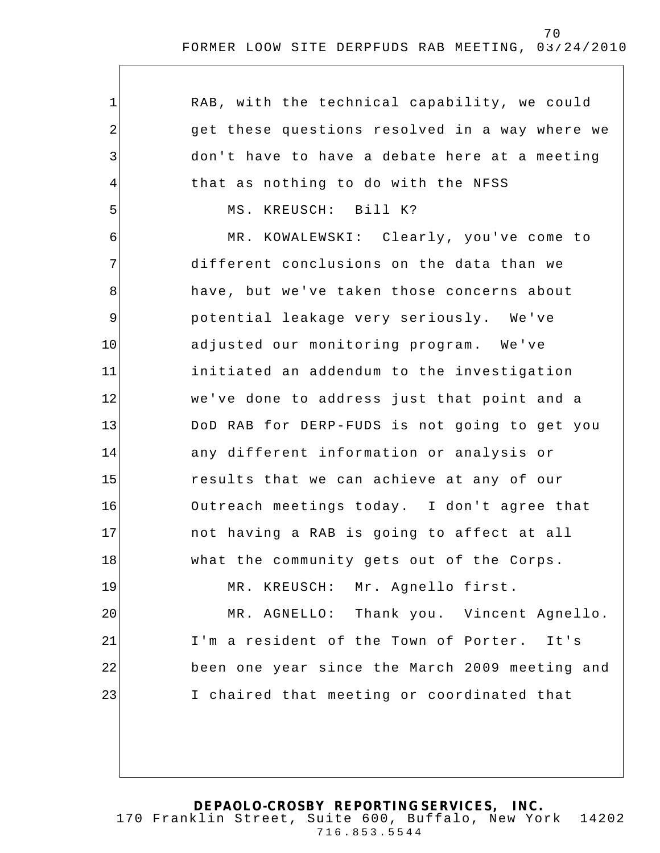| $\mathbf 1$ | RAB, with the technical capability, we could   |
|-------------|------------------------------------------------|
| 2           | get these questions resolved in a way where we |
| 3           | don't have to have a debate here at a meeting  |
| 4           | that as nothing to do with the NFSS            |
| 5           | MS. KREUSCH: Bill K?                           |
| 6           | MR. KOWALEWSKI: Clearly, you've come to        |
| 7           | different conclusions on the data than we      |
| 8           | have, but we've taken those concerns about     |
| 9           | potential leakage very seriously. We've        |
| 10          | adjusted our monitoring program. We've         |
| 11          | initiated an addendum to the investigation     |
| 12          | we've done to address just that point and a    |
| 13          | DoD RAB for DERP-FUDS is not going to get you  |
| 14          | any different information or analysis or       |
| 15          | results that we can achieve at any of our      |
| 16          | Outreach meetings today. I don't agree that    |
| 17          | not having a RAB is going to affect at all     |
| 18          | what the community gets out of the Corps.      |
| 19          | MR. KREUSCH: Mr. Agnello first.                |
| 20          | MR. AGNELLO: Thank you. Vincent Agnello.       |
| 21          | I'm a resident of the Town of Porter. It's     |
| 22          | been one year since the March 2009 meeting and |
| 23          | I chaired that meeting or coordinated that     |
|             |                                                |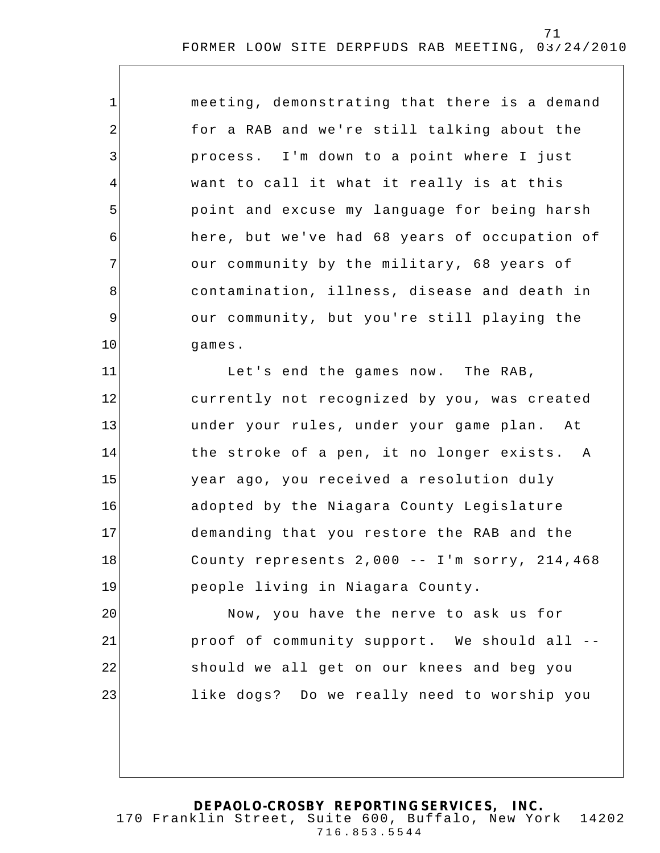1 2 3 4 5 6 7 8 9 10 11 12 13 14 15 16 17 meeting, demonstrating that there is a demand for a RAB and we're still talking about the process. I'm down to a point where I just want to call it what it really is at this point and excuse my language for being harsh here, but we've had 68 years of occupation of our community by the military, 68 years of contamination, illness, disease and death in our community, but you're still playing the games. Let's end the games now. The RAB, currently not recognized by you, was created under your rules, under your game plan. At the stroke of a pen, it no longer exists. A year ago, you received a resolution duly adopted by the Niagara County Legislature demanding that you restore the RAB and the

County represents 2,000 -- I'm sorry, 214,468 people living in Niagara County.

18

19

20 21 22 23 Now, you have the nerve to ask us for proof of community support. We should all - should we all get on our knees and beg you like dogs? Do we really need to worship you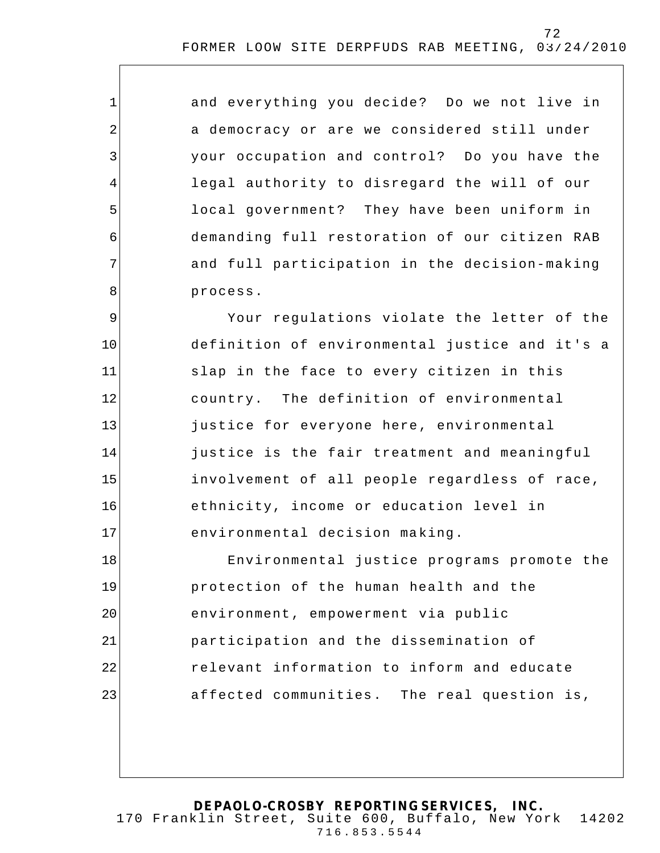and everything you decide? Do we not live in a democracy or are we considered still under your occupation and control? Do you have the legal authority to disregard the will of our local government? They have been uniform in demanding full restoration of our citizen RAB and full participation in the decision-making process.

1

2

3

4

5

6

7

8

9 10 11 12 13 14 15 16 17 Your regulations violate the letter of the definition of environmental justice and it's a slap in the face to every citizen in this country. The definition of environmental justice for everyone here, environmental justice is the fair treatment and meaningful involvement of all people regardless of race, ethnicity, income or education level in environmental decision making.

18 19 20 21 22 23 Environmental justice programs promote the protection of the human health and the environment, empowerment via public participation and the dissemination of relevant information to inform and educate affected communities. The real question is,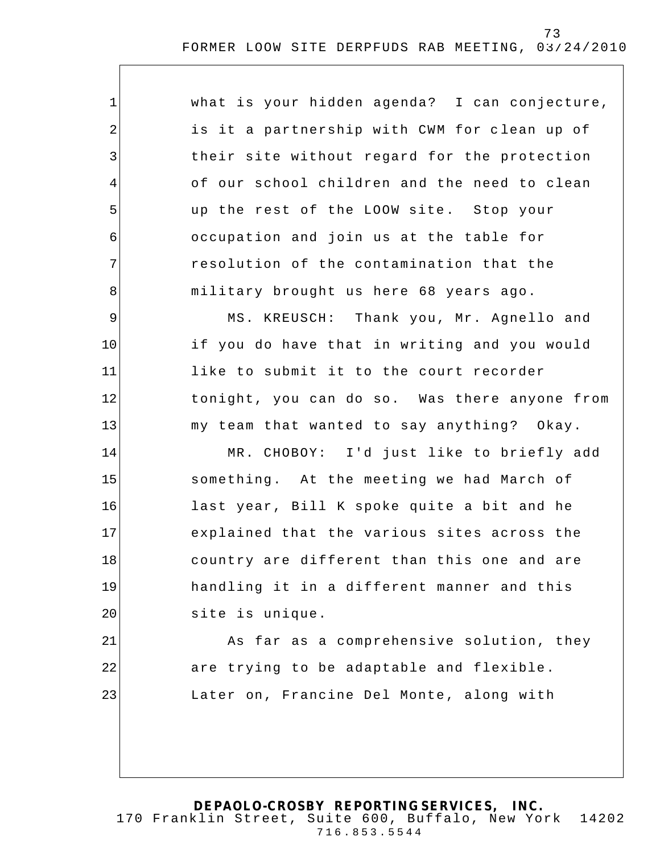| $\mathbf 1$    | what is your hidden agenda? I can conjecture, |
|----------------|-----------------------------------------------|
| $\overline{2}$ | is it a partnership with CWM for clean up of  |
| 3              | their site without regard for the protection  |
| $\overline{4}$ | of our school children and the need to clean  |
| 5              | up the rest of the LOOW site. Stop your       |
| 6              | occupation and join us at the table for       |
| 7              | resolution of the contamination that the      |
| 8              | military brought us here 68 years ago.        |
| $\mathsf 9$    | MS. KREUSCH: Thank you, Mr. Agnello and       |
| 10             | if you do have that in writing and you would  |
| 11             | like to submit it to the court recorder       |
| 12             | tonight, you can do so. Was there anyone from |
| 13             | my team that wanted to say anything? Okay.    |
| 14             | MR. CHOBOY: I'd just like to briefly add      |
| 15             | something. At the meeting we had March of     |
| 16             | last year, Bill K spoke quite a bit and he    |
| 17             | explained that the various sites across the   |
| 18             | country are different than this one and are   |
| 19             | handling it in a different manner and this    |
| 20             | site is unique.                               |
| 21             | As far as a comprehensive solution, they      |
| 22             | are trying to be adaptable and flexible.      |
| 23             | Later on, Francine Del Monte, along with      |
|                |                                               |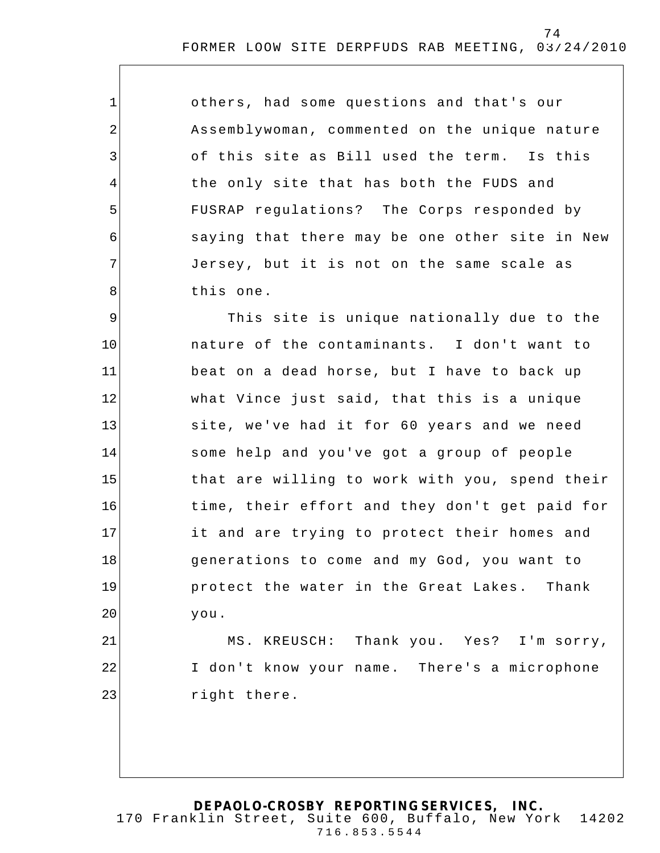others, had some questions and that's our Assemblywoman, commented on the unique nature of this site as Bill used the term. Is this the only site that has both the FUDS and FUSRAP regulations? The Corps responded by saying that there may be one other site in New Jersey, but it is not on the same scale as this one.

1

2

3

4

5

6

7

8

21

22

23

9 10 11 12 13 14 15 16 17 18 19 20 This site is unique nationally due to the nature of the contaminants. I don't want to beat on a dead horse, but I have to back up what Vince just said, that this is a unique site, we've had it for 60 years and we need some help and you've got a group of people that are willing to work with you, spend their time, their effort and they don't get paid for it and are trying to protect their homes and generations to come and my God, you want to protect the water in the Great Lakes. Thank you.

MS. KREUSCH: Thank you. Yes? I'm sorry, I don't know your name. There's a microphone right there.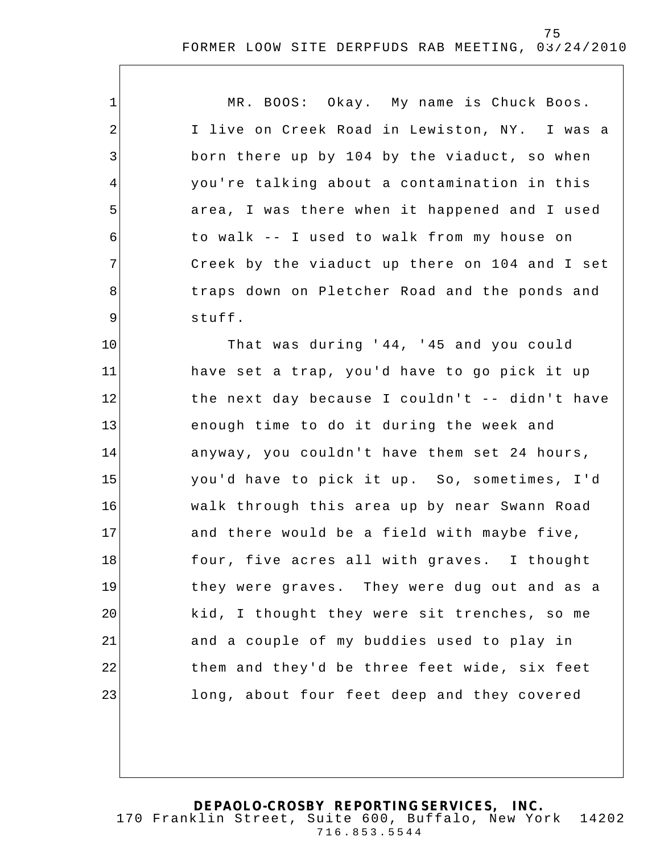| $\mathbf 1$    | MR. BOOS: Okay. My name is Chuck Boos.         |
|----------------|------------------------------------------------|
| 2              | I live on Creek Road in Lewiston, NY. I was a  |
| 3              | born there up by 104 by the viaduct, so when   |
| 4              | you're talking about a contamination in this   |
| 5              | area, I was there when it happened and I used  |
| 6              | to walk -- I used to walk from my house on     |
| 7 <sup>1</sup> | Creek by the viaduct up there on 104 and I set |
| 8              | traps down on Pletcher Road and the ponds and  |
| 9              | stuff.                                         |
| 10             | That was during '44, '45 and you could         |
| 11             | have set a trap, you'd have to go pick it up   |
| 12             | the next day because I couldn't -- didn't have |
| 13             | enough time to do it during the week and       |
| 14             | anyway, you couldn't have them set 24 hours,   |
| 15             | you'd have to pick it up. So, sometimes, I'd   |
| 16             | walk through this area up by near Swann Road   |
| 17             | and there would be a field with maybe five,    |
| 18             | four, five acres all with graves. I thought    |
| 19             | they were graves. They were dug out and as a   |

**DEPAOLO-CROSBY REPORTING SERVICES, INC.** 170 Franklin Street, Suite 600, Buffalo, New York 14202 716.853.5544

kid, I thought they were sit trenches, so me

them and they'd be three feet wide, six feet

long, about four feet deep and they covered

and a couple of my buddies used to play in

20

21

22

23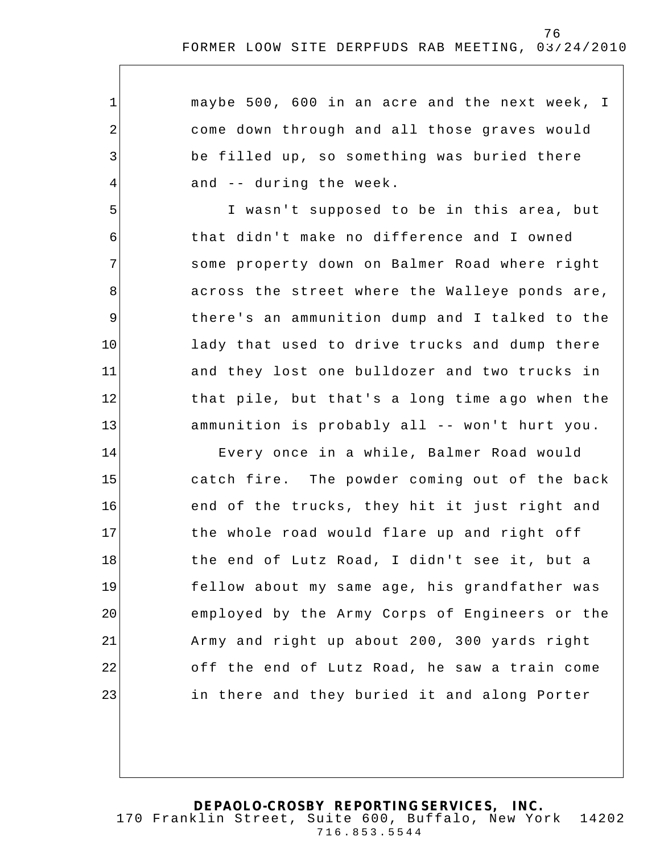maybe 500, 600 in an acre and the next week, I come down through and all those graves would be filled up, so something was buried there and -- during the week.

1

2

3

4

5

6

7

8

9

10

11

12

13

I wasn't supposed to be in this area, but that didn't make no difference and I owned some property down on Balmer Road where right across the street where the Walleye ponds are, there's an ammunition dump and I talked to the lady that used to drive trucks and dump there and they lost one bulldozer and two trucks in that pile, but that's a long time ago when the ammunition is probably all -- won't hurt you.

14 15 16 17 18 19 20 21 22 23 Every once in a while, Balmer Road would catch fire. The powder coming out of the back end of the trucks, they hit it just right and the whole road would flare up and right off the end of Lutz Road, I didn't see it, but a fellow about my same age, his grandfather was employed by the Army Corps of Engineers or the Army and right up about 200, 300 yards right off the end of Lutz Road, he saw a train come in there and they buried it and along Porter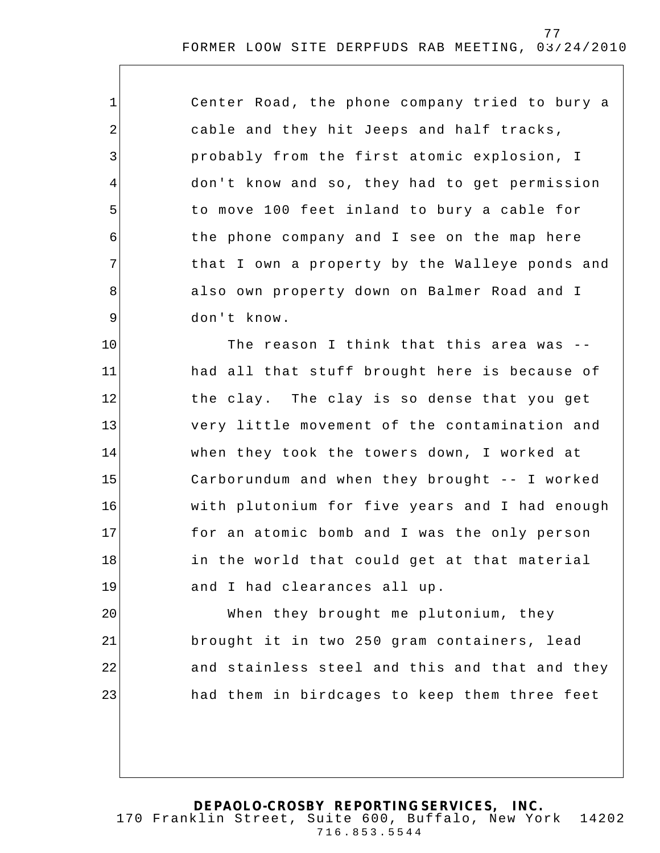| $\mathbf 1$    | Center Road, the phone company tried to bury a |
|----------------|------------------------------------------------|
| $\sqrt{2}$     | cable and they hit Jeeps and half tracks,      |
| 3              | probably from the first atomic explosion, I    |
| $\overline{4}$ | don't know and so, they had to get permission  |
| 5              | to move 100 feet inland to bury a cable for    |
| 6              | the phone company and I see on the map here    |
| 7              | that I own a property by the Walleye ponds and |
| 8              | also own property down on Balmer Road and I    |
| $\mathsf 9$    | don't know.                                    |
| 10             | The reason I think that this area was --       |
| 11             | had all that stuff brought here is because of  |
| 12             | the clay. The clay is so dense that you get    |
| 13             | very little movement of the contamination and  |
| 14             | when they took the towers down, I worked at    |
| 15             | Carborundum and when they brought -- I worked  |
| 16             | with plutonium for five years and I had enough |
| 17             | for an atomic bomb and I was the only person   |
| 18             | in the world that could get at that material   |
| 19             | and I had clearances all up.                   |
| 20             | When they brought me plutonium, they           |
| 21             | brought it in two 250 gram containers, lead    |
| 22             | and stainless steel and this and that and they |
| 23             | had them in birdcages to keep them three feet  |
|                |                                                |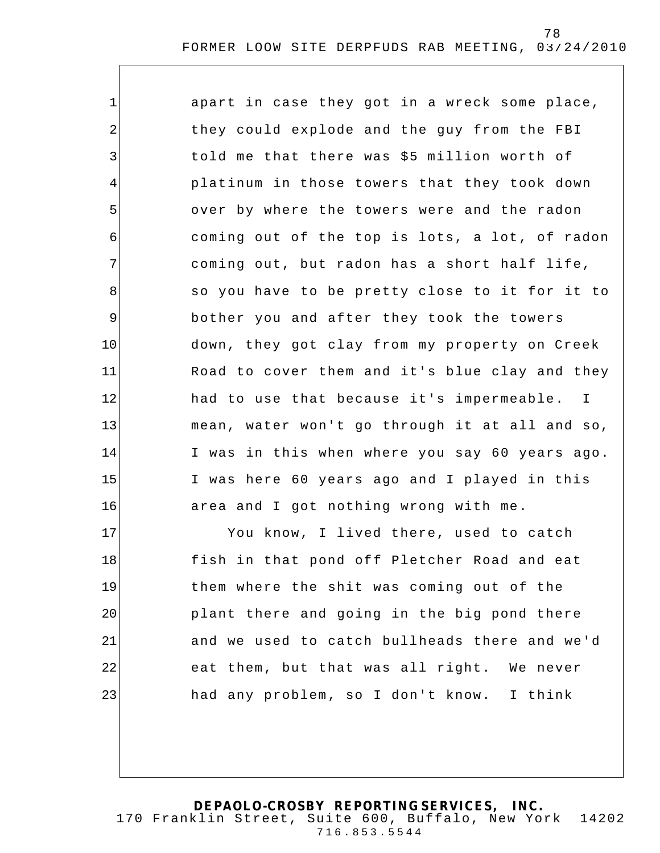| $\mathbf 1$ | apart in case they got in a wreck some place,  |
|-------------|------------------------------------------------|
| 2           | they could explode and the guy from the FBI    |
| 3           | told me that there was \$5 million worth of    |
| 4           | platinum in those towers that they took down   |
| 5           | over by where the towers were and the radon    |
| 6           | coming out of the top is lots, a lot, of radon |
| 7           | coming out, but radon has a short half life,   |
| 8           | so you have to be pretty close to it for it to |
| 9           | bother you and after they took the towers      |
| 10          | down, they got clay from my property on Creek  |
| 11          | Road to cover them and it's blue clay and they |
| 12          | had to use that because it's impermeable. I    |
| 13          | mean, water won't go through it at all and so, |
| 14          | I was in this when where you say 60 years ago. |
| 15          | I was here 60 years ago and I played in this   |
| 16          | area and I got nothing wrong with me.          |
| 17          | You know, I lived there, used to catch         |
| 18          | fish in that pond off Pletcher Road and eat    |
| 19          | them where the shit was coming out of the      |
| 20          | plant there and going in the big pond there    |
| 21          | and we used to catch bullheads there and we'd  |

had any problem, so I don't know. I think

eat them, but that was all right. We never

22

23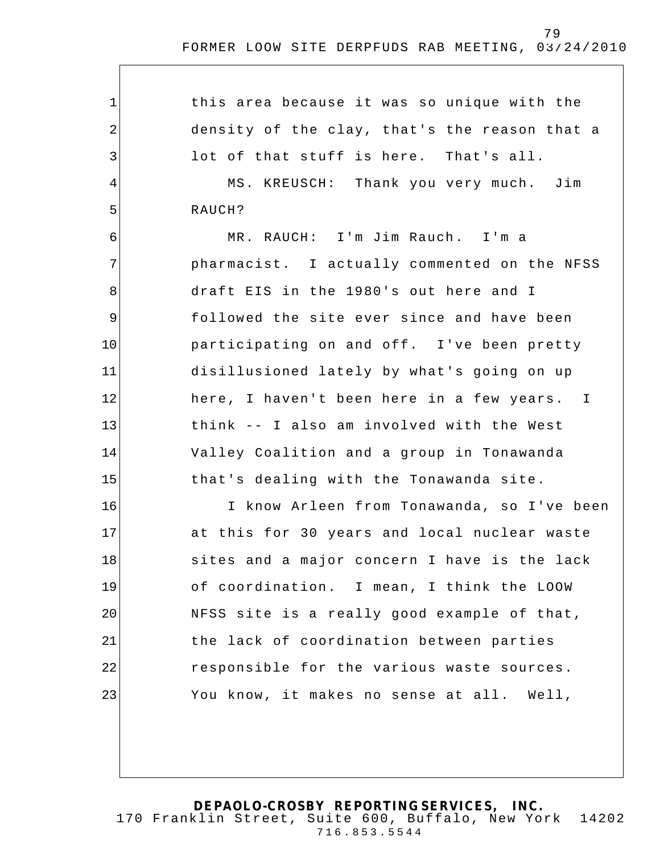1 2 3 4 5 6 7 8 9 10 11 12 13 14 15 16 17 18 19 20 21 22 23 this area because it was so unique with the density of the clay, that's the reason that a lot of that stuff is here. That's all. MS. KREUSCH: Thank you very much. Jim RAUCH? MR. RAUCH: I'm Jim Rauch. I'm a pharmacist. I actually commented on the NFSS draft EIS in the 1980's out here and I followed the site ever since and have been participating on and off. I've been pretty disillusioned lately by what's going on up here, I haven't been here in a few years. I think -- I also am involved with the West Valley Coalition and a group in Tonawanda that's dealing with the Tonawanda site. I know Arleen from Tonawanda, so I've been at this for 30 years and local nuclear waste sites and a major concern I have is the lack of coordination. I mean, I think the LOOW NFSS site is a really good example of that, the lack of coordination between parties responsible for the various waste sources. You know, it makes no sense at all. Well,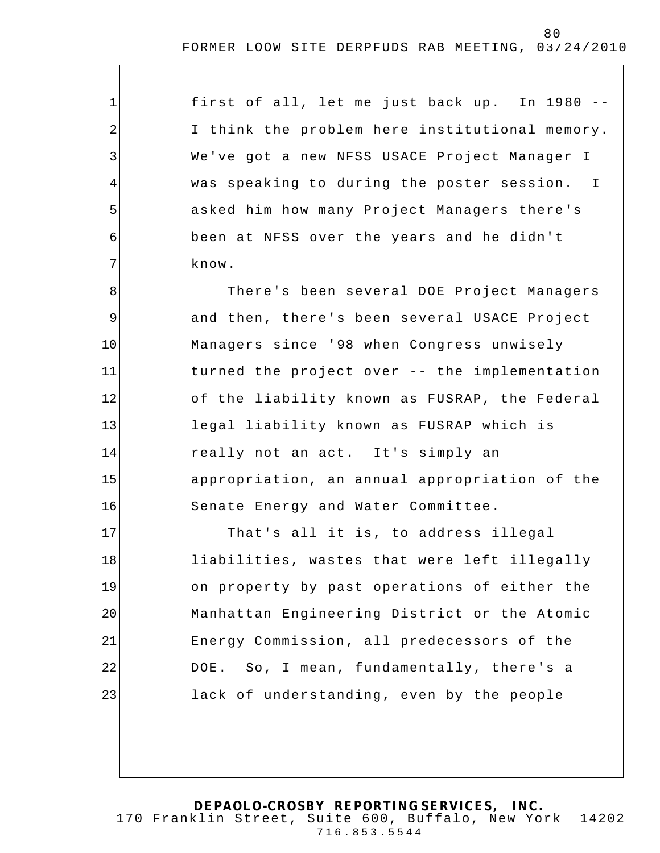| first of all, let me just back up. In 1980 --  |
|------------------------------------------------|
| I think the problem here institutional memory. |
| We've got a new NFSS USACE Project Manager I   |
| was speaking to during the poster session. I   |
| asked him how many Project Managers there's    |
| been at NFSS over the years and he didn't      |
| know.                                          |

1

2

3

4

5

6

7

8 9 10 11 12 13 14 15 16 There's been several DOE Project Managers and then, there's been several USACE Project Managers since '98 when Congress unwisely turned the project over -- the implementation of the liability known as FUSRAP, the Federal legal liability known as FUSRAP which is really not an act. It's simply an appropriation, an annual appropriation of the Senate Energy and Water Committee.

17 18 19 20 21 22 23 That's all it is, to address illegal liabilities, wastes that were left illegally on property by past operations of either the Manhattan Engineering District or the Atomic Energy Commission, all predecessors of the DOE. So, I mean, fundamentally, there's a lack of understanding, even by the people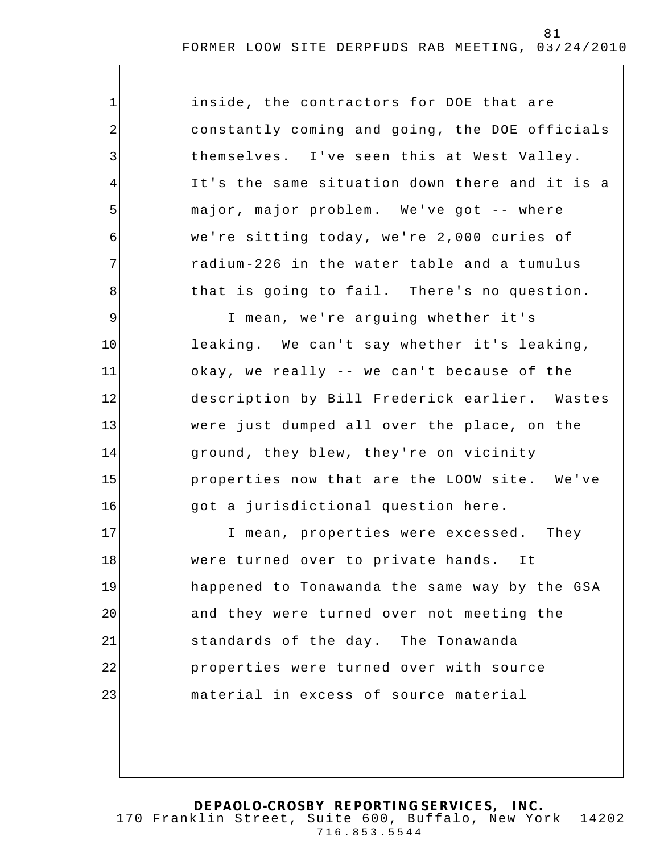| $\mathbf 1$    | inside, the contractors for DOE that are       |
|----------------|------------------------------------------------|
| 2              | constantly coming and going, the DOE officials |
| 3              | themselves. I've seen this at West Valley.     |
| $\overline{4}$ | It's the same situation down there and it is a |
| 5              | major, major problem. We've got -- where       |
| 6              | we're sitting today, we're 2,000 curies of     |
| 7              | radium-226 in the water table and a tumulus    |
| 8              | that is going to fail. There's no question.    |
| $\mathsf 9$    | I mean, we're arguing whether it's             |
| 10             | leaking. We can't say whether it's leaking,    |
| 11             | okay, we really -- we can't because of the     |
| 12             | description by Bill Frederick earlier. Wastes  |
| 13             | were just dumped all over the place, on the    |
| 14             | ground, they blew, they're on vicinity         |
| 15             | properties now that are the LOOW site. We've   |
| 16             | got a jurisdictional question here.            |
| 17             | I mean, properties were excessed. They         |
| 18             | were turned over to private hands.<br>It       |
| 19             | happened to Tonawanda the same way by the GSA  |
| 20             | and they were turned over not meeting the      |
| 21             | standards of the day. The Tonawanda            |
| 22             | properties were turned over with source        |
| 23             | material in excess of source material          |
|                |                                                |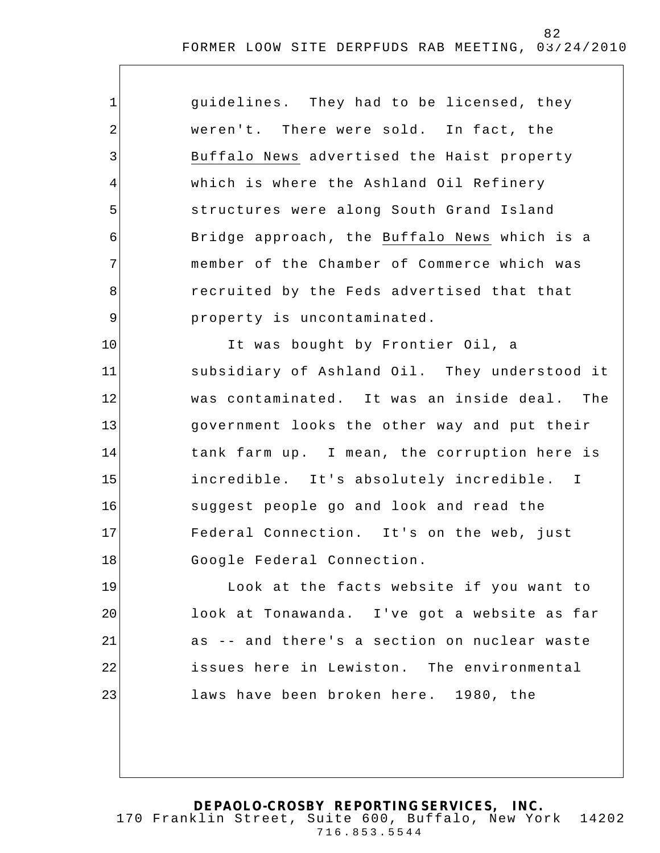| $\mathbf 1$    | guidelines. They had to be licensed, they     |
|----------------|-----------------------------------------------|
| $\overline{2}$ | weren't. There were sold. In fact, the        |
| 3              | Buffalo News advertised the Haist property    |
| 4              | which is where the Ashland Oil Refinery       |
| 5              | structures were along South Grand Island      |
| 6              | Bridge approach, the Buffalo News which is a  |
| 7              | member of the Chamber of Commerce which was   |
| 8              | recruited by the Feds advertised that that    |
| $\mathsf 9$    | property is uncontaminated.                   |
| 10             | It was bought by Frontier Oil, a              |
| 11             | subsidiary of Ashland Oil. They understood it |
| 12             | was contaminated. It was an inside deal. The  |
| 13             | government looks the other way and put their  |
| 14             | tank farm up. I mean, the corruption here is  |
| 15             | incredible. It's absolutely incredible. I     |
| 16             | suggest people go and look and read the       |
| 17             | Federal Connection. It's on the web, just     |
| 18             | Google Federal Connection.                    |
| 19             | Look at the facts website if you want to      |
| 20             | look at Tonawanda. I've got a website as far  |
| 21             | as -- and there's a section on nuclear waste  |
| 22             | issues here in Lewiston. The environmental    |
| 23             | laws have been broken here. 1980, the         |
|                |                                               |
|                |                                               |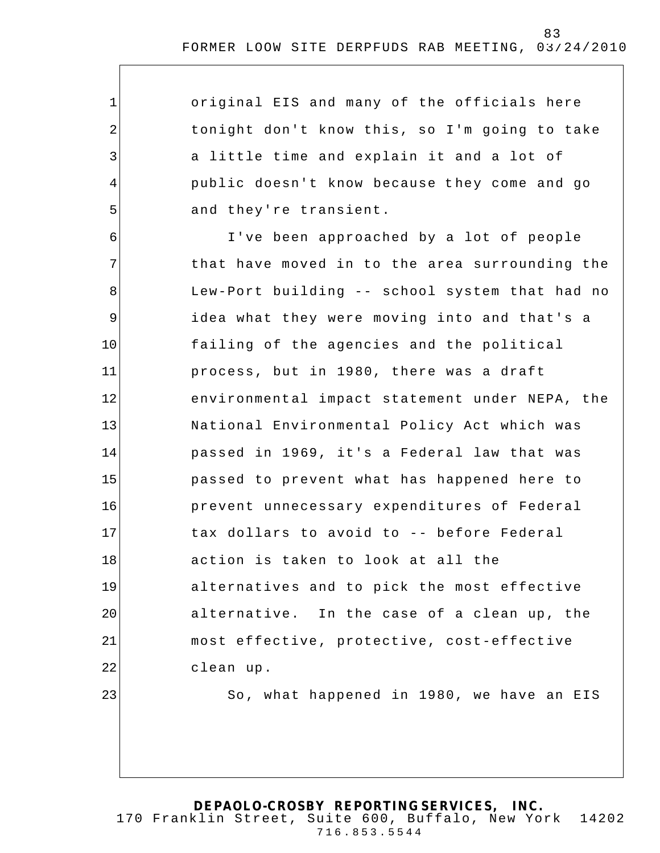original EIS and many of the officials here tonight don't know this, so I'm going to take a little time and explain it and a lot of public doesn't know because t hey come and go and they're transient.

1

2

3

4

5

6 7 8 9 10 11 12 13 14 15 16 17 18 19 20 21 22 23 I've been approached by a lot of people that have moved in to the area surrounding the Lew-Port building -- school system that had no idea what they were moving into and that's a failing of the agencies and the political process, but in 1980, there was a draft environmental impact statement under NEPA, the National Environmental Policy Act which was passed in 1969, it's a Federal law that was passed to prevent what has happened here to prevent unnecessary expenditures of Federal tax dollars to avoid to -- before Federal action is taken to look at all the alternatives and to pick the most effective alternative. In the case of a clean up, the most effective, protective, cost-effective clean up. So, what happened in 1980, we have an EIS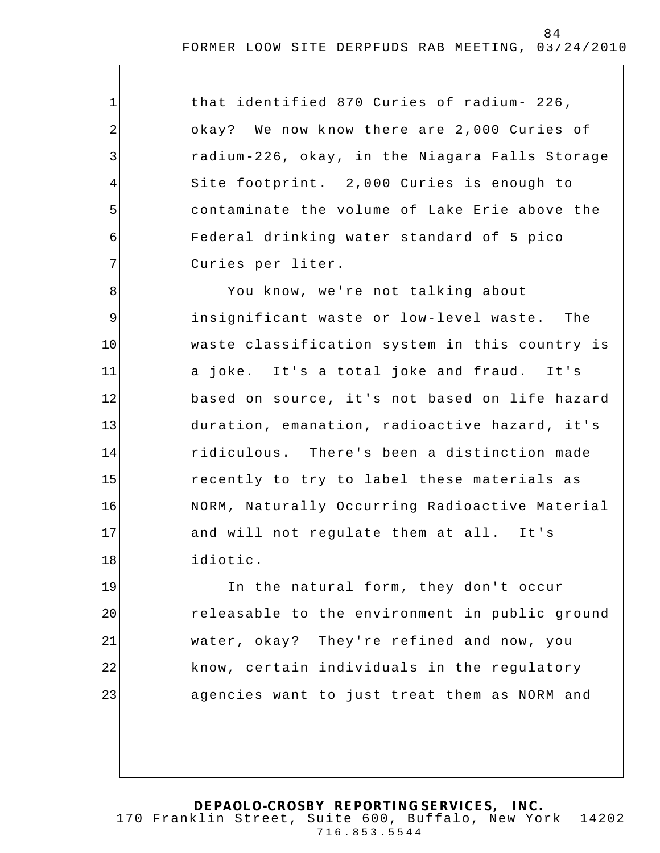| $\mathbf 1$    | that identified 870 Curies of radium- 226,     |
|----------------|------------------------------------------------|
| $\sqrt{2}$     | okay? We now know there are 2,000 Curies of    |
| 3              | radium-226, okay, in the Niagara Falls Storage |
| $\overline{4}$ | Site footprint. 2,000 Curies is enough to      |
| 5              | contaminate the volume of Lake Erie above the  |
| 6              | Federal drinking water standard of 5 pico      |
| 7              | Curies per liter.                              |
| 8              | You know, we're not talking about              |
| 9              | insignificant waste or low-level waste. The    |
| 10             | waste classification system in this country is |
| 11             | a joke. It's a total joke and fraud. It's      |
| 12             | based on source, it's not based on life hazard |
| 13             | duration, emanation, radioactive hazard, it's  |
| 14             | ridiculous. There's been a distinction made    |
| 15             | recently to try to label these materials as    |
| 16             | NORM, Naturally Occurring Radioactive Material |
| 17             | and will not regulate them at all. It's        |
| 18             | idiotic.                                       |
| 19             | In the natural form, they don't occur          |
| 20             | releasable to the environment in public ground |
| 21             | water, okay? They're refined and now, you      |
| 22             | know, certain individuals in the regulatory    |
| 23             | agencies want to just treat them as NORM and   |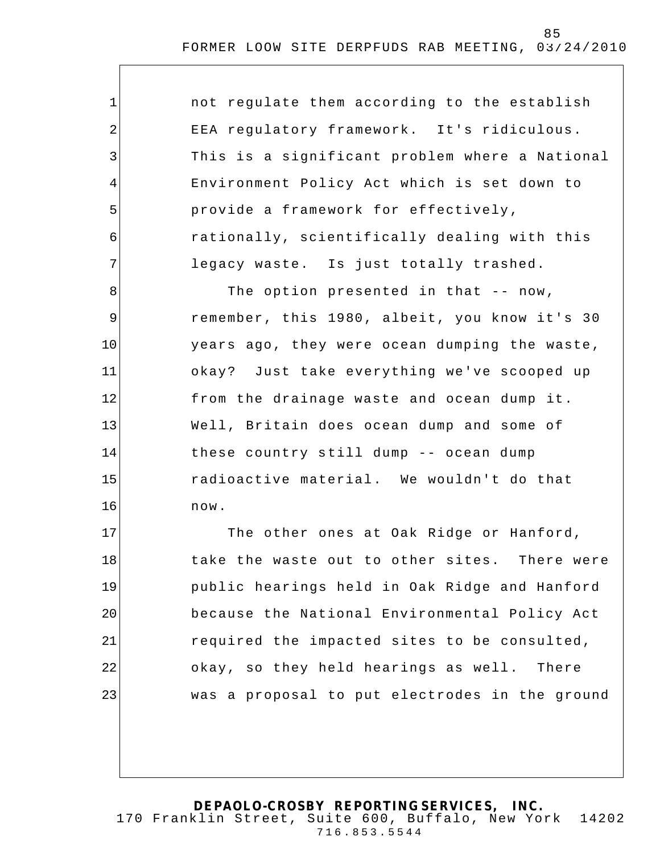| $\mathbf{1}$ | not regulate them according to the establish   |
|--------------|------------------------------------------------|
| 2            | EEA regulatory framework. It's ridiculous.     |
| 3            | This is a significant problem where a National |
| 4            | Environment Policy Act which is set down to    |
| 5            | provide a framework for effectively,           |
| 6            | rationally, scientifically dealing with this   |
| 7            | legacy waste. Is just totally trashed.         |
| 8            | The option presented in that -- now,           |
| $\mathsf 9$  | remember, this 1980, albeit, you know it's 30  |
| 10           | years ago, they were ocean dumping the waste,  |
| 11           | okay? Just take everything we've scooped up    |
| 12           | from the drainage waste and ocean dump it.     |
| 13           | Well, Britain does ocean dump and some of      |
| 14           | these country still dump -- ocean dump         |
| 15           | radioactive material. We wouldn't do that      |
| 16           | now.                                           |
| 17           | The other ones at Oak Ridge or Hanford,        |
| 18           | take the waste out to other sites. There were  |
| 19           | public hearings held in Oak Ridge and Hanford  |
| 20           | because the National Environmental Policy Act  |
| 21           | required the impacted sites to be consulted,   |
| 22           | okay, so they held hearings as well. There     |
| 23           | was a proposal to put electrodes in the ground |
|              |                                                |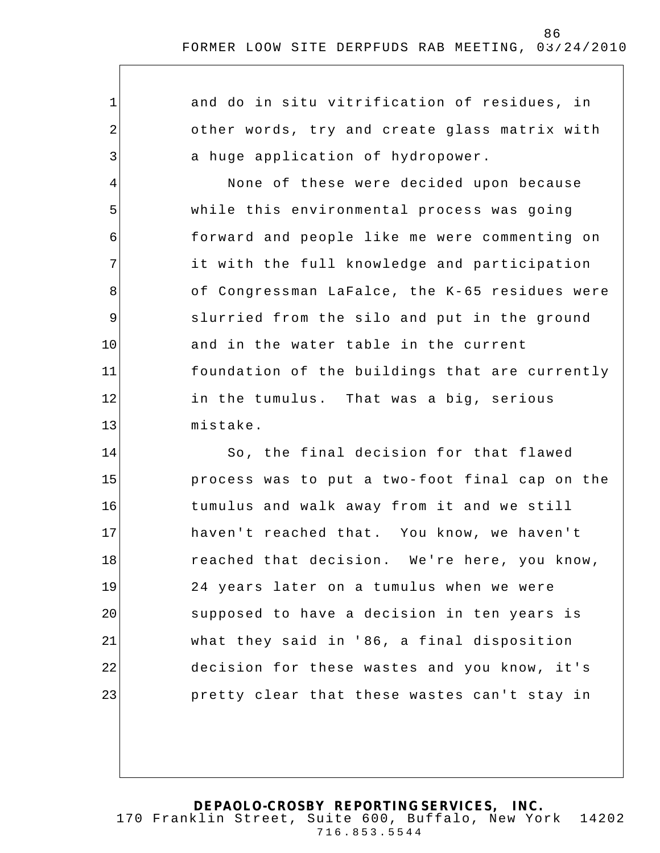| $\mathbf 1$    | and do in situ vitrification of residues, in   |
|----------------|------------------------------------------------|
| $\overline{2}$ | other words, try and create glass matrix with  |
| 3              | a huge application of hydropower.              |
| 4              | None of these were decided upon because        |
| 5              | while this environmental process was going     |
| 6              | forward and people like me were commenting on  |
| 7              | it with the full knowledge and participation   |
| 8              | of Congressman LaFalce, the K-65 residues were |
| $\mathsf 9$    | slurried from the silo and put in the ground   |
| 10             | and in the water table in the current          |
| 11             | foundation of the buildings that are currently |
| 12             | in the tumulus. That was a big, serious        |
| 13             | mistake.                                       |
| 14             | So, the final decision for that flawed         |
| 15             | process was to put a two-foot final cap on the |
| 16             | tumulus and walk away from it and we still     |
| 17             | haven't reached that. You know, we haven't     |
| 18             | reached that decision. We're here, you know,   |
| 19             | 24 years later on a tumulus when we were       |
| 20             | supposed to have a decision in ten years is    |
| 21             | what they said in '86, a final disposition     |
| 22             | decision for these wastes and you know, it's   |
| 23             | pretty clear that these wastes can't stay in   |
|                |                                                |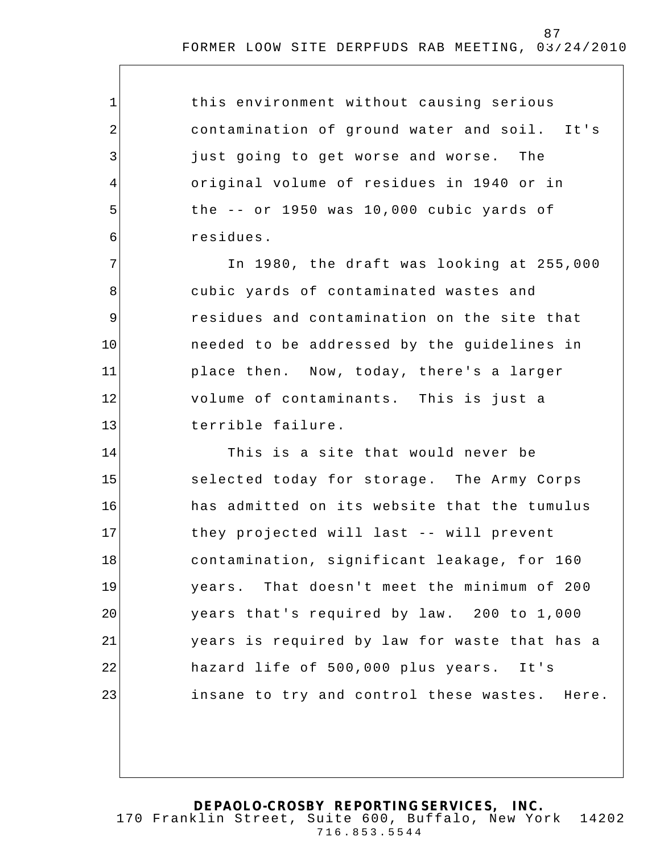| $\mathbf{1}$ | this environment without causing serious      |
|--------------|-----------------------------------------------|
| 2            | contamination of ground water and soil. It's  |
| $\mathbf{3}$ | just going to get worse and worse. The        |
| 4            | original volume of residues in 1940 or in     |
| 5            | the $--$ or 1950 was 10,000 cubic yards of    |
| 6            | residues.                                     |
| 7            | In 1980, the draft was looking at 255,000     |
| 8            | cubic yards of contaminated wastes and        |
| $\mathsf 9$  | residues and contamination on the site that   |
| 10           | needed to be addressed by the guidelines in   |
| 11           | place then. Now, today, there's a larger      |
| 12           | volume of contaminants. This is just a        |
| 13           | terrible failure.                             |
| 14           | This is a site that would never be            |
| 15           | selected today for storage. The Army Corps    |
| 16           | has admitted on its website that the tumulus  |
| 17           | they projected will last -- will prevent      |
| 18           | contamination, significant leakage, for 160   |
| 19           | years. That doesn't meet the minimum of 200   |
| 20           | years that's required by law. 200 to 1,000    |
| 21           | years is required by law for waste that has a |
| 22           | hazard life of 500,000 plus years. It's       |
| 23           | insane to try and control these wastes. Here. |
|              |                                               |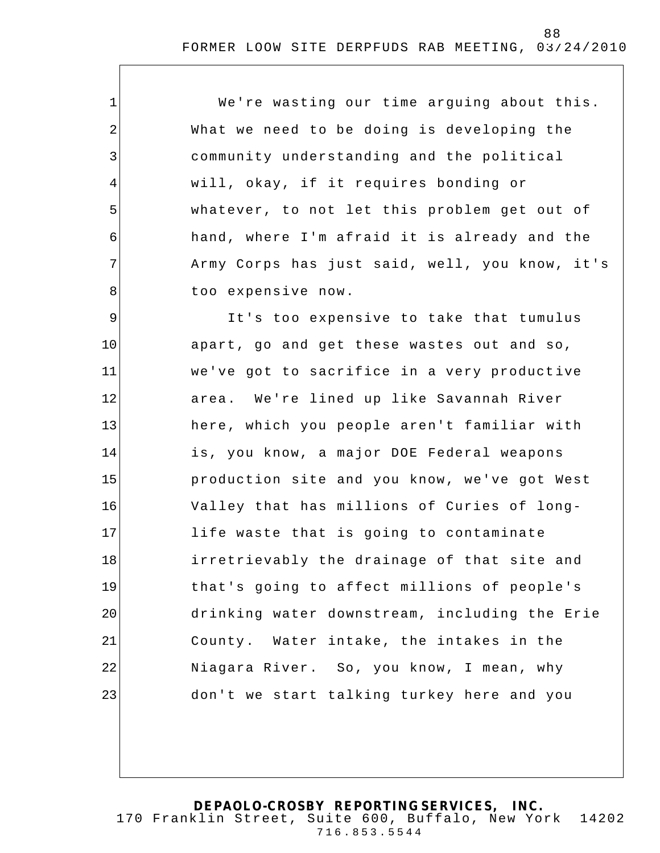We're wasting our time arguing about this. What we need to be doing is developing the community understanding and the political will, okay, if it requires bonding or whatever, to not let this problem get out of hand, where I'm afraid it is already and the Army Corps has just said, well, you know, it's too expensive now.

1

2

3

4

5

6

7

8

9 10 11 12 13 14 15 16 17 18 19 20 21 22 23 It's too expensive to take that tumulus apart, go and get these wastes out and so, we've got to sacrifice in a very productive area. We're lined up like Savannah River here, which you people aren't familiar with is, you know, a major DOE Federal weapons production site and you know, we've got West Valley that has millions of Curies of longlife waste that is going to contaminate irretrievably the drainage of that site and that's going to affect millions of people's drinking water downstream, including the Erie County. Water intake, the intakes in the Niagara River. So, you know, I mean, why don't we start talking turkey here and you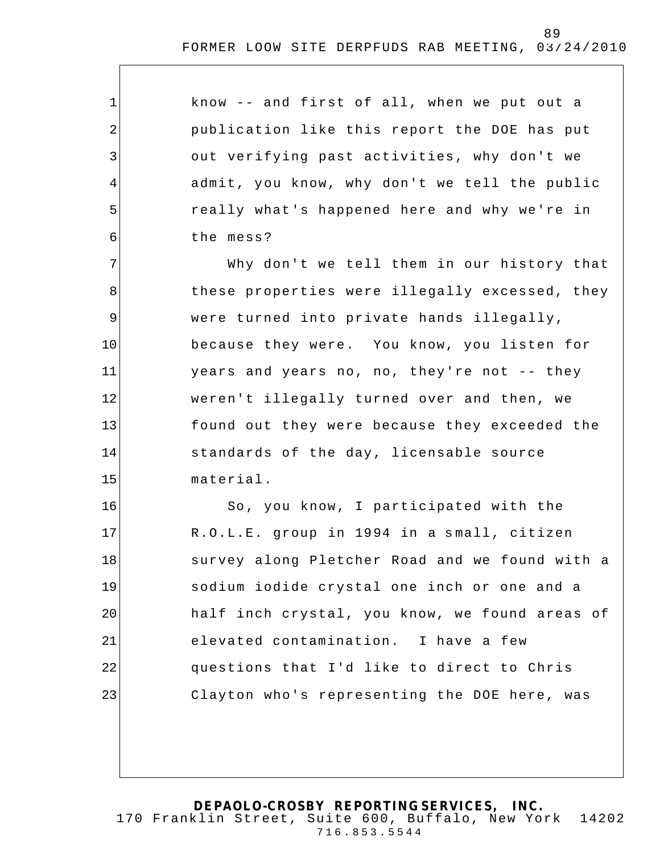| $\mathbf 1$    | know -- and first of all, when we put out a    |
|----------------|------------------------------------------------|
| $\overline{2}$ | publication like this report the DOE has put   |
| 3              | out verifying past activities, why don't we    |
| $\overline{4}$ | admit, you know, why don't we tell the public  |
| 5              | really what's happened here and why we're in   |
| 6              | the mess?                                      |
| 7              | Why don't we tell them in our history that     |
| 8              | these properties were illegally excessed, they |
| 9              | were turned into private hands illegally,      |
| 10             | because they were. You know, you listen for    |
| 11             | years and years no, no, they're not -- they    |
| 12             | weren't illegally turned over and then, we     |
| 13             | found out they were because they exceeded the  |
| 14             | standards of the day, licensable source        |

15 material.

16 17 18 19 20 21 22 23 So, you know, I participated with the R.O.L.E. group in 1994 in a small, citizen survey along Pletcher Road and we found with a sodium iodide crystal one inch or one and a half inch crystal, you know, we found areas of elevated contamination. I have a few questions that I'd like to direct to Chris Clayton who's representing the DOE here, was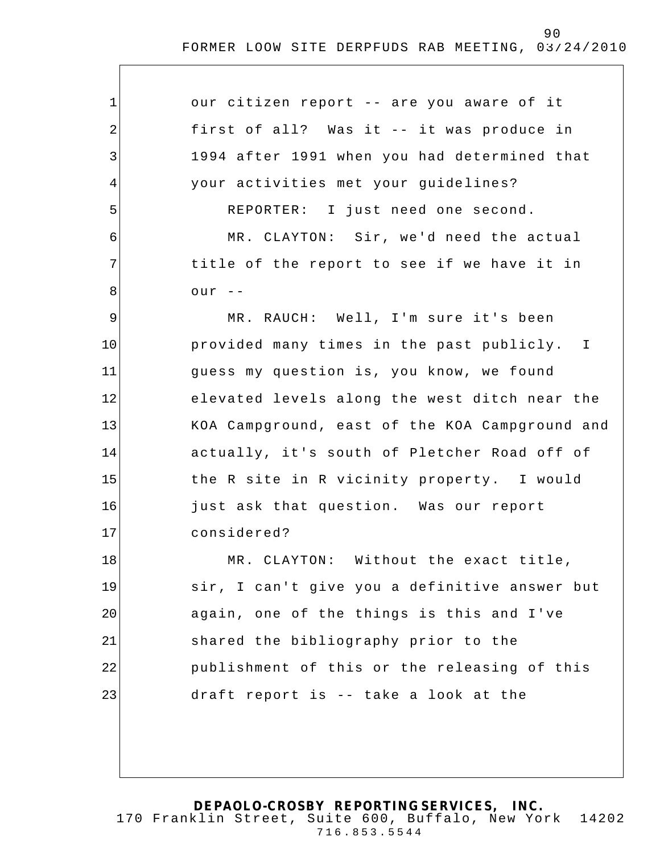| $\mathbf 1$ | our citizen report -- are you aware of it      |
|-------------|------------------------------------------------|
| 2           | first of all? Was it -- it was produce in      |
| 3           | 1994 after 1991 when you had determined that   |
| 4           | your activities met your guidelines?           |
| 5           | REPORTER: I just need one second.              |
| 6           | MR. CLAYTON: Sir, we'd need the actual         |
| 7           | title of the report to see if we have it in    |
| 8           | $our$ --                                       |
| $\mathsf 9$ | MR. RAUCH: Well, I'm sure it's been            |
| 10          | provided many times in the past publicly. I    |
| 11          | guess my question is, you know, we found       |
| 12          | elevated levels along the west ditch near the  |
| 13          | KOA Campground, east of the KOA Campground and |
| 14          | actually, it's south of Pletcher Road off of   |
| 15          | the R site in R vicinity property. I would     |
| 16          | just ask that question. Was our report         |
| 17          | considered?                                    |
| 18          | MR. CLAYTON: Without the exact title,          |
| 19          | sir, I can't give you a definitive answer but  |
| 20          | again, one of the things is this and I've      |
| 21          | shared the bibliography prior to the           |
| 22          | publishment of this or the releasing of this   |
| 23          | draft report is -- take a look at the          |
|             |                                                |
|             |                                                |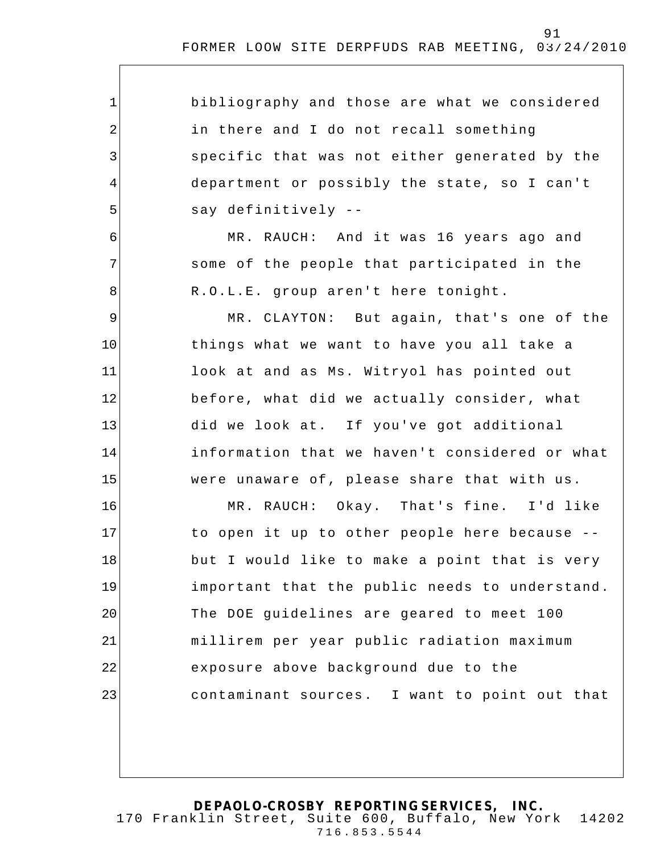| $\mathbf{1}$   | bibliography and those are what we considered  |
|----------------|------------------------------------------------|
| $\overline{2}$ | in there and I do not recall something         |
| 3              | specific that was not either generated by the  |
| 4              | department or possibly the state, so I can't   |
| 5              | say definitively --                            |
| 6              | MR. RAUCH: And it was 16 years ago and         |
| 7              | some of the people that participated in the    |
| 8              | R.O.L.E. group aren't here tonight.            |
| $\mathsf 9$    | MR. CLAYTON: But again, that's one of the      |
| 10             | things what we want to have you all take a     |
| 11             | look at and as Ms. Witryol has pointed out     |
| 12             | before, what did we actually consider, what    |
| 13             | did we look at. If you've got additional       |
| 14             | information that we haven't considered or what |
| 15             | were unaware of, please share that with us.    |
| 16             | MR. RAUCH: Okay. That's fine. I'd like         |
| 17             | to open it up to other people here because --  |
| 18             | but I would like to make a point that is very  |
| 19             | important that the public needs to understand. |
| 20             | The DOE guidelines are geared to meet 100      |
| 21             | millirem per year public radiation maximum     |
| 22             | exposure above background due to the           |
| 23             | contaminant sources. I want to point out that  |
|                |                                                |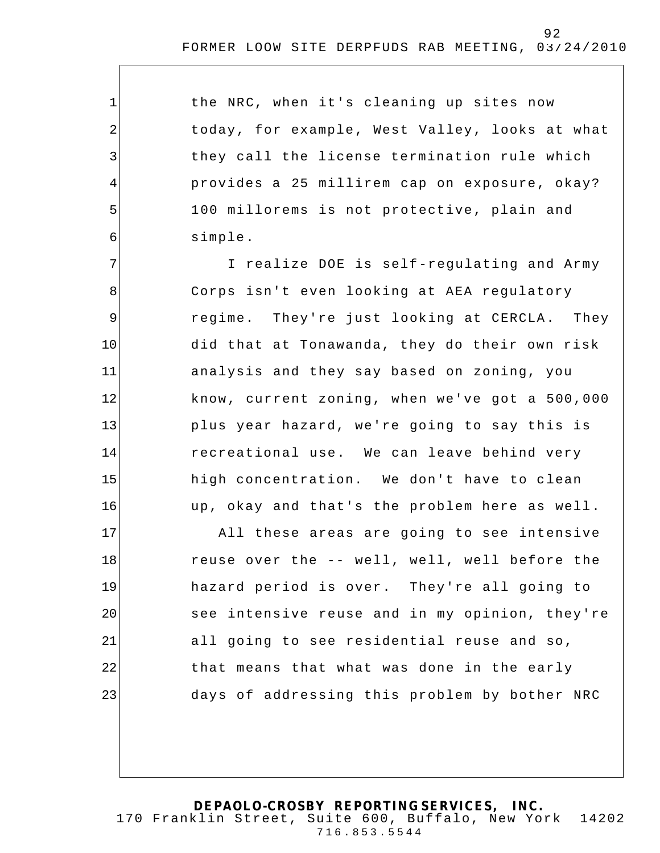the NRC, when it's cleaning up sites now today, for example, West Valley, looks at what they call the license terminat ion rule which provides a 25 millirem cap on exposure, okay? 100 millorems is not protective, plain and simple.

1

2

3

4

5

6

7 8 9 10 11 12 13 14 15 16 I realize DOE is self-regulating and Army Corps isn't even looking at AEA regulatory regime. They're just looking at CERCLA. They did that at Tonawanda, they do their own risk analysis and they say based on zoning, you know, current zoning, when we've got a 500,000 plus year hazard, we're going to say this is recreational use. We can leave behind very high concentration. We don't have to clean up, okay and that's the problem here as well.

17 18 19 20 21 22 23 All these areas are going to see intensive reuse over the -- well, well, well before the hazard period is over. They're all going to see intensive reuse and in my opinion, they're all going to see residential reuse and so, that means that what was done in the early days of addressing this problem by bother NRC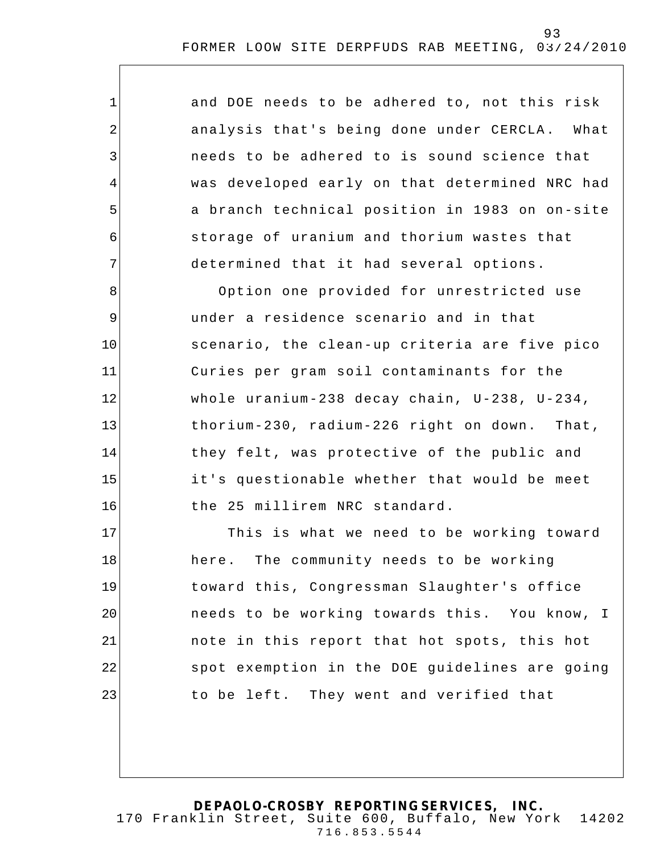and DOE needs to be adhered to, not this risk analysis that's being done under CERCLA . What needs to be adhered to is sound science that was developed early on that determined NRC had a branch technical position in 1983 on on-site storage of uranium and thorium wastes that determined that it had several options.

1

2

3

4

5

6

7

8 9 10 11 12 13 14 15 16 Option one provided for unrestricted use under a residence scenario and in that scenario, the clean-up criteria are five pico Curies per gram soil contaminants for the whole uranium-238 decay chain, U-238, U-234, thorium-230, radium-226 right on down. That, they felt, was protective of the public and it's questionable whether that would be meet the 25 millirem NRC standard.

17 18 19 20 21 22 23 This is what we need to be working toward here. The community needs to be working toward this, Congressman Slaughter's office needs to be working towards this. You know, I note in this report that hot spots, this hot spot exemption in the DOE guidelines are going to be left. They went and verified that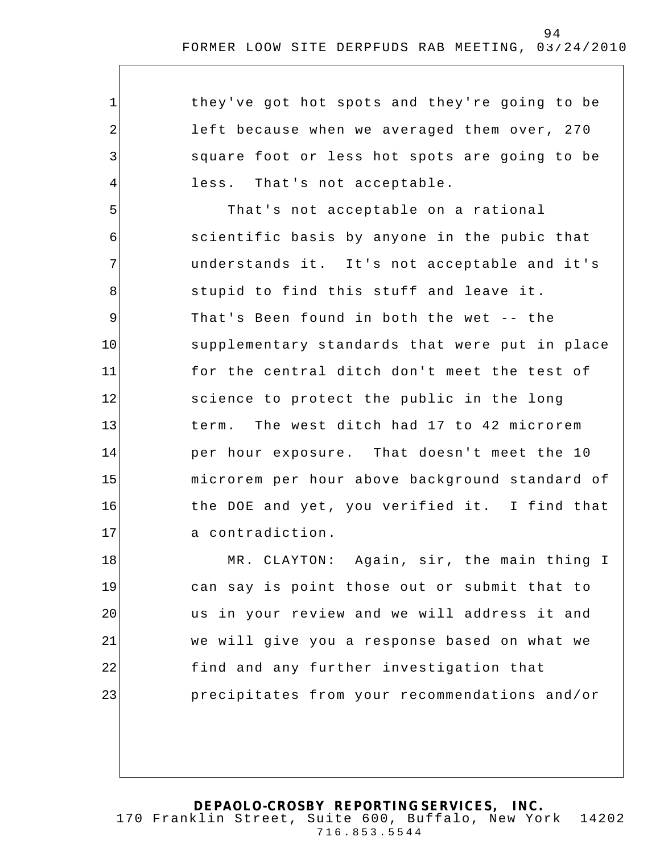they've got hot spots and they're going to be left because when we averaged them over, 270 square foot or less hot spots are going to be less. That's not acceptable.

1

2

3

4

5 6 7 8 9 10 11 12 13 14 15 16 17 That's not acceptable on a rational scientific basis by anyone in the pubic that understands it. It's not acceptable and it's stupid to find this stuff and leave it. That's Been found in both the wet -- the supplementary standards that were put in place for the central ditch don't meet the test of science to protect the public in the long term. The west ditch had 17 to 42 microrem per hour exposure. That doesn't meet the 10 microrem per hour above background standard of the DOE and yet, you verified it. I find that a contradiction.

18 19 20 21 22 23 MR. CLAYTON: Again, sir, the main thing I can say is point those out or submit that to us in your review and we will address it and we will give you a response based on what we find and any further investigation that precipitates from your recommendations and/or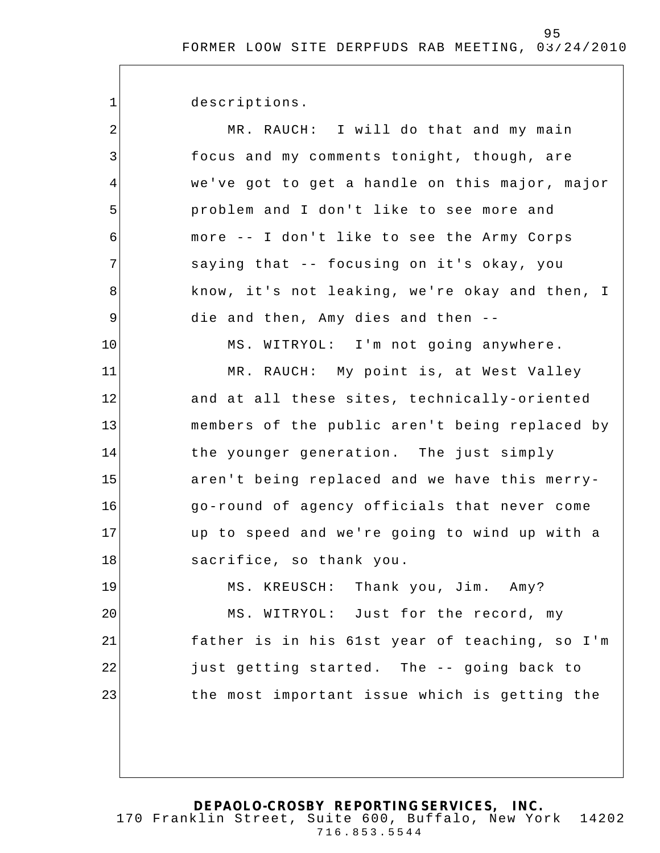descriptions.

1

| $\overline{2}$ | MR. RAUCH: I will do that and my main          |
|----------------|------------------------------------------------|
| 3              | focus and my comments tonight, though, are     |
| 4              | we've got to get a handle on this major, major |
| 5              | problem and I don't like to see more and       |
| 6              | more -- I don't like to see the Army Corps     |
| 7              | saying that -- focusing on it's okay, you      |
| 8              | know, it's not leaking, we're okay and then, I |
| 9              | die and then, Amy dies and then --             |
| 10             | MS. WITRYOL: I'm not going anywhere.           |
| 11             | MR. RAUCH: My point is, at West Valley         |
| 12             | and at all these sites, technically-oriented   |
| 13             | members of the public aren't being replaced by |
| 14             | the younger generation. The just simply        |
| 15             | aren't being replaced and we have this merry-  |
| 16             | go-round of agency officials that never come   |
| 17             | up to speed and we're going to wind up with a  |
| 18             | sacrifice, so thank you.                       |
| 19             | MS. KREUSCH: Thank you, Jim. Amy?              |
| 20             | MS. WITRYOL: Just for the record, my           |
| 21             | father is in his 61st year of teaching, so I'm |
| 22             | just getting started. The -- going back to     |
| 23             | the most important issue which is getting the  |
|                |                                                |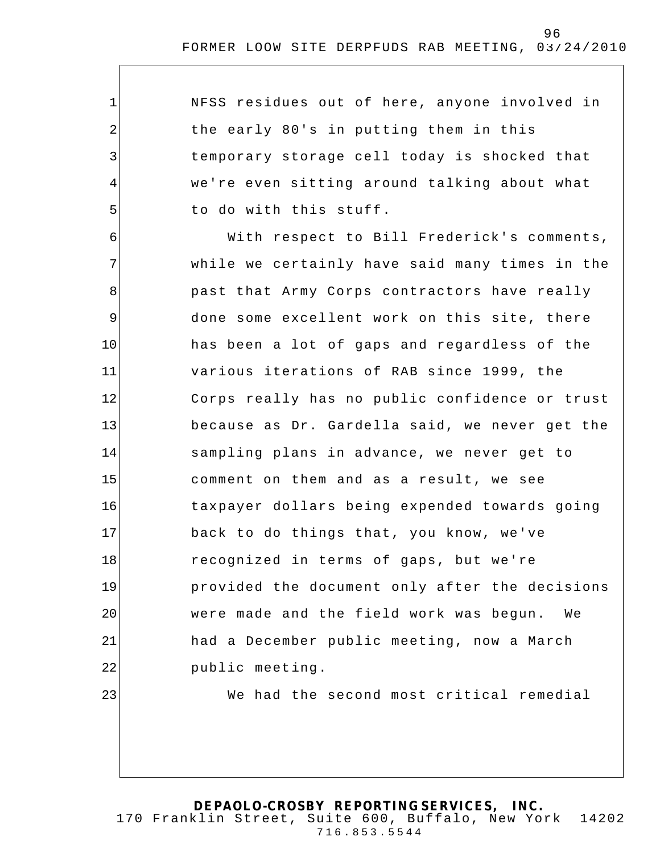NFSS residues out of here, anyone involved in the early 80's in putting them in this temporary storage cell today is shocked that we're even sitting around talking about what to do with this stuff.

1

2

3

4

5

23

6 7 8 9 10 11 12 13 14 15 16 17 18 19 20 21 22 With respect to Bill Frederick's comments, while we certainly have said many times in the past that Army Corps contractors have really done some excellent work on this site, there has been a lot of gaps and regardless of the various iterations of RAB since 1999, the Corps really has no public confidence or trust because as Dr. Gardella said, we never get the sampling plans in advance, we never get to comment on them and as a result, we see taxpayer dollars being expended towards going back to do things that, you know, we've recognized in terms of gaps, but we're provided the document only after the decisions were made and the field work was begun. We had a December public meeting, now a March public meeting.

We had the second most critical remedial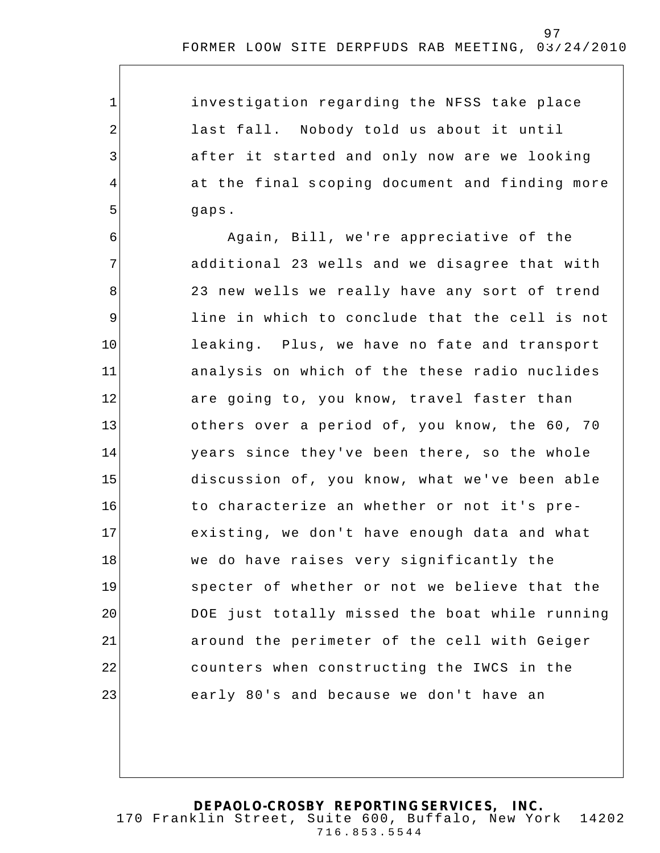investigation regarding the NFSS take place last fall. Nobody told us about it until after it started and only now are we looking at the final s coping document and finding more gaps.

1

2

3

4

5

6 7 8 9 10 11 12 13 14 15 16 17 18 19 20 21 22 23 Again, Bill, we're appreciative of the additional 23 wells and we disagree that with 23 new wells we really have any sort of trend line in which to conclude that the cell is not leaking. Plus, we have no fate and transport analysis on which of the these radio nuclides are going to, you know, travel faster than others over a period of, you know, the 60, 70 years since they've been there, so the whole discussion of, you know, what we've been able to characterize an whether or not it's preexisting, we don't have enough data and what we do have raises very significantly the specter of whether or not we believe that the DOE just totally missed the boat while running around the perimeter of the cell with Geiger counters when constructing the IWCS in the early 80's and because we don't have an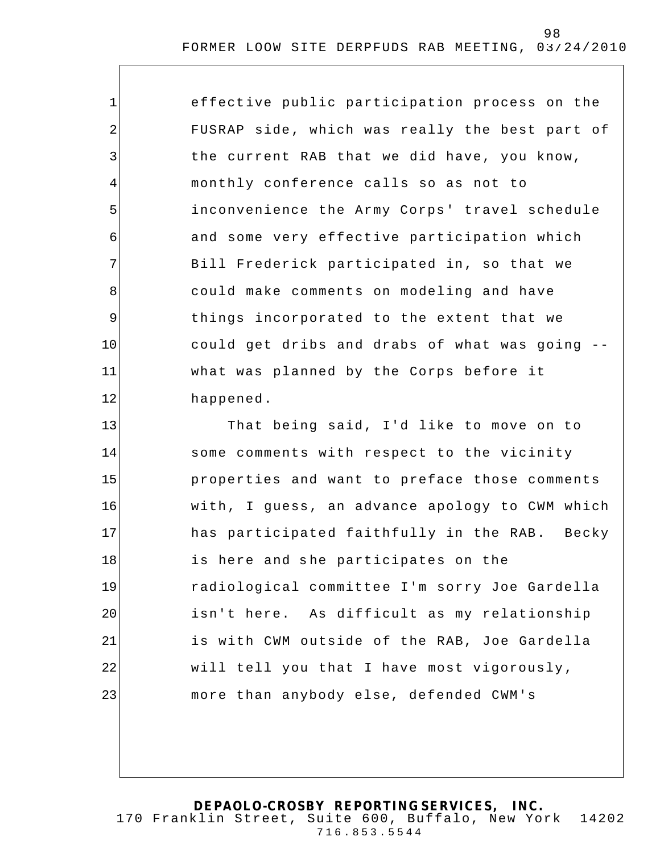| 1              | effective public participation process on the  |
|----------------|------------------------------------------------|
| $\overline{2}$ | FUSRAP side, which was really the best part of |
| 3              | the current RAB that we did have, you know,    |
| 4              | monthly conference calls so as not to          |
| 5              | inconvenience the Army Corps' travel schedule  |
| 6              | and some very effective participation which    |
| 7              | Bill Frederick participated in, so that we     |
| 8              | could make comments on modeling and have       |
| 9              | things incorporated to the extent that we      |
| 10             | could get dribs and drabs of what was going -- |
| 11             | what was planned by the Corps before it        |
| 12             | happened.                                      |
| 13             | That being said, I'd like to move on to        |
| 14             | some comments with respect to the vicinity     |
| 15             | properties and want to preface those comments  |
| 16             | with, I guess, an advance apology to CWM which |
| 17             | has participated faithfully in the RAB. Becky  |
| 18             | is here and she participates on the            |
| 19             | radiological committee I'm sorry Joe Gardella  |
| 20             | isn't here. As difficult as my relationship    |
| 21             | is with CWM outside of the RAB, Joe Gardella   |
| 22             | will tell you that I have most vigorously,     |
| 23             | more than anybody else, defended CWM's         |
|                |                                                |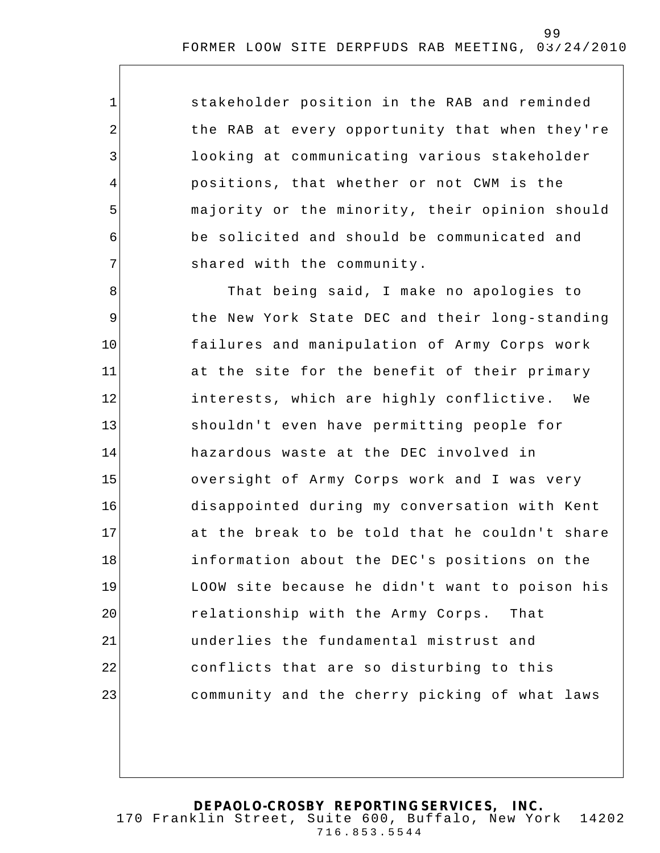stakeholder position in the RAB and reminded the RAB at every opportunity that when they're looking at communicating various stakeholder positions, that whether or not CWM is the majority or the minority, their opinion should be solicited and should be communicated and shared with the community.

1

2

3

4

5

6

7

8 9 10 11 12 13 14 15 16 17 18 19 20 21 22 23 That being said, I make no apologies to the New York State DEC and their long-standing failures and manipulation of Army Corps work at the site for the benefit of their primary interests, which are highly conflictive. We shouldn't even have permitting people for hazardous waste at the DEC involved in oversight of Army Corps work and I was very disappointed during my conversation with Kent at the break to be told that he couldn't share information about the DEC's positions on the LOOW site because he didn't want to poison his relationship with the Army Corps. That underlies the fundamental mistrust and conflicts that are so disturbing to this community and the cherry picking of what laws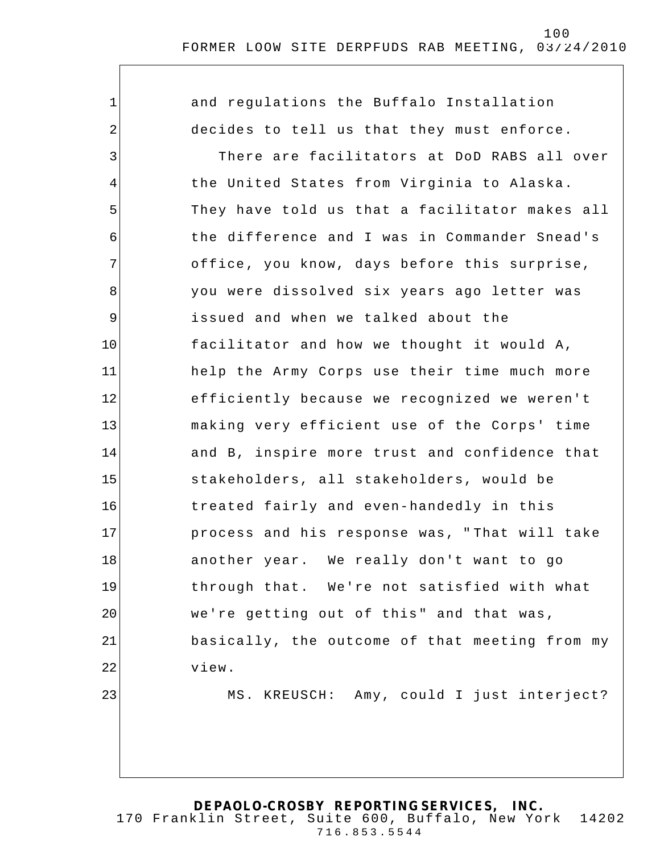1 2 3 4 5 6 7 8 9 10 11 12 13 14 15 16 17 18 19 20 21 22 23 and regulations the Buffalo Installation decides to tell us that they must enforce. There are facilitators at DoD RABS all over the United States from Virginia to Alaska. They have told us that a facilitator makes all the difference and I was in Commander Snead's office, you know, days before this surprise, you were dissolved six years ago letter was issued and when we talked about the facilitator and how we thought it would A, help the Army Corps use their time much more efficiently because we recognized we weren't making very efficient use of the Corps' time and B, inspire more trust and confidence that stakeholders, all stakeholders, would be treated fairly and even-handedly in this process and his response was, " That will take another year. We really don't want to go through that. We're not satisfied with what we're getting out of this" and that was, basically, the outcome of that meeting from my view. MS. KREUSCH: Amy, could I just interject?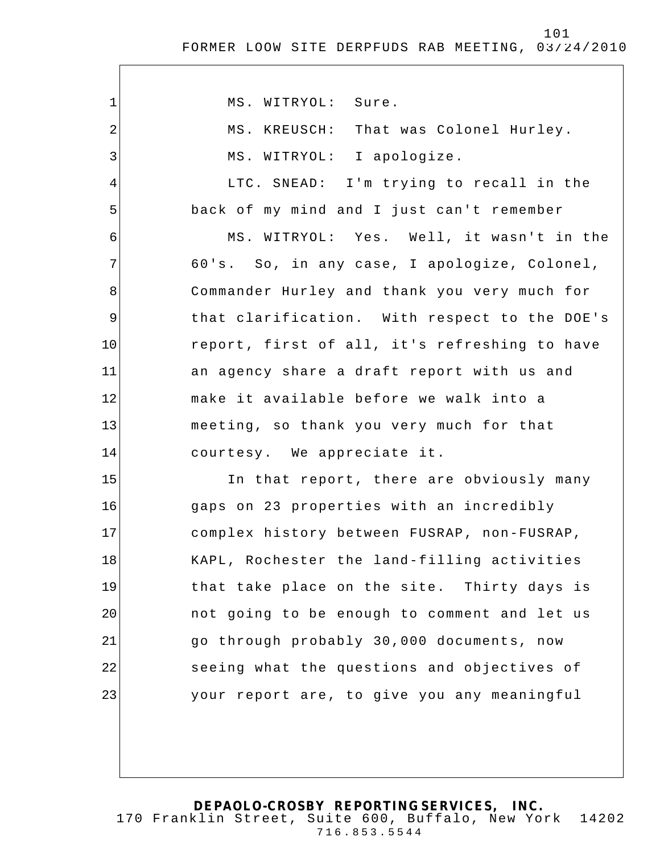| $\mathbf{1}$   | MS. WITRYOL: Sure.                            |
|----------------|-----------------------------------------------|
| $\overline{2}$ | MS. KREUSCH: That was Colonel Hurley.         |
| 3              | MS. WITRYOL: I apologize.                     |
| 4              | LTC. SNEAD: I'm trying to recall in the       |
| 5              | back of my mind and I just can't remember     |
| 6              | MS. WITRYOL: Yes. Well, it wasn't in the      |
| 7              | 60's. So, in any case, I apologize, Colonel,  |
| 8              | Commander Hurley and thank you very much for  |
| $\overline{9}$ | that clarification. With respect to the DOE's |
| 10             | report, first of all, it's refreshing to have |
| 11             | an agency share a draft report with us and    |
| 12             | make it available before we walk into a       |
| 13             | meeting, so thank you very much for that      |
| 14             | courtesy. We appreciate it.                   |
| 15             | In that report, there are obviously many      |
| 16             | gaps on 23 properties with an incredibly      |
| 17             | complex history between FUSRAP, non-FUSRAP,   |
| 18             | KAPL, Rochester the land-filling activities   |
| 19             | that take place on the site. Thirty days is   |
| 20             | not going to be enough to comment and let us  |
| 21             | go through probably 30,000 documents, now     |
| 22             | seeing what the questions and objectives of   |
| 23             | your report are, to give you any meaningful   |
|                |                                               |
|                |                                               |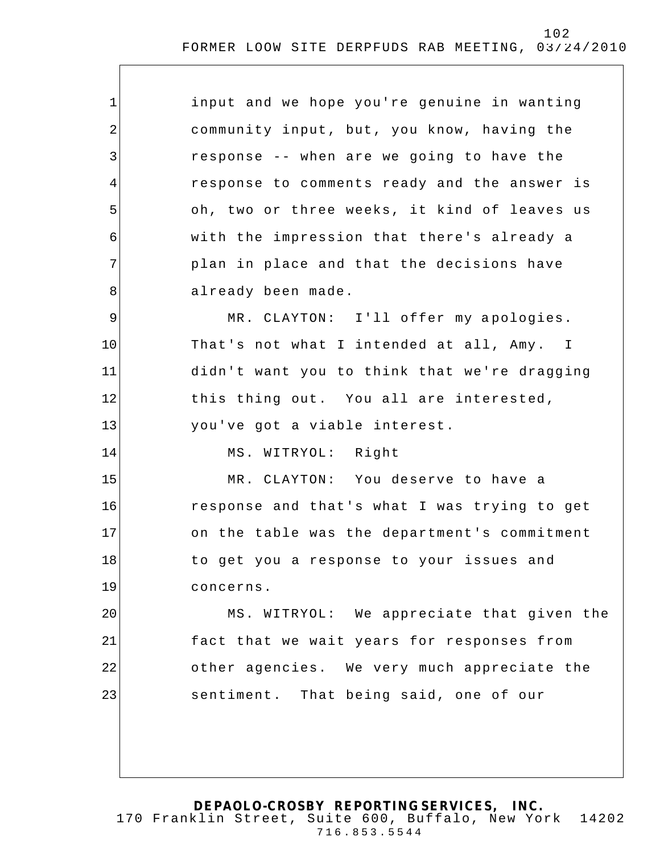| 1  | input and we hope you're genuine in wanting  |
|----|----------------------------------------------|
| 2  | community input, but, you know, having the   |
| 3  | response -- when are we going to have the    |
| 4  | response to comments ready and the answer is |
| 5  | oh, two or three weeks, it kind of leaves us |
| 6  | with the impression that there's already a   |
| 7  | plan in place and that the decisions have    |
| 8  | already been made.                           |
| 9  | MR. CLAYTON: I'll offer my apologies.        |
| 10 | That's not what I intended at all, Amy. I    |
| 11 | didn't want you to think that we're dragging |
| 12 | this thing out. You all are interested,      |
| 13 | you've got a viable interest.                |
| 14 | MS. WITRYOL: Right                           |
| 15 | MR. CLAYTON: You deserve to have a           |
| 16 | response and that's what I was trying to get |
| 17 | on the table was the department's commitment |
| 18 | to get you a response to your issues and     |
| 19 | concerns.                                    |
| 20 | MS. WITRYOL: We appreciate that given the    |
| 21 | fact that we wait years for responses from   |
| 22 | other agencies. We very much appreciate the  |
| 23 | sentiment. That being said, one of our       |
|    |                                              |
|    |                                              |
|    |                                              |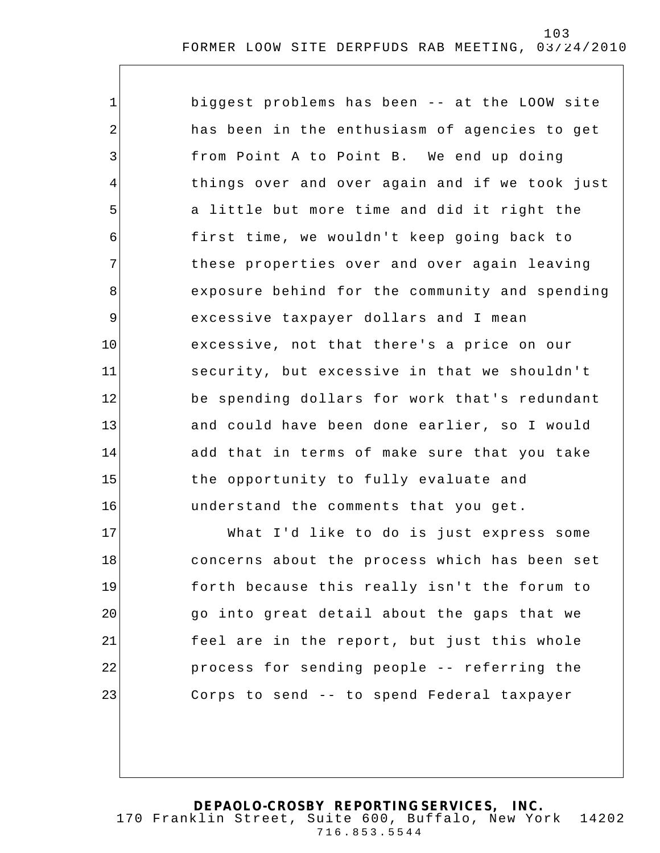| $\mathbf 1$     | biggest problems has been -- at the LOOW site  |
|-----------------|------------------------------------------------|
| $\overline{2}$  | has been in the enthusiasm of agencies to get  |
| 3               | from Point A to Point B. We end up doing       |
| $\overline{4}$  | things over and over again and if we took just |
| 5               | a little but more time and did it right the    |
| 6               | first time, we wouldn't keep going back to     |
| 7               | these properties over and over again leaving   |
| 8               | exposure behind for the community and spending |
| 9               | excessive taxpayer dollars and I mean          |
| 10 <sub>1</sub> | excessive, not that there's a price on our     |
| 11              | security, but excessive in that we shouldn't   |
| 12              | be spending dollars for work that's redundant  |
| 13              | and could have been done earlier, so I would   |
| 14              | add that in terms of make sure that you take   |
| 15              | the opportunity to fully evaluate and          |
| 16              | understand the comments that you get.          |
| 17              | What I'd like to do is just express some       |

18 19 20 21 22 23 concerns about the process which has been set forth because this really isn't the forum to go into great detail about the gaps that we feel are in the report, but just this whole process for sending people -- referring the Corps to send -- to spend Federal taxpayer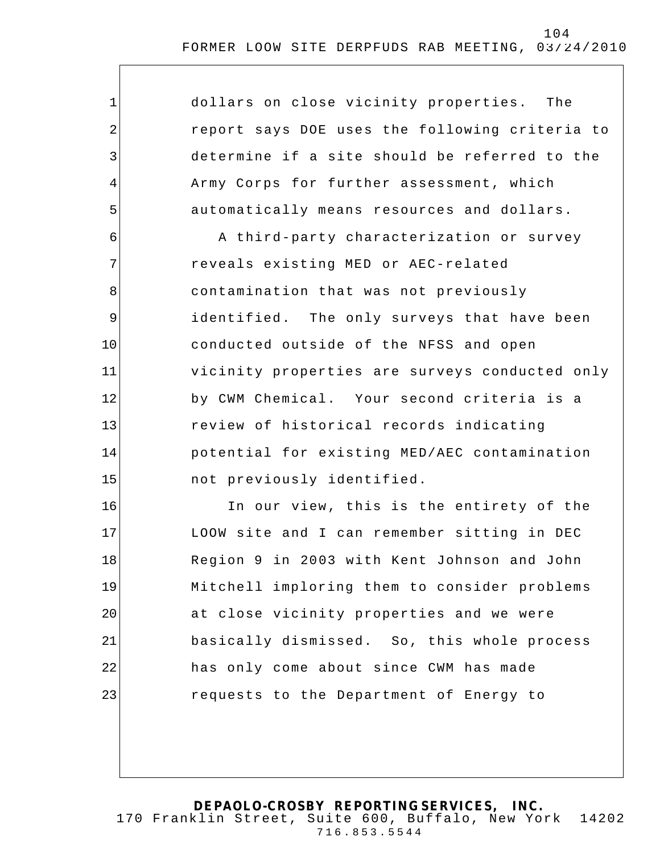| $\mathbf 1$    | dollars on close vicinity properties. The      |
|----------------|------------------------------------------------|
| $\overline{2}$ | report says DOE uses the following criteria to |
| 3              | determine if a site should be referred to the  |
| 4              | Army Corps for further assessment, which       |
| 5              | automatically means resources and dollars.     |
| 6              | A third-party characterization or survey       |
| 7              | reveals existing MED or AEC-related            |
| 8              | contamination that was not previously          |
| $\mathsf 9$    | identified. The only surveys that have been    |
| 10             | conducted outside of the NFSS and open         |
| 11             | vicinity properties are surveys conducted only |
| 12             | by CWM Chemical. Your second criteria is a     |
| 13             | review of historical records indicating        |
| 14             | potential for existing MED/AEC contamination   |
| 15             | not previously identified.                     |
| 16             | In our view, this is the entirety of the       |
| 17             | LOOW site and I can remember sitting in DEC    |
| 18             | Region 9 in 2003 with Kent Johnson and John    |
| 19             | Mitchell imploring them to consider problems   |
| 20             | at close vicinity properties and we were       |
| 21             | basically dismissed. So, this whole process    |
| 22             | has only come about since CWM has made         |
| 23             | requests to the Department of Energy to        |
|                |                                                |

104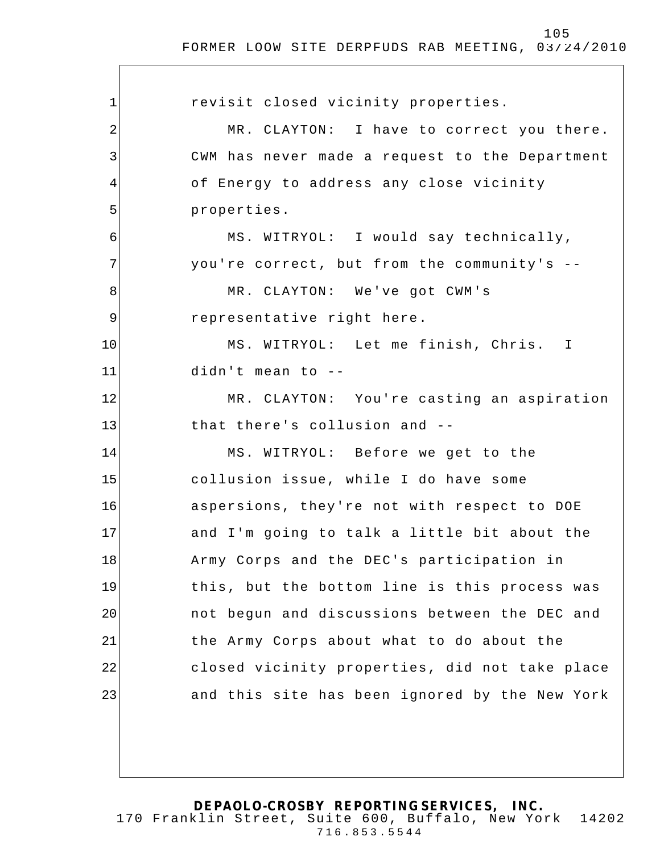| $\mathbf 1$ | revisit closed vicinity properties.            |
|-------------|------------------------------------------------|
| 2           | MR. CLAYTON: I have to correct you there.      |
| 3           | CWM has never made a request to the Department |
| 4           | of Energy to address any close vicinity        |
| 5           | properties.                                    |
| 6           | MS. WITRYOL: I would say technically,          |
| 7           | you're correct, but from the community's --    |
| 8           | MR. CLAYTON: We've got CWM's                   |
| 9           | representative right here.                     |
| 10          | MS. WITRYOL: Let me finish, Chris. I           |
| 11          | didn't mean to --                              |
| 12          | MR. CLAYTON: You're casting an aspiration      |
| 13          | that there's collusion and --                  |
| 14          | MS. WITRYOL: Before we get to the              |
| 15          | collusion issue, while I do have some          |
| 16          | aspersions, they're not with respect to DOE    |
| 17          | and I'm going to talk a little bit about the   |
| 18          | Army Corps and the DEC's participation in      |
| 19          | this, but the bottom line is this process was  |
| 20          | not begun and discussions between the DEC and  |
| 21          | the Army Corps about what to do about the      |
| 22          | closed vicinity properties, did not take place |
| 23          | and this site has been ignored by the New York |
|             |                                                |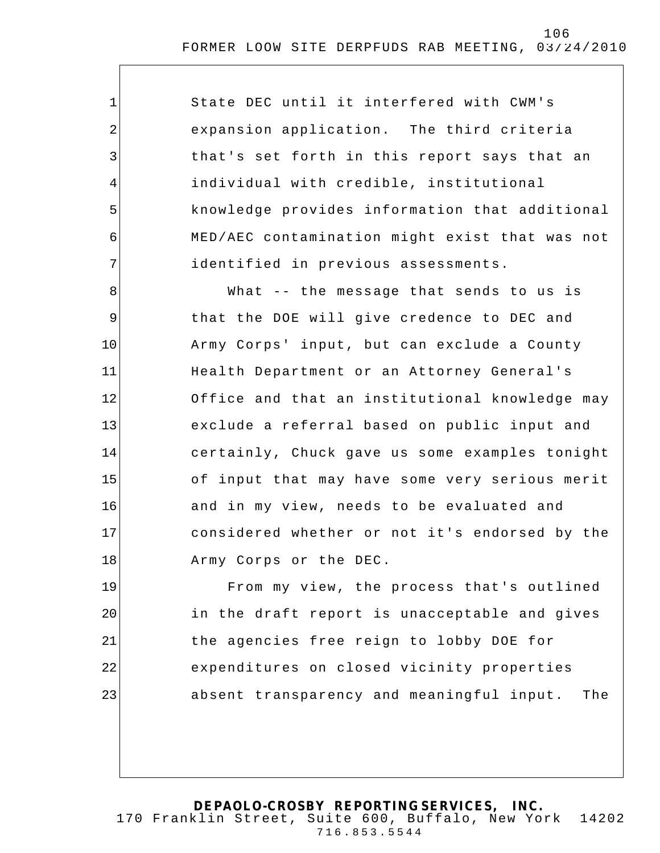State DEC until it interfered with CWM's expansion application. The third criteria that's set forth in this report says that an individual with credible, institutional knowledge provides information that additional MED/AEC contamination might exist that was not identified in previous assessments.

1

2

3

4

5

6

7

8 9 10 11 12 13 14 15 16 17 18 What -- the message that sends to us is that the DOE will give credence to DEC and Army Corps' input, but can exclude a County Health Department or an Attorney General's Office and that an institutional knowledge may exclude a referral based on public input and certainly, Chuck gave us some examples tonight of input that may have some very serious merit and in my view, needs to be evaluated and considered whether or not it's endorsed by the Army Corps or the DEC.

19 20 21 22 23 From my view, the process that's outlined in the draft report is unacceptable and gives the agencies free reign to lobby DOE for expenditures on closed vicinity properties absent transparency and meaningful input. The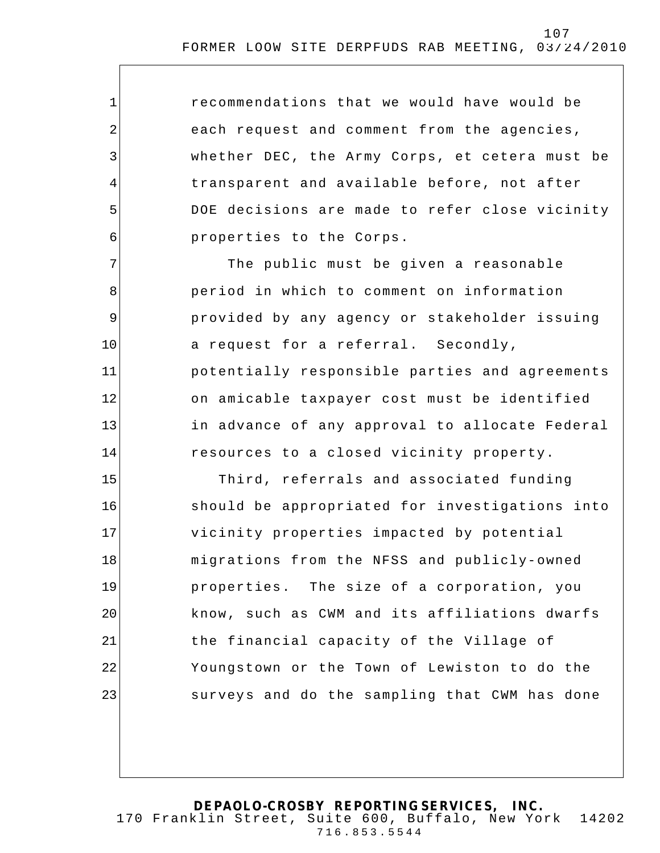recommendations that we would have would be each request and comment from the agencies, whether DEC, the Army Corps, et cetera must be transparent and available before, not after DOE decisions are made to refer close vicinity properties to the Corps.

1

2

3

4

5

6

7 8 9 10 11 12 13 14 The public must be given a reasonable period in which to comment on information provided by any agency or stakeholder issuing a request for a referral. Secondly, potentially responsible parties and agreements on amicable taxpayer cost must be identified in advance of any approval to allocate Federal resources to a closed vicinity property.

15 16 17 18 19 20 21 22 23 Third, referrals and associated funding should be appropriated for investigations into vicinity properties impacted by potential migrations from the NFSS and publicly-owned properties. The size of a corporation, you know, such as CWM and its affiliations dwarfs the financial capacity of the Village of Youngstown or the Town of Lewiston to do the surveys and do the sampling that CWM has done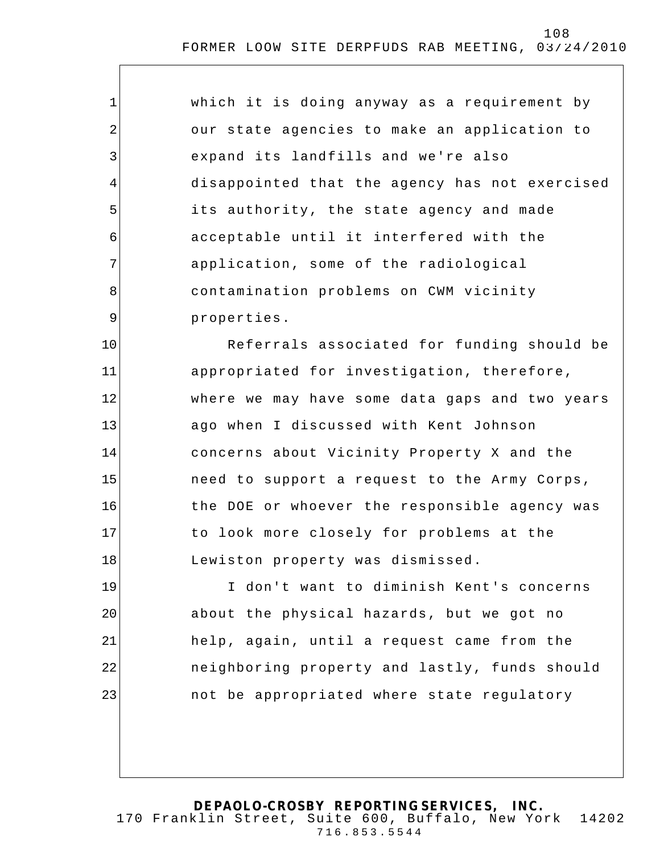| 1           | which it is doing anyway as a requirement by   |
|-------------|------------------------------------------------|
| 2           | our state agencies to make an application to   |
| 3           | expand its landfills and we're also            |
| 4           | disappointed that the agency has not exercised |
| 5           | its authority, the state agency and made       |
| 6           | acceptable until it interfered with the        |
| 7           | application, some of the radiological          |
| 8           | contamination problems on CWM vicinity         |
| $\mathsf 9$ | properties.                                    |
| 10          | Referrals associated for funding should be     |
| 11          | appropriated for investigation, therefore,     |
| 12          | where we may have some data gaps and two years |
| 13          | ago when I discussed with Kent Johnson         |
| 14          | concerns about Vicinity Property X and the     |
| 15          | need to support a request to the Army Corps,   |
| 16          | the DOE or whoever the responsible agency was  |
| 17          | to look more closely for problems at the       |
| 18          | Lewiston property was dismissed.               |
| 19          | I don't want to diminish Kent's concerns       |
| 20          | about the physical hazards, but we got no      |
| 21          | help, again, until a request came from the     |
| 22          | neighboring property and lastly, funds should  |
| 23          | not be appropriated where state regulatory     |
|             |                                                |
|             |                                                |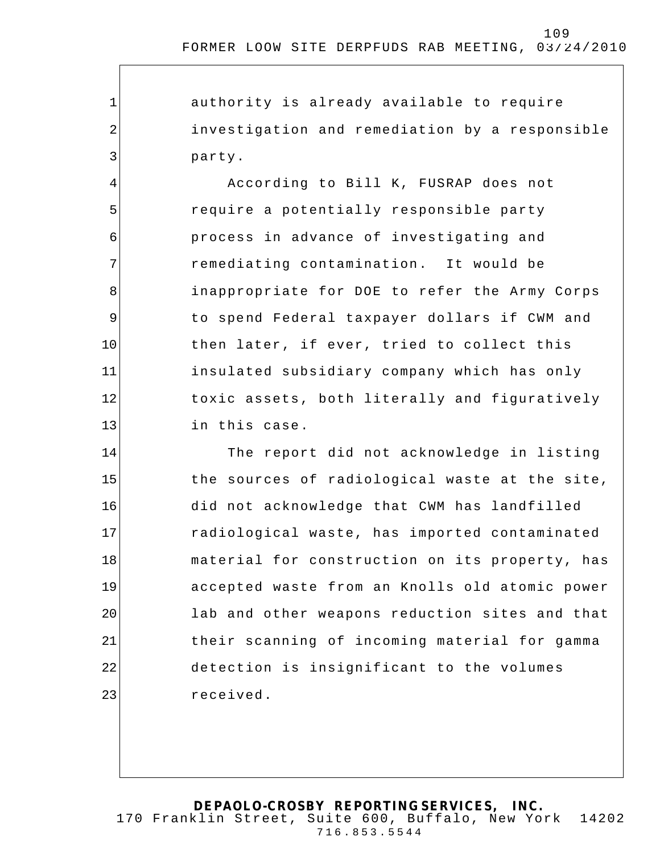authority is already available to require investigation and remediation by a responsible party.

1

2

3

4 5 6 7 8 9 10 11 12 13 According to Bill K, FUSRAP does not require a potentially responsible party process in advance of investigating and remediating contamination. It would be inappropriate for DOE to refer the Army Corps to spend Federal taxpayer dollars if CWM and then later, if ever, tried to collect this insulated subsidiary company which has only toxic assets, both literally and figuratively in this case.

14 15 16 17 18 19 20 21 22 23 The report did not acknowledge in listing the sources of radiological waste at the site, did not acknowledge that CWM has landfilled radiological waste, has imported contaminated material for construction on its property, has accepted waste from an Knolls old atomic power lab and other weapons reduction sites and that their scanning of incoming material for gamma detection is insignificant to the volumes received.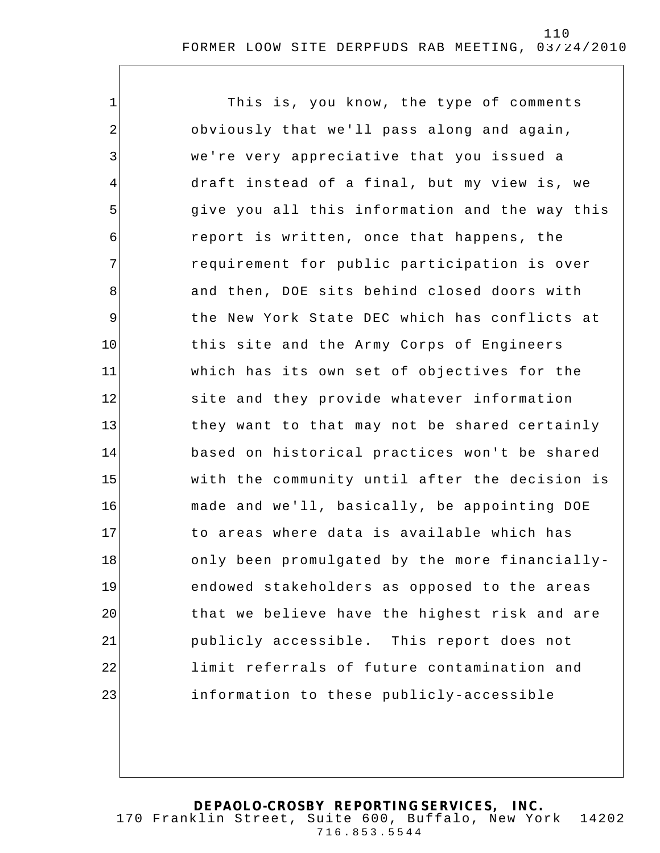1 2 3 4 5 6 7 8 9 10 11 12 13 14 15 16 17 18 19 20 21 22 23 This is, you know, the type of comments obviously that we'll pass along and again, we're very appreciative that you issued a draft instead of a final, but my view is, we give you all this information and the way this report is written, once that happens, the requirement for public participation is over and then, DOE sits behind closed doors with the New York State DEC which has conflicts at this site and the Army Corps of Engineers which has its own set of objectives for the site and they provide whatever information they want to that may not be shared certainly based on historical practices won't be shared with the community until after the decision is made and we'll, basically, be appointing DOE to areas where data is available which has only been promulgated by the more financiallyendowed stakeholders as opposed to the areas that we believe have the highest risk and are publicly accessible. This report does not limit referrals of future contamination and information to these publicly-accessible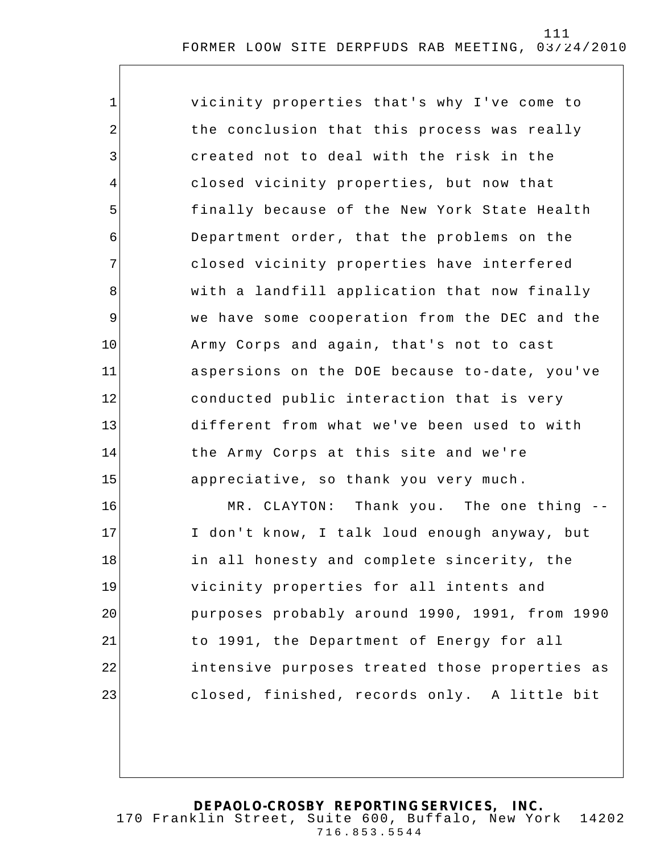| 1           | vicinity properties that's why I've come to    |
|-------------|------------------------------------------------|
| 2           | the conclusion that this process was really    |
| 3           | created not to deal with the risk in the       |
| 4           | closed vicinity properties, but now that       |
| 5           | finally because of the New York State Health   |
| 6           | Department order, that the problems on the     |
| 7           | closed vicinity properties have interfered     |
| 8           | with a landfill application that now finally   |
| $\mathsf 9$ | we have some cooperation from the DEC and the  |
| 10          | Army Corps and again, that's not to cast       |
| 11          | aspersions on the DOE because to-date, you've  |
| 12          | conducted public interaction that is very      |
| 13          | different from what we've been used to with    |
| 14          | the Army Corps at this site and we're          |
| 15          | appreciative, so thank you very much.          |
| 16          | MR. CLAYTON: Thank you. The one thing --       |
| 17          | I don't know, I talk loud enough anyway, but   |
| 18          | in all honesty and complete sincerity, the     |
| 19          | vicinity properties for all intents and        |
| 20          | purposes probably around 1990, 1991, from 1990 |
| 21          | to 1991, the Department of Energy for all      |
| 22          | intensive purposes treated those properties as |
| 23          | closed, finished, records only. A little bit   |
|             |                                                |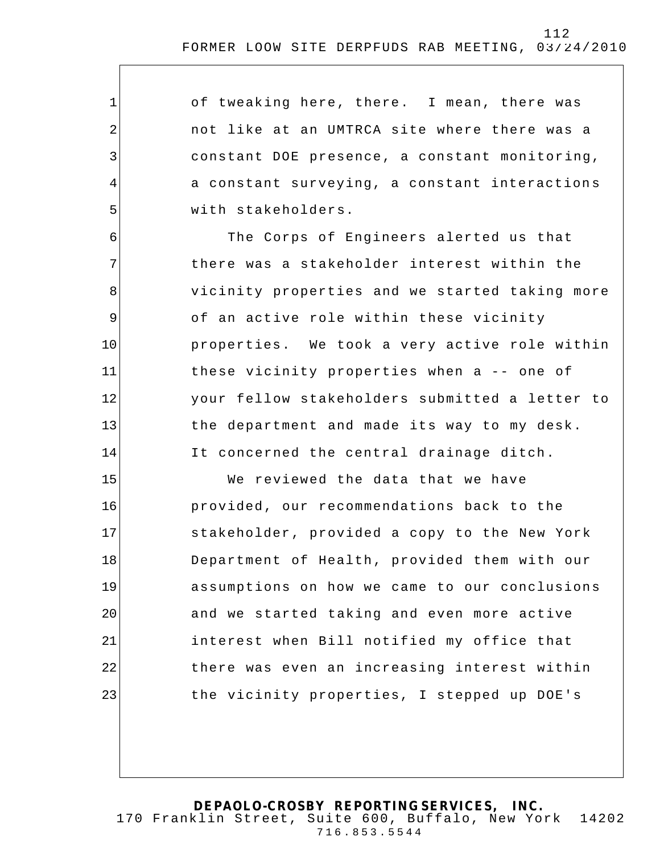of tweaking here, there. I mean, there was not like at an UMTRCA site where there was a constant DOE presence, a constant monitoring, a constant surveying, a constant interaction s with stakeholders.

1

2

3

4

5

6

7

8

9

10

11

12

13

14

The Corps of Engineers alerted us that there was a stakeholder interest within the vicinity properties and we started taking more of an active role within these vicinity properties. We took a very active role within these vicinity properties when a -- one of your fellow stakeholders submitted a letter to the department and made its way to my desk. It concerned the central drainage ditch.

15 16 17 18 19 20 21 22 23 We reviewed the data that we have provided, our recommendations back to the stakeholder, provided a copy to the New York Department of Health, provided them with our assumptions on how we came to our conclusions and we started taking and even more active interest when Bill notified my office that there was even an increasing interest within the vicinity properties, I stepped up DOE's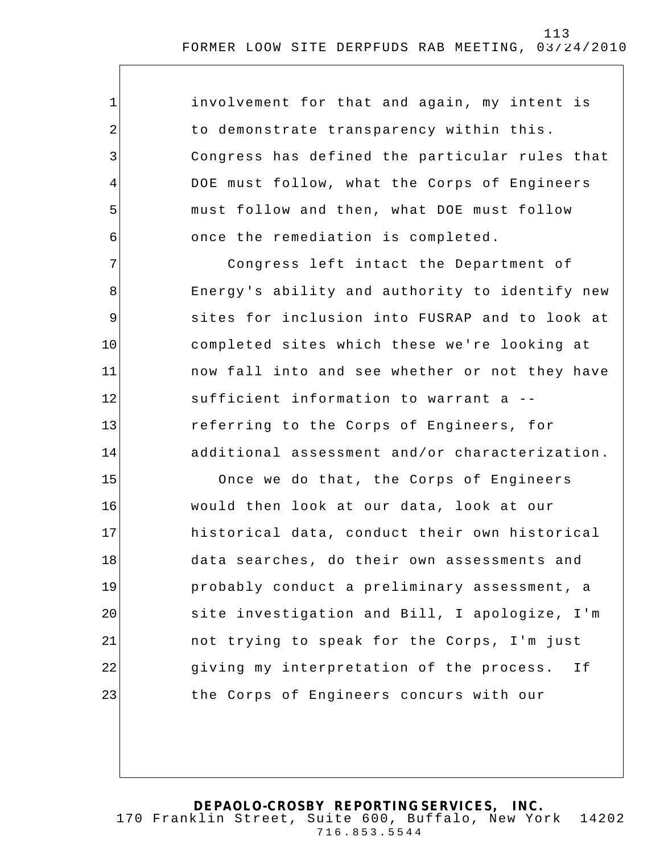involvement for that and again, my intent is to demonstrate transparency within this. Congress has defined the particular rules that DOE must follow, what the Corps of Engineers must follow and then, what DOE must follow once the remediation is completed.

1

2

3

4

5

6

7

8

9

10

11

12

13

14

Congress left intact the Department of Energy's ability and authority to identify new sites for inclusion into FUSRAP and to look at completed sites which these we're looking at now fall into and see whether or not they have sufficient information to warrant a - referring to the Corps of Engineers, for additional assessment and/or characterization.

15 16 17 18 19 20 21 22 23 Once we do that, the Corps of Engineers would then look at our data, look at our historical data, conduct their own historical data searches, do their own assessments and probably conduct a preliminary assessment, a site investigation and Bill, I apologize, I'm not trying to speak for the Corps, I'm just giving my interpretation of the process. If the Corps of Engineers concurs with our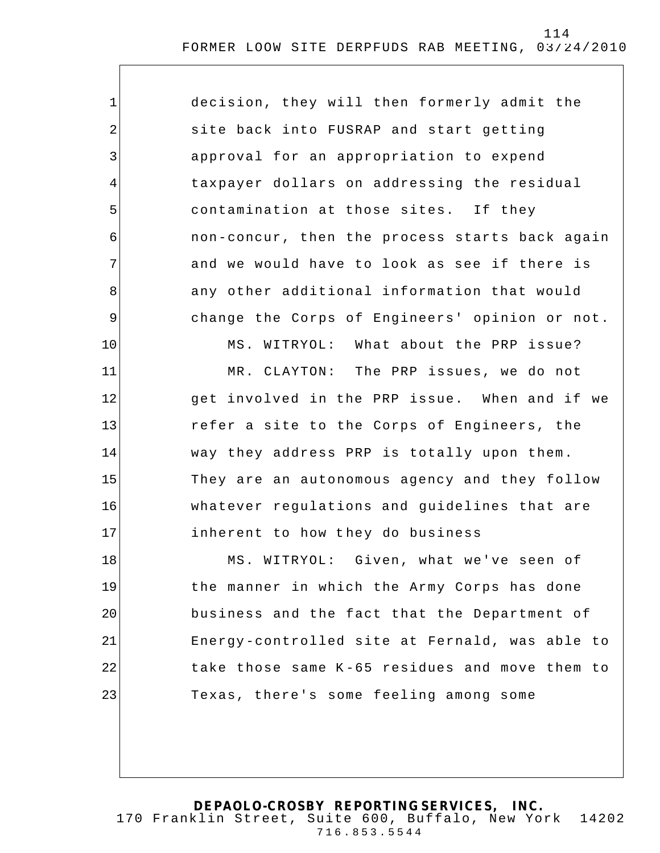| $\mathbf{1}$   | decision, they will then formerly admit the    |
|----------------|------------------------------------------------|
| $\overline{a}$ | site back into FUSRAP and start getting        |
| $\mathfrak{Z}$ | approval for an appropriation to expend        |
| 4              | taxpayer dollars on addressing the residual    |
| 5              | contamination at those sites. If they          |
| 6              | non-concur, then the process starts back again |
| 7              | and we would have to look as see if there is   |
| 8              | any other additional information that would    |
| $\mathsf 9$    | change the Corps of Engineers' opinion or not. |
| 10             | MS. WITRYOL: What about the PRP issue?         |
| 11             | MR. CLAYTON: The PRP issues, we do not         |
| 12             | get involved in the PRP issue. When and if we  |
| 13             | refer a site to the Corps of Engineers, the    |
| 14             | way they address PRP is totally upon them.     |
| 15             | They are an autonomous agency and they follow  |
| 16             | whatever regulations and guidelines that are   |
| 17             | inherent to how they do business               |
| 18             | MS. WITRYOL: Given, what we've seen of         |
| 19             | the manner in which the Army Corps has done    |
| 20             | business and the fact that the Department of   |
| 21             | Energy-controlled site at Fernald, was able to |
| 22             | take those same K-65 residues and move them to |
| 23             | Texas, there's some feeling among some         |
|                |                                                |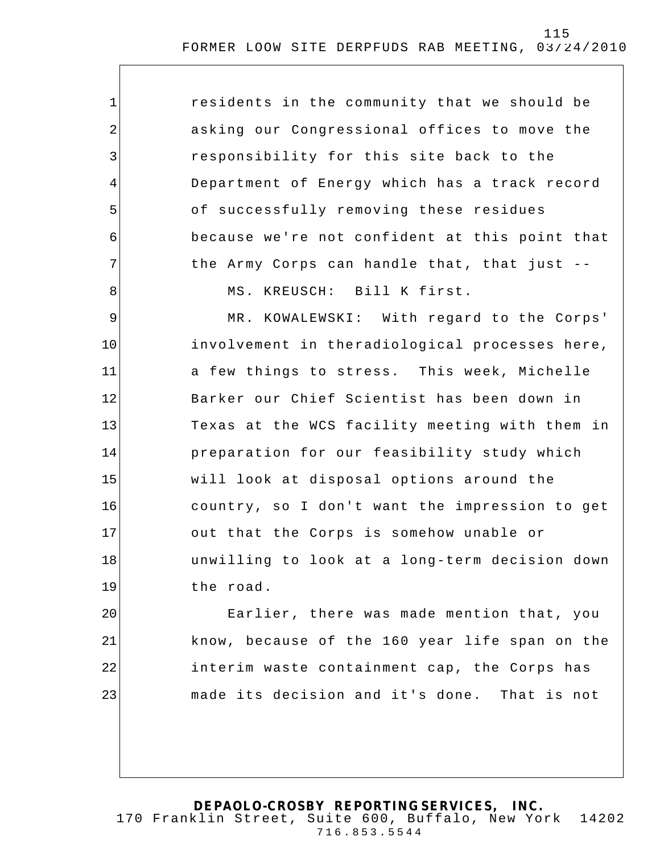| $\mathbf 1$    | residents in the community that we should be   |
|----------------|------------------------------------------------|
| $\overline{2}$ | asking our Congressional offices to move the   |
| 3              | responsibility for this site back to the       |
| 4              | Department of Energy which has a track record  |
| 5              | of successfully removing these residues        |
| 6              | because we're not confident at this point that |
| 7              | the Army Corps can handle that, that just --   |
| 8              | MS. KREUSCH: Bill K first.                     |
| 9              | MR. KOWALEWSKI: With regard to the Corps'      |
| 10             | involvement in theradiological processes here, |
| 11             | a few things to stress. This week, Michelle    |
| 12             | Barker our Chief Scientist has been down in    |
| 13             | Texas at the WCS facility meeting with them in |
| 14             | preparation for our feasibility study which    |
| 15             | will look at disposal options around the       |
| 16             | country, so I don't want the impression to get |
| 17             | out that the Corps is somehow unable or        |
| 18             | unwilling to look at a long-term decision down |
| 19             | the road.                                      |
| 20             | Earlier, there was made mention that, you      |
| 21             | know, because of the 160 year life span on the |
| 22             | interim waste containment cap, the Corps has   |
| 23             | made its decision and it's done. That is not   |
|                |                                                |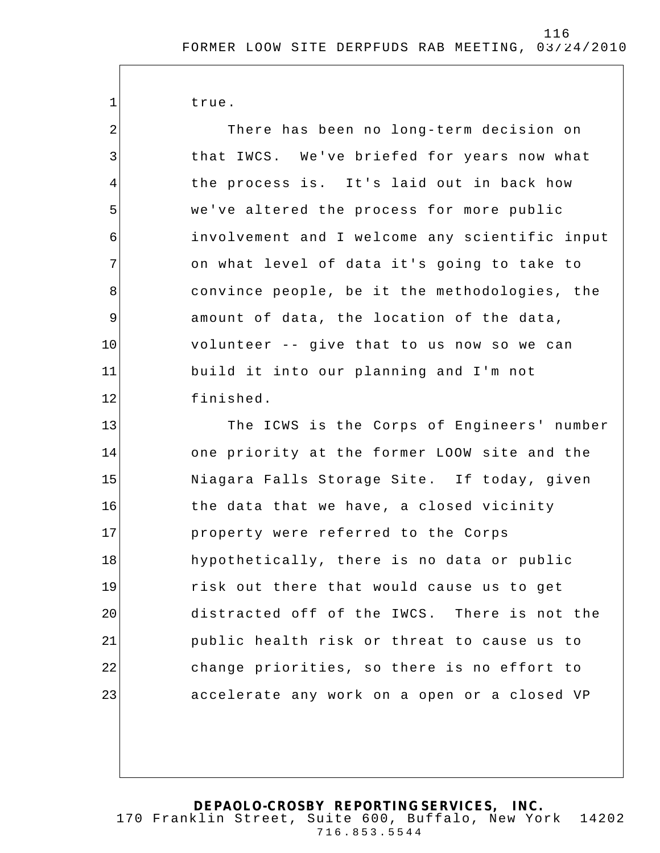true.

1

23

2 3 4 5 6 7 8 9 10 11 12 13 14 15 16 17 18 19 20 21 22 There has been no long-term decision on that IWCS. We've briefed for years now what the process is. It's laid out in back how we've altered the process for more public involvement and I welcome any scientific input on what level of data it's going to take to convince people, be it the methodologies, the amount of data, the location of the data, volunteer -- give that to us now so we can build it into our planning and I'm not finished. The ICWS is the Corps of Engineers' number one priority at the former LOOW site and the Niagara Falls Storage Site. If today, given the data that we have, a closed vicinity property were referred to the Corps hypothetically, there is no data or public risk out there that would cause us to get distracted off of the IWCS. There is not the public health risk or threat to cause us to change priorities, so there is no effort to

**DEPAOLO-CROSBY REPORTING SERVICES, INC.** 170 Franklin Street, Suite 600, Buffalo, New York 14202 716.853.5544

accelerate any work on a open or a closed VP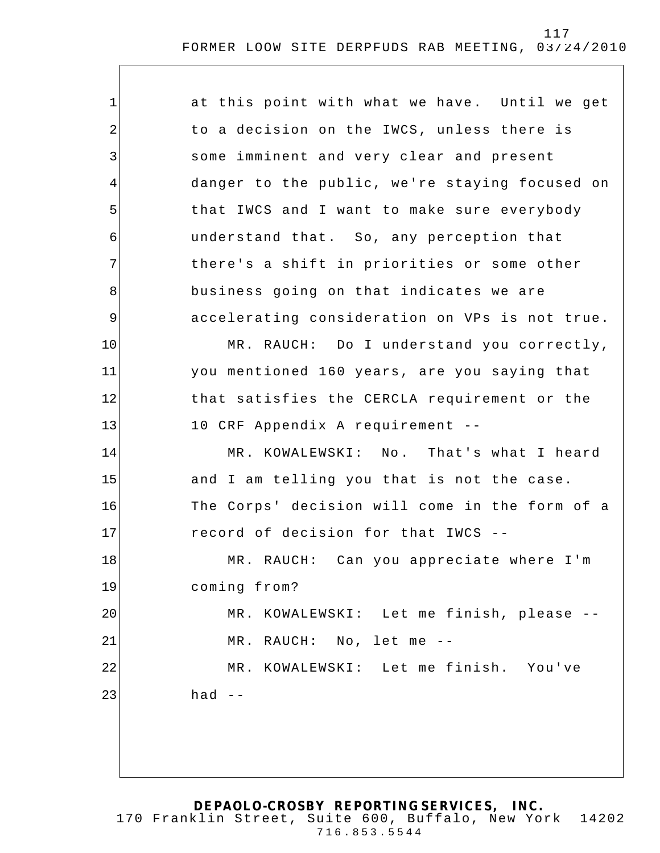| $\mathbf 1$ | at this point with what we have. Until we get  |
|-------------|------------------------------------------------|
| 2           | to a decision on the IWCS, unless there is     |
| 3           | some imminent and very clear and present       |
| 4           | danger to the public, we're staying focused on |
| 5           | that IWCS and I want to make sure everybody    |
| 6           | understand that. So, any perception that       |
| 7           | there's a shift in priorities or some other    |
| 8           | business going on that indicates we are        |
| $\mathsf 9$ | accelerating consideration on VPs is not true. |
| 10          | MR. RAUCH: Do I understand you correctly,      |
| 11          | you mentioned 160 years, are you saying that   |
| 12          | that satisfies the CERCLA requirement or the   |
| 13          | 10 CRF Appendix A requirement --               |
| 14          | MR. KOWALEWSKI: No. That's what I heard        |
| 15          | and I am telling you that is not the case.     |
| 16          | The Corps' decision will come in the form of a |
| 17          | record of decision for that IWCS --            |
| 18          | MR. RAUCH: Can you appreciate where I'm        |
| 19          | coming from?                                   |
| 20          | MR. KOWALEWSKI: Let me finish, please --       |
| 21          | MR. RAUCH: No, let me --                       |
| 22          | MR. KOWALEWSKI: Let me finish. You've          |
| 23          | had $--$                                       |
|             |                                                |
|             |                                                |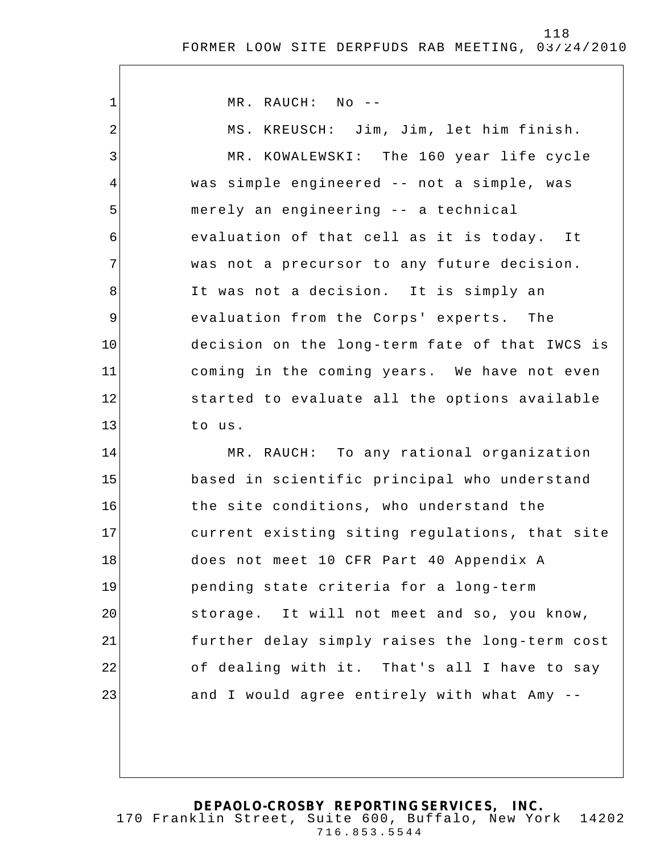1 2 3 4 5 6 7 8 9 10 11 12 13 14 15 16 17 18 19 20 21 22 23 MR. RAUCH: No -- MS. KREUSCH: Jim, Jim, let him finish. MR. KOWALEWSKI: The 160 year life cycle was simple engineered -- not a simple, was merely an engineering -- a technical evaluation of that cell as it is today. It was not a precursor to any future decision. It was not a decision. It is simply an evaluation from the Corps' experts. The decision on the long-term fate of that IWCS is coming in the coming years. We have not even started to evaluate all the options available to us. MR. RAUCH: To any rational organization based in scientific principal who understand the site conditions, who understand the current existing siting regulations, that site does not meet 10 CFR Part 40 Appendix A pending state criteria for a long-term storage. It will not meet and so, you know, further delay simply raises the long-term cost of dealing with it. That's all I have to say and I would agree entirely with what Amy --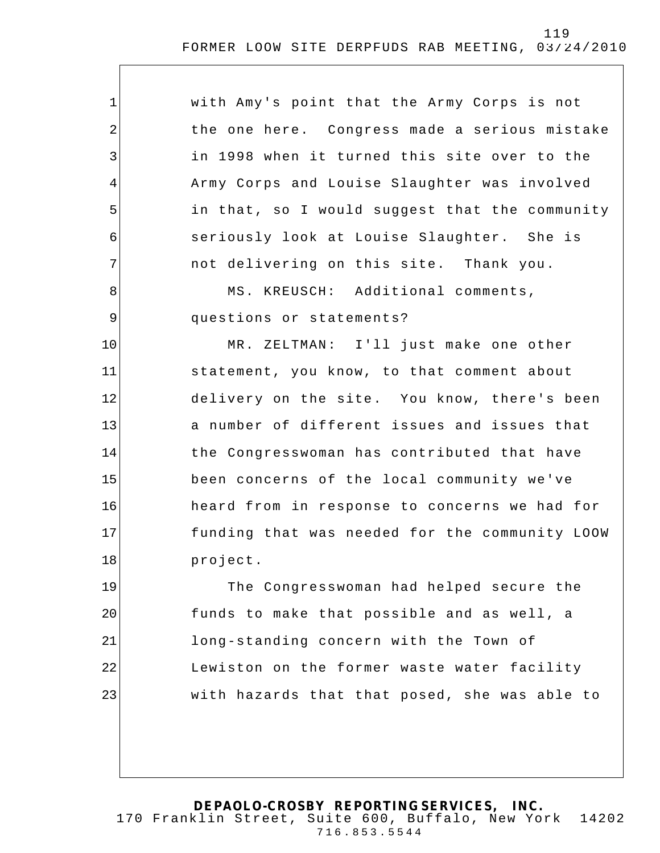| $\mathbf 1$    | with Amy's point that the Army Corps is not    |
|----------------|------------------------------------------------|
| 2              | the one here. Congress made a serious mistake  |
| 3              | in 1998 when it turned this site over to the   |
| 4              | Army Corps and Louise Slaughter was involved   |
| 5              | in that, so I would suggest that the community |
| 6              | seriously look at Louise Slaughter. She is     |
| 7              | not delivering on this site. Thank you.        |
| 8              | MS. KREUSCH: Additional comments,              |
| $\overline{9}$ | questions or statements?                       |
| 10             | MR. ZELTMAN: I'll just make one other          |
| 11             | statement, you know, to that comment about     |
| 12             | delivery on the site. You know, there's been   |
| 13             | a number of different issues and issues that   |
| 14             | the Congresswoman has contributed that have    |
| 15             | been concerns of the local community we've     |
| 16             | heard from in response to concerns we had for  |
| 17             | funding that was needed for the community LOOW |
| 18             | project.                                       |
| 19             | The Congresswoman had helped secure the        |
| 20             | funds to make that possible and as well, a     |
| 21             | long-standing concern with the Town of         |
| 22             | Lewiston on the former waste water facility    |
| 23             | with hazards that that posed, she was able to  |
|                |                                                |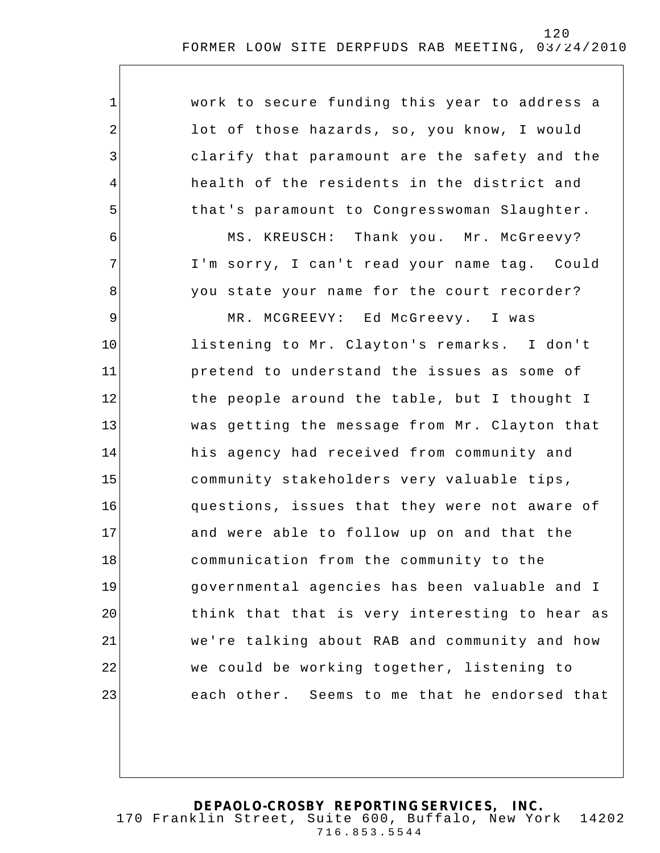| $\mathbf{1}$   | work to secure funding this year to address a  |
|----------------|------------------------------------------------|
| $\overline{2}$ | lot of those hazards, so, you know, I would    |
| 3              | clarify that paramount are the safety and the  |
| $\overline{4}$ | health of the residents in the district and    |
| 5              | that's paramount to Congresswoman Slaughter.   |
| 6              | MS. KREUSCH: Thank you. Mr. McGreevy?          |
| 7              | I'm sorry, I can't read your name tag. Could   |
| 8              | you state your name for the court recorder?    |
| 9              | MR. MCGREEVY: Ed McGreevy. I was               |
| 10             | listening to Mr. Clayton's remarks. I don't    |
| 11             | pretend to understand the issues as some of    |
| 12             | the people around the table, but I thought I   |
| 13             | was getting the message from Mr. Clayton that  |
| 14             | his agency had received from community and     |
| 15             | community stakeholders very valuable tips,     |
| 16             | questions, issues that they were not aware of  |
| 17             | and were able to follow up on and that the     |
| 18             | communication from the community to the        |
| 19             | governmental agencies has been valuable and I  |
| 20             | think that that is very interesting to hear as |
| 21             | we're talking about RAB and community and how  |
| 22             | we could be working together, listening to     |
| 23             | each other. Seems to me that he endorsed that  |
|                |                                                |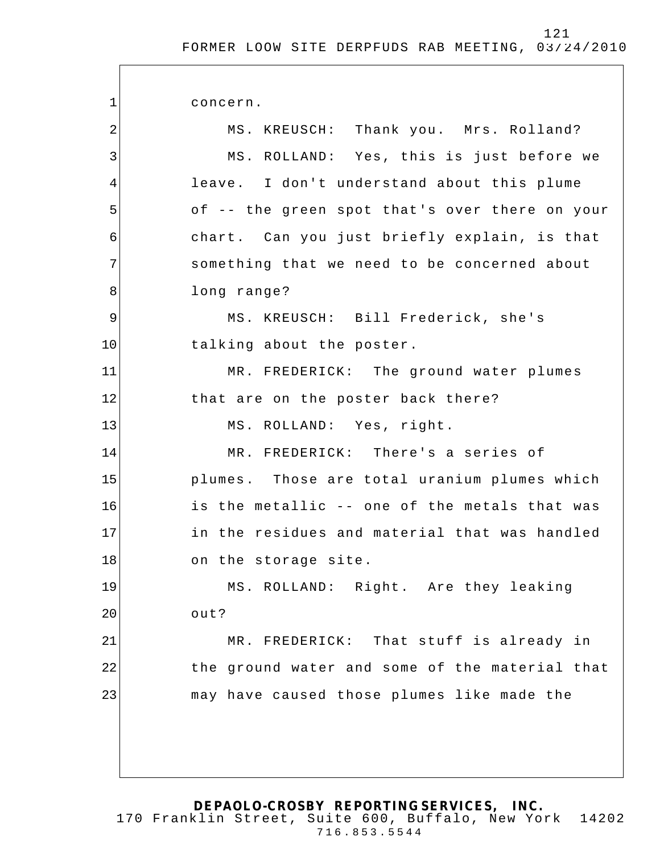1 2 3 4 5 6 7 8 9 10 11 12 13 14 15 16 17 18 19 20 21 22 23 concern. MS. KREUSCH: Thank you. Mrs. Rolland? MS. ROLLAND: Yes, this is just before we leave. I don't understand about this plume of -- the green spot that's over there on your chart. Can you just briefly explain, is that something that we need to be concerned about long range? MS. KREUSCH: Bill Frederick, she's talking about the poster. MR. FREDERICK: The ground water plumes that are on the poster back there? MS. ROLLAND: Yes, right. MR. FREDERICK: There's a series of plumes. Those are total uranium plumes which is the metallic -- one of the metals that was in the residues and material that was handled on the storage site. MS. ROLLAND: Right. Are they leaking out? MR. FREDERICK: That stuff is already in the ground water and some of the material that may have caused those plumes like made the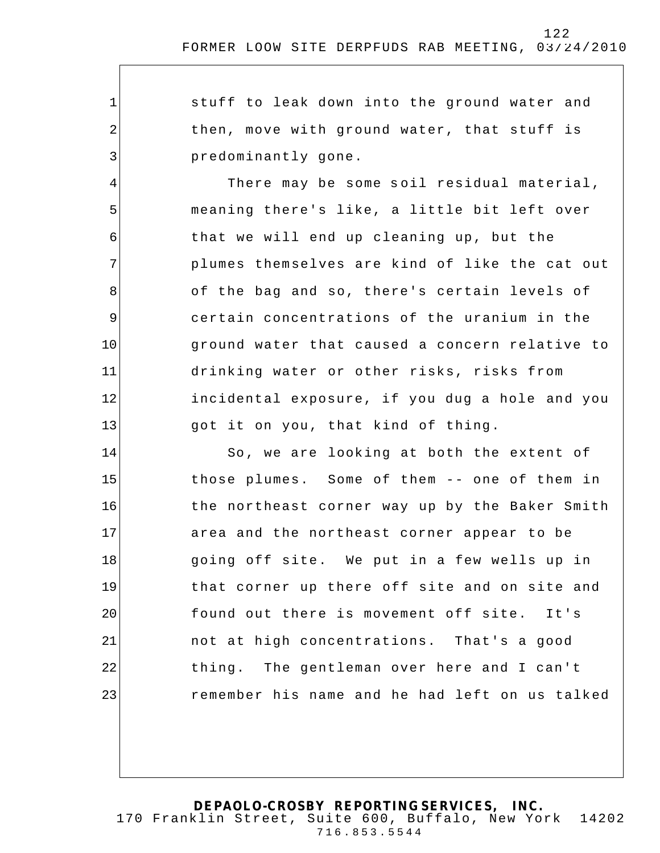$\overline{\phantom{a}}$ 

| $\mathbf 1$ | stuff to leak down into the ground water and   |
|-------------|------------------------------------------------|
| $\sqrt{2}$  | then, move with ground water, that stuff is    |
| 3           | predominantly gone.                            |
| 4           | There may be some soil residual material,      |
| 5           | meaning there's like, a little bit left over   |
| 6           | that we will end up cleaning up, but the       |
| 7           | plumes themselves are kind of like the cat out |
| 8           | of the bag and so, there's certain levels of   |
| 9           | certain concentrations of the uranium in the   |
| 10          | ground water that caused a concern relative to |
| 11          | drinking water or other risks, risks from      |
| 12          | incidental exposure, if you dug a hole and you |
| 13          | got it on you, that kind of thing.             |
| 14          | So, we are looking at both the extent of       |
| 15          | those plumes. Some of them -- one of them in   |
| 16          | the northeast corner way up by the Baker Smith |
| 17          | area and the northeast corner appear to be     |
| 18          | going off site. We put in a few wells up in    |
| 19          | that corner up there off site and on site and  |
| 20          | found out there is movement off site. It's     |
| 21          | not at high concentrations. That's a good      |
| 22          | thing. The gentleman over here and I can't     |
| 23          | remember his name and he had left on us talked |
|             |                                                |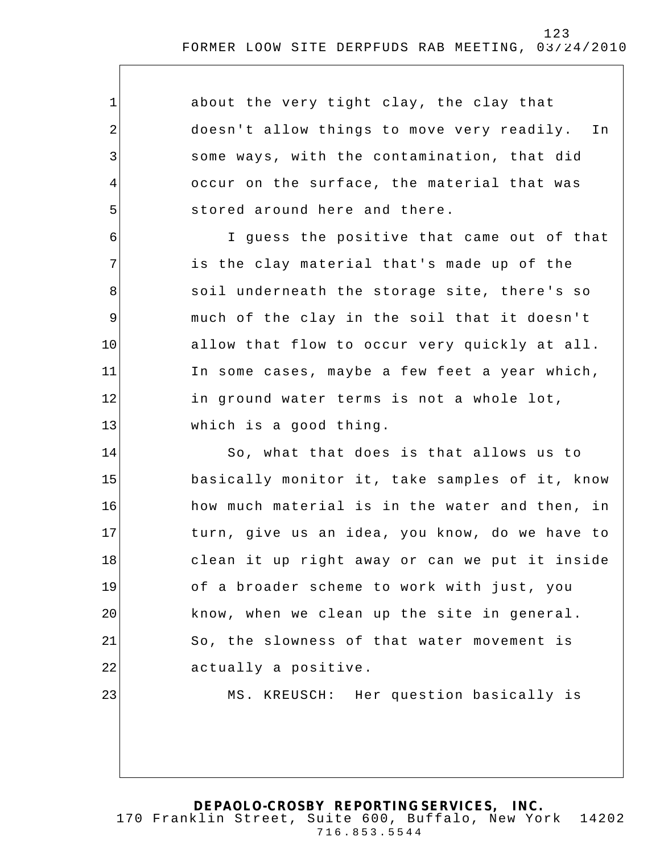1 2 3 4 5 6 7 8 9 10 11 12 13 14 15 16 17 18 19 20 21 22 23 about the very tight clay, the clay that doesn't allow things to move very readily. In some ways, with the contamination, that did occur on the surface, the material that was stored around here and there. I guess the positive that came out of that is the clay material that's made up of the soil underneath the storage site, there's so much of the clay in the soil that it doesn't allow that flow to occur very quickly at all. In some cases, maybe a few feet a year which, in ground water terms is not a whole lot, which is a good thing. So, what that does is that allows us to basically monitor it, take samples of it, know how much material is in the water and then, in turn, give us an idea, you know, do we have to clean it up right away or can we put it inside of a broader scheme to work with just, you know, when we clean up the site in general. So, the slowness of that water movement is actually a positive. MS. KREUSCH: Her question basically is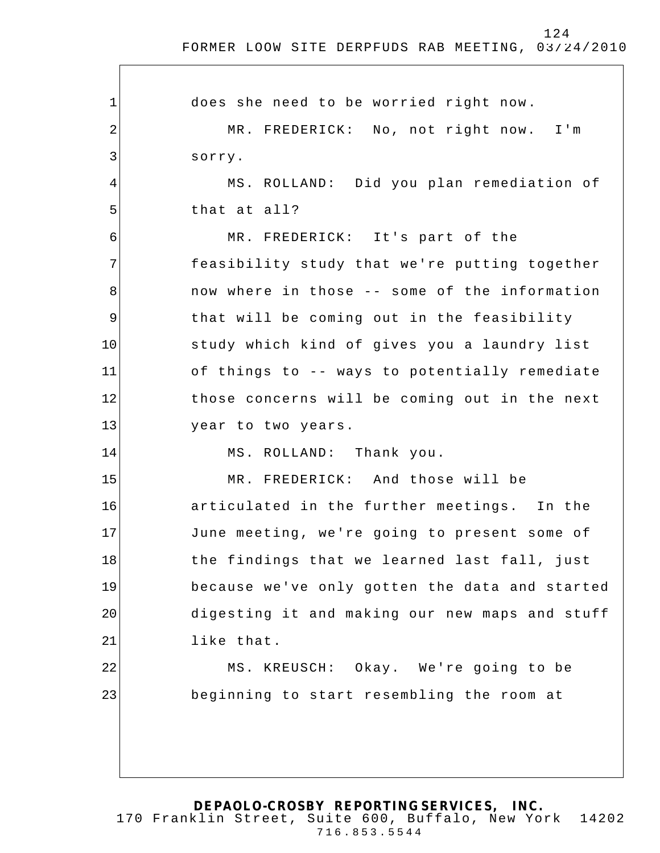1 2 3 4 5 6 7 8 9 10 11 12 13 14 15 16 17 18 19 20 21 22 23 does she need to be worried right now . MR. FREDERICK: No, not right now. I'm sorry. MS. ROLLAND: Did you plan remediation of that at all? MR. FREDERICK: It's part of the feasibility study that we're putting together now where in those -- some of the information that will be coming out in the feasibility study which kind of gives you a laundry list of things to -- ways to potentially remediate those concerns will be coming out in the next year to two years. MS. ROLLAND: Thank you. MR. FREDERICK: And those will be articulated in the further meetings. In the June meeting, we're going to present some of the findings that we learned last fall, just because we've only gotten the data and started digesting it and making our new maps and stuff like that. MS. KREUSCH: Okay. We're going to be beginning to start resembling the room at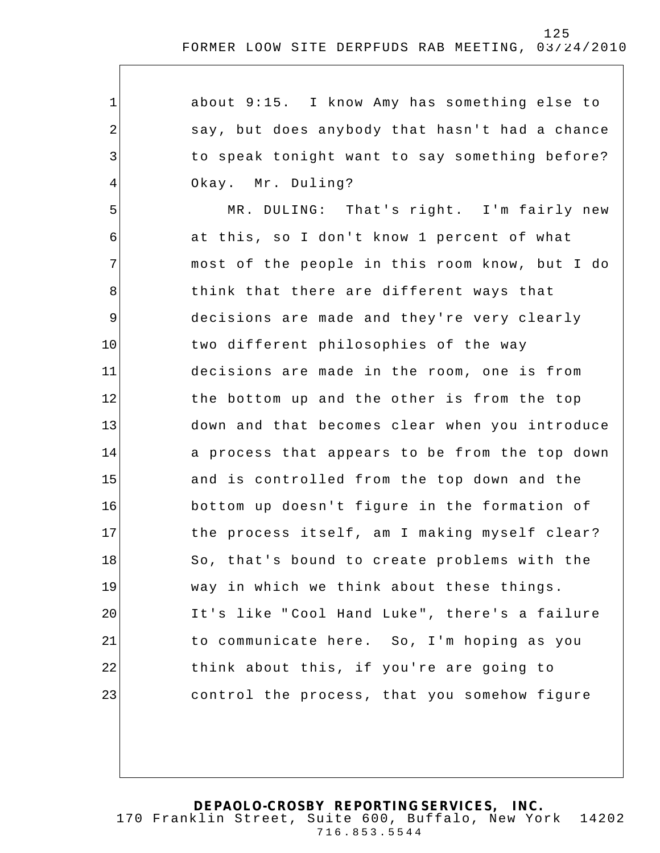| $\mathbf 1$ | about 9:15. I know Amy has something else to   |
|-------------|------------------------------------------------|
| 2           | say, but does anybody that hasn't had a chance |
| 3           | to speak tonight want to say something before? |
| 4           | Okay. Mr. Duling?                              |
| 5           | MR. DULING: That's right. I'm fairly new       |
| 6           | at this, so I don't know 1 percent of what     |
| 7           | most of the people in this room know, but I do |
| 8           | think that there are different ways that       |
| $\mathsf 9$ | decisions are made and they're very clearly    |
| 10          | two different philosophies of the way          |
| 11          | decisions are made in the room, one is from    |
| 12          | the bottom up and the other is from the top    |
| 13          | down and that becomes clear when you introduce |
| 14          | a process that appears to be from the top down |
| 15          | and is controlled from the top down and the    |
| 16          | bottom up doesn't figure in the formation of   |
| 17          | the process itself, am I making myself clear?  |
| 18          | So, that's bound to create problems with the   |
| 19          | way in which we think about these things.      |
| 20          | It's like "Cool Hand Luke", there's a failure  |
| 21          | to communicate here. So, I'm hoping as you     |
| 22          | think about this, if you're are going to       |
| 23          | control the process, that you somehow figure   |
|             |                                                |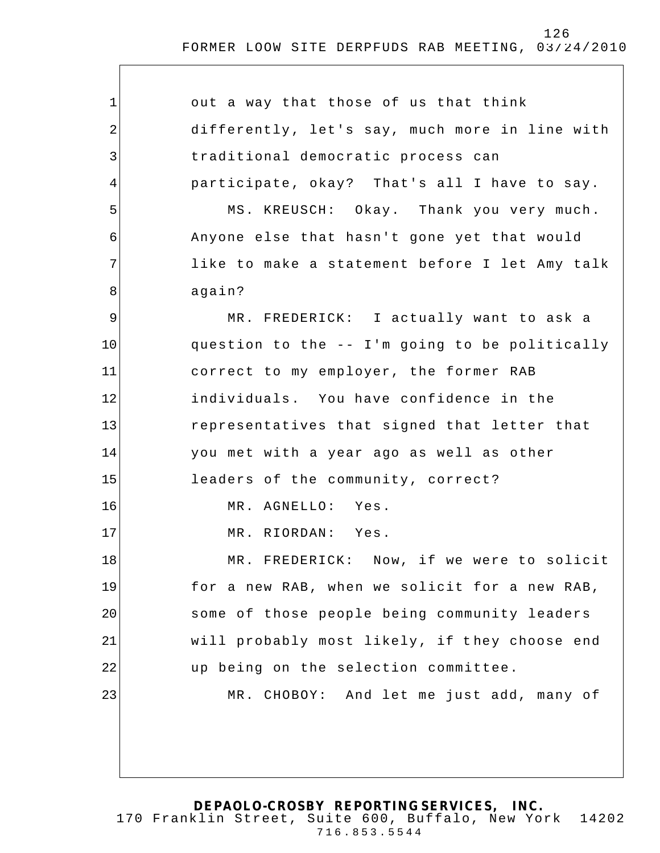| $\mathbf 1$ | out a way that those of us that think          |
|-------------|------------------------------------------------|
| 2           | differently, let's say, much more in line with |
| 3           | traditional democratic process can             |
| 4           | participate, okay? That's all I have to say.   |
| 5           | MS. KREUSCH: Okay. Thank you very much.        |
| 6           | Anyone else that hasn't gone yet that would    |
| 7           | like to make a statement before I let Amy talk |
| 8           | again?                                         |
| $\mathsf 9$ | MR. FREDERICK: I actually want to ask a        |
| 10          | question to the -- I'm going to be politically |
| 11          | correct to my employer, the former RAB         |
| 12          | individuals. You have confidence in the        |
| 13          | representatives that signed that letter that   |
| 14          | you met with a year ago as well as other       |
| 15          | leaders of the community, correct?             |
| 16          | MR. AGNELLO: Yes.                              |
| 17          | MR. RIORDAN: Yes.                              |
| 18          | MR. FREDERICK: Now, if we were to solicit      |
| 19          | for a new RAB, when we solicit for a new RAB,  |
| 20          | some of those people being community leaders   |
| 21          | will probably most likely, if they choose end  |
| 22          | up being on the selection committee.           |
| 23          | MR. CHOBOY: And let me just add, many of       |
|             |                                                |
|             |                                                |
|             |                                                |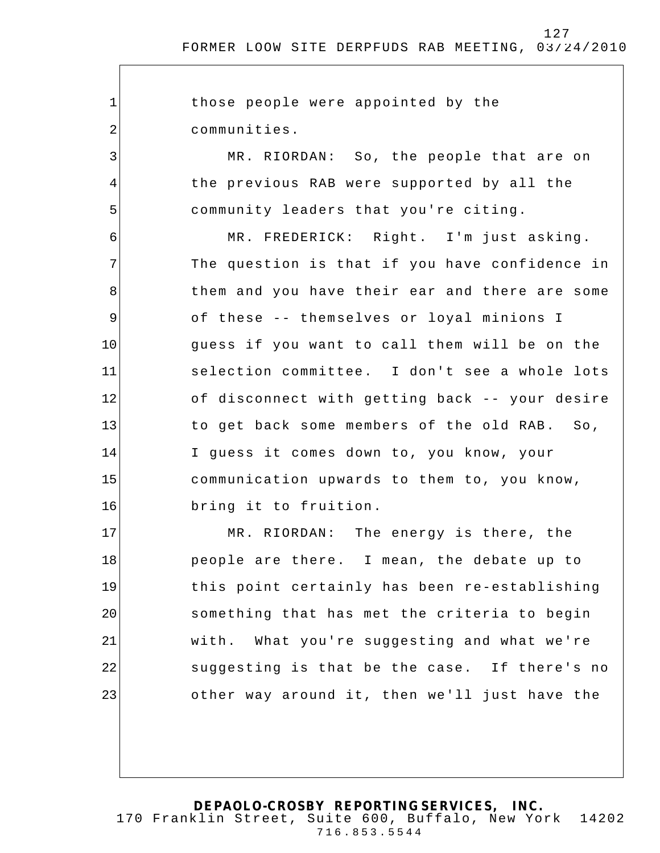1 2 3 4 5 6 7 8 9 10 11 12 13 14 15 16 17 18 19 20 21 22 23 those people were appointed by the communities. MR. RIORDAN: So, the people that are on the previous RAB were supported by all the community leaders that you're citing. MR. FREDERICK: Right. I'm just asking. The question is that if you have confidence in them and you have their ear and there are some of these -- themselves or loyal minions I guess if you want to call them will be on the selection committee. I don't see a whole lots of disconnect with getting back -- your desire to get back some members of the old RAB. So, I guess it comes down to, you know, your communication upwards to them to, you know, bring it to fruition. MR. RIORDAN: The energy is there, the people are there. I mean, the debate up to this point certainly has been re-establishing something that has met the criteria to begin with. What you're suggesting and what we're suggesting is that be the case. If there's no other way around it, then we'll just have the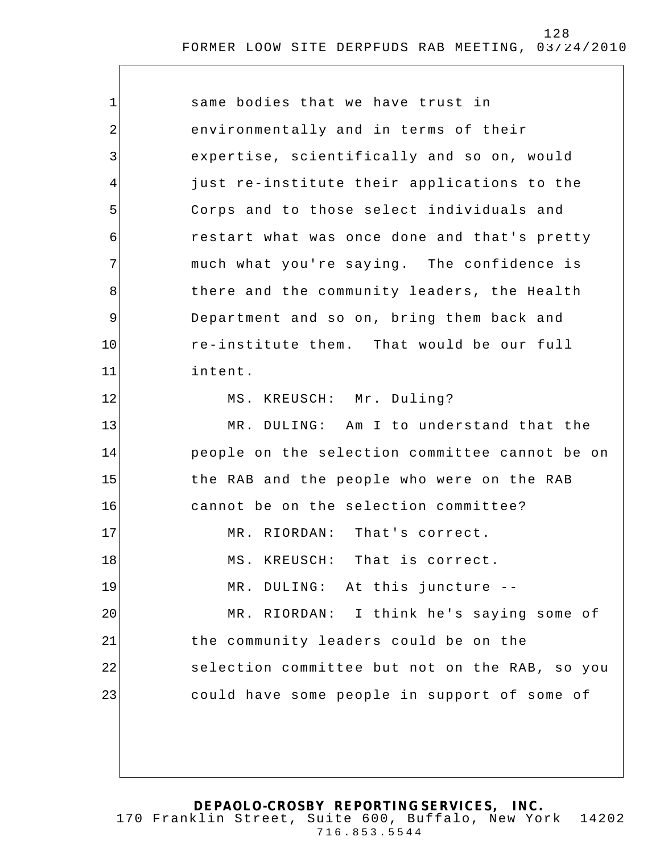| $\mathbf 1$ | same bodies that we have trust in              |
|-------------|------------------------------------------------|
| 2           | environmentally and in terms of their          |
| 3           | expertise, scientifically and so on, would     |
| 4           | just re-institute their applications to the    |
| 5           | Corps and to those select individuals and      |
| 6           | restart what was once done and that's pretty   |
| 7           | much what you're saying. The confidence is     |
| 8           | there and the community leaders, the Health    |
| 9           | Department and so on, bring them back and      |
| 10          | re-institute them. That would be our full      |
| 11          | intent.                                        |
| 12          | MS. KREUSCH: Mr. Duling?                       |
| 13          | MR. DULING: Am I to understand that the        |
| 14          | people on the selection committee cannot be on |
| 15          | the RAB and the people who were on the RAB     |
| 16          | cannot be on the selection committee?          |
| 17          | MR. RIORDAN: That's correct.                   |
| 18          | MS. KREUSCH: That is correct.                  |
| 19          | MR. DULING: At this juncture --                |
| 20          | MR. RIORDAN: I think he's saying some of       |
| 21          | the community leaders could be on the          |
| 22          | selection committee but not on the RAB, so you |
| 23          | could have some people in support of some of   |
|             |                                                |
|             |                                                |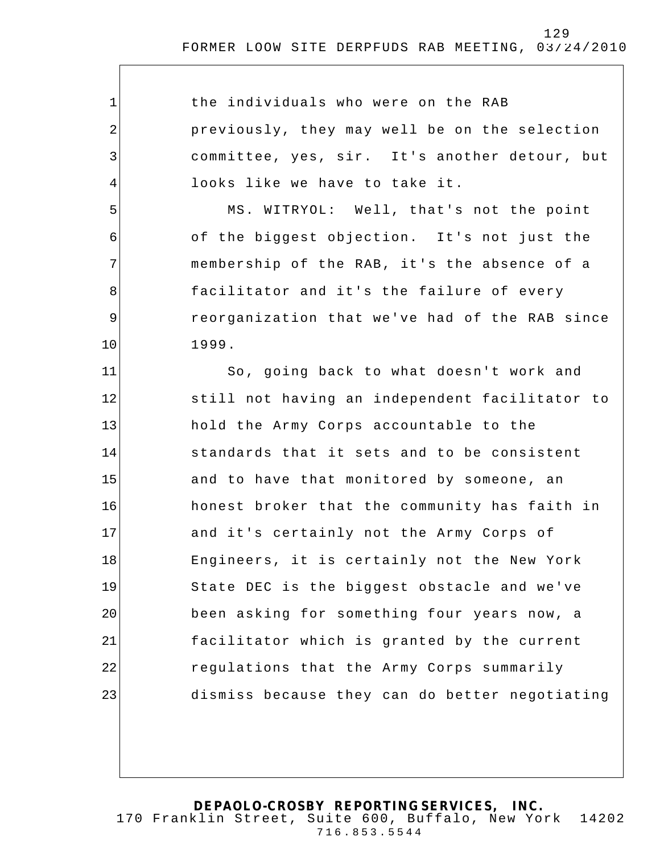1 2 3 4 5 6 7 8 9 10 11 12 13 14 15 16 17 18 19 20 21 22 23 the individuals who were on the RAB previously, they may well be on the selection committee, yes, sir. It's another detour, but looks like we have to take it. MS. WITRYOL: Well, that's not the point of the biggest objection. It's not just the membership of the RAB, it's the absence of a facilitator and it's the failure of every reorganization that we've had of the RAB since 1999. So, going back to what doesn't work and still not having an independent facilitator to hold the Army Corps accountable to the standards that it sets and to be consistent and to have that monitored by someone, an honest broker that the community has faith in and it's certainly not the Army Corps of Engineers, it is certainly not the New York State DEC is the biggest obstacle and we've been asking for something four years now, a facilitator which is granted by the current regulations that the Army Corps summarily dismiss because they can do better negotiating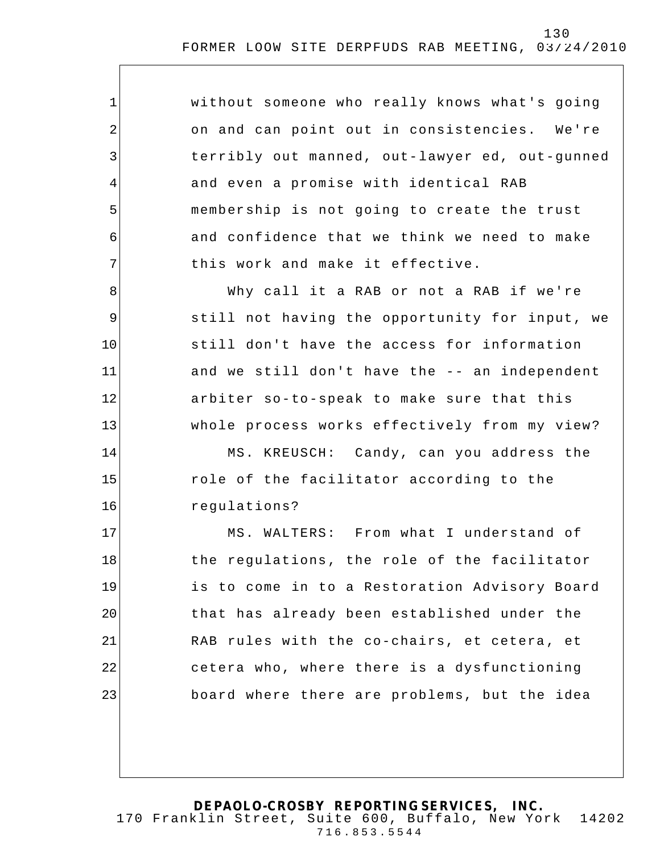| $\mathbf 1$    | without someone who really knows what's going  |
|----------------|------------------------------------------------|
| $\sqrt{2}$     | on and can point out in consistencies. We're   |
| 3              | terribly out manned, out-lawyer ed, out-gunned |
| $\overline{4}$ | and even a promise with identical RAB          |
| 5              | membership is not going to create the trust    |
| 6              | and confidence that we think we need to make   |
| 7              | this work and make it effective.               |
| 8              | Why call it a RAB or not a RAB if we're        |
| 9              | still not having the opportunity for input, we |
| 10             | still don't have the access for information    |
| 11             | and we still don't have the -- an independent  |
| 12             | arbiter so-to-speak to make sure that this     |
| 13             | whole process works effectively from my view?  |
| 14             | MS. KREUSCH: Candy, can you address the        |
| 15             | role of the facilitator according to the       |
| 16             | regulations?                                   |
| 17             | MS. WALTERS: From what I understand of         |
| 18             | the regulations, the role of the facilitator   |
| 19             | is to come in to a Restoration Advisory Board  |
| 20             | that has already been established under the    |
| 21             | RAB rules with the co-chairs, et cetera, et    |
| 22             | cetera who, where there is a dysfunctioning    |
| 23             | board where there are problems, but the idea   |
|                |                                                |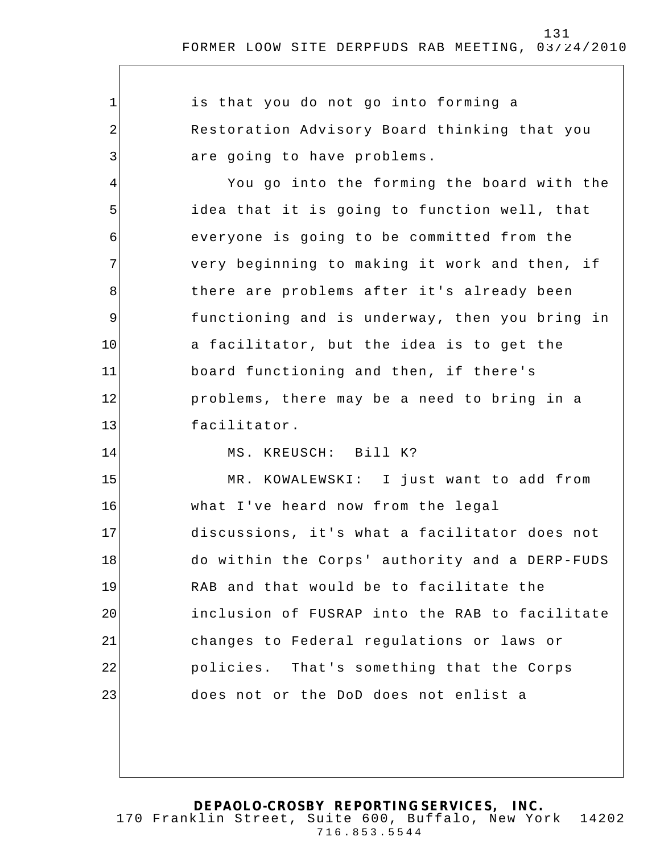1 2 3 4 5 6 7 8 9 10 11 12 13 14 15 16 17 18 19 20 21 22 23 is that you do not go into forming a Restoration Advisory Board thinking that you are going to have problems. You go into the forming the board with the idea that it is going to function well, that everyone is going to be committed from the very beginning to making it work and then, if there are problems after it's already been functioning and is underway, then you bring in a facilitator, but the idea is to get the board functioning and then, if there's problems, there may be a need to bring in a facilitator. MS. KREUSCH: Bill K? MR. KOWALEWSKI: I just want to add from what I've heard now from the legal discussions, it's what a facilitator does not do within the Corps' authority and a DERP-FUDS RAB and that would be to facilitate the inclusion of FUSRAP into the RAB to facilitate changes to Federal regulations or laws or policies. That's something that the Corps does not or the DoD does not enlist a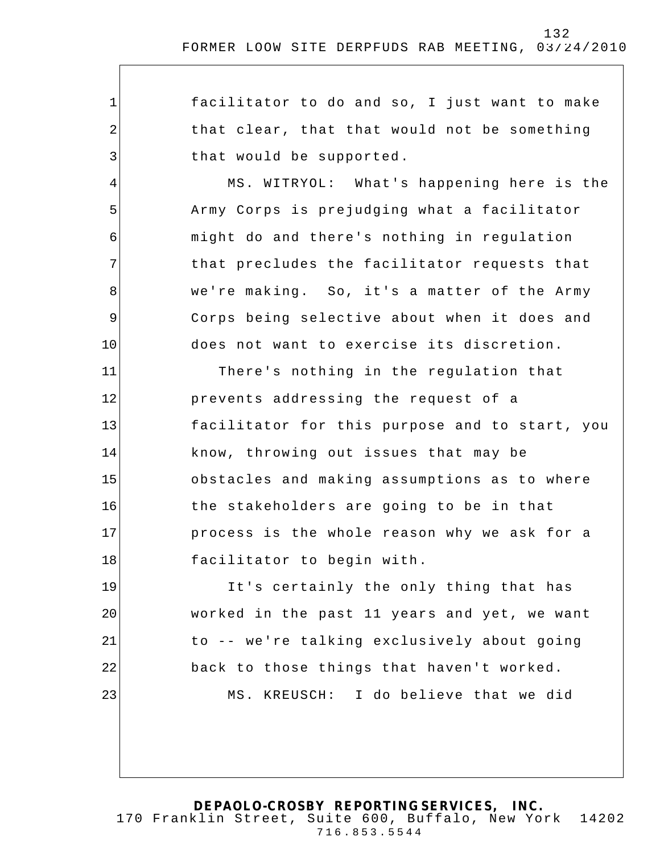| $\mathbf 1$    | facilitator to do and so, I just want to make  |
|----------------|------------------------------------------------|
| $\overline{a}$ | that clear, that that would not be something   |
| 3              | that would be supported.                       |
| 4              | MS. WITRYOL: What's happening here is the      |
| 5              | Army Corps is prejudging what a facilitator    |
| 6              | might do and there's nothing in regulation     |
| 7              | that precludes the facilitator requests that   |
| 8              | we're making. So, it's a matter of the Army    |
| $\overline{9}$ | Corps being selective about when it does and   |
| 10             | does not want to exercise its discretion.      |
| 11             | There's nothing in the regulation that         |
| 12             | prevents addressing the request of a           |
| 13             | facilitator for this purpose and to start, you |
| 14             | know, throwing out issues that may be          |
| 15             | obstacles and making assumptions as to where   |
| 16             | the stakeholders are going to be in that       |
| 17             | process is the whole reason why we ask for a   |
| 18             | facilitator to begin with.                     |
| 19             | It's certainly the only thing that has         |
| 20             | worked in the past 11 years and yet, we want   |
| 21             | to -- we're talking exclusively about going    |
| 22             | back to those things that haven't worked.      |
| 23             | MS. KREUSCH: I do believe that we did          |
|                |                                                |
|                |                                                |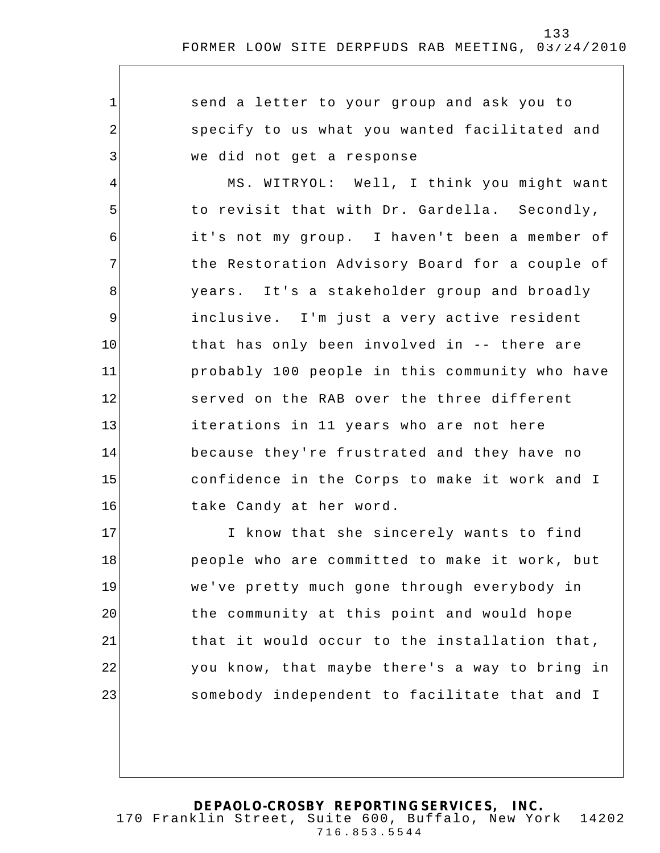send a letter to your group and ask you to specify to us what you wanted facilitated and we did not get a response

1

2

3

4 5 6 7 8 9 10 11 12 13 14 15 16 MS. WITRYOL: Well, I think you might want to revisit that with Dr. Gardella. Secondly, it's not my group. I haven't been a member of the Restoration Advisory Board for a couple of years. It's a stakeholder group and broadly inclusive. I'm just a very active resident that has only been involved in -- there are probably 100 people in this community who have served on the RAB over the three different iterations in 11 years who are not here because they're frustrated and they have no confidence in the Corps to make it work and I take Candy at her word.

17 18 19 20 21 22 23 I know that she sincerely wants to find people who are committed to make it work, but we've pretty much gone through everybody in the community at this point and would hope that it would occur to the installation that, you know, that maybe there's a way to bring in somebody independent to facilitate that and I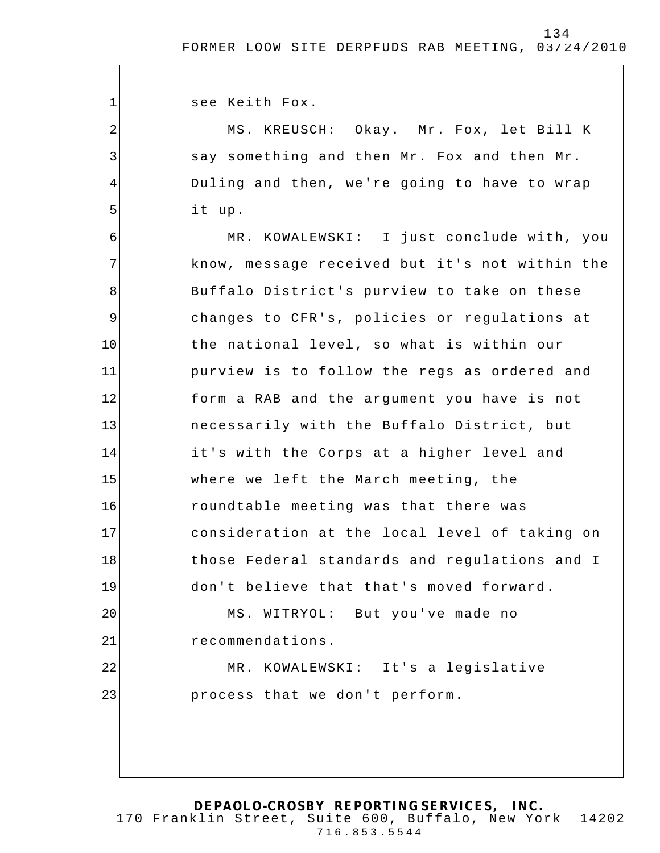see Keith Fox.

1

2

3

4

5

MS. KREUSCH: Okay. Mr. Fox, let Bill K say something and then Mr. Fox and then Mr. Duling and then, we're going to have to wrap it up.

6 7 8 9 10 11 12 13 14 15 16 17 18 19 20 21 22 23 MR. KOWALEWSKI: I just conclude with, you know, message received but it's not within the Buffalo District's purview to take on these changes to CFR's, policies or regulations at the national level, so what is within our purview is to follow the regs as ordered and form a RAB and the argument you have is not necessarily with the Buffalo District, but it's with the Corps at a higher level and where we left the March meeting, the roundtable meeting was that there was consideration at the local level of taking on those Federal standards and regulations and I don't believe that that's moved forward . MS. WITRYOL: But you've made no recommendations. MR. KOWALEWSKI: It's a legislative process that we don't perform.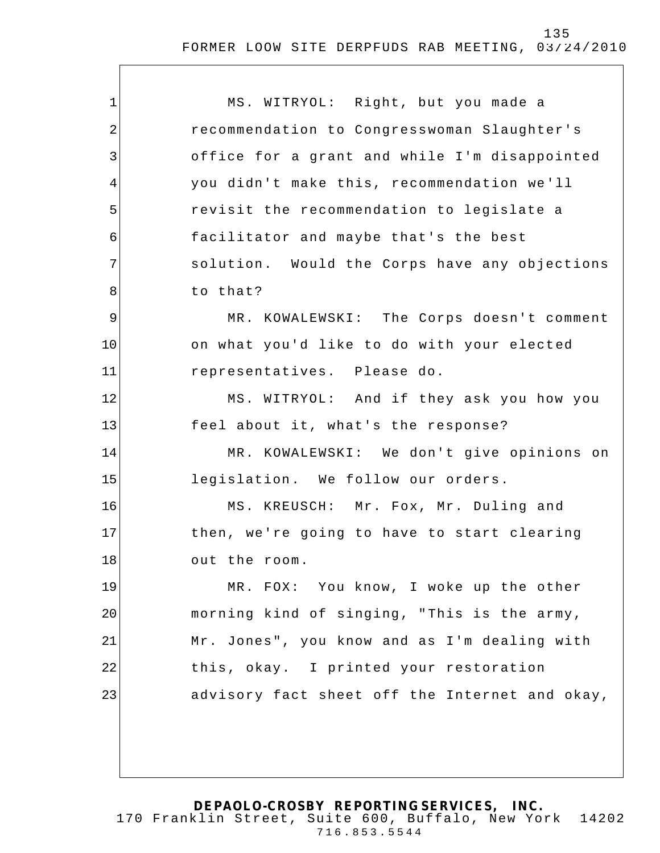| $\mathbf 1$    | MS. WITRYOL: Right, but you made a             |
|----------------|------------------------------------------------|
| $\overline{2}$ | recommendation to Congresswoman Slaughter's    |
| 3              | office for a grant and while I'm disappointed  |
| 4              | you didn't make this, recommendation we'll     |
| 5              | revisit the recommendation to legislate a      |
| 6              | facilitator and maybe that's the best          |
| 7              | solution. Would the Corps have any objections  |
| 8              | to that?                                       |
| $\mathsf 9$    | MR. KOWALEWSKI: The Corps doesn't comment      |
| 10             | on what you'd like to do with your elected     |
| 11             | representatives. Please do.                    |
| 12             | MS. WITRYOL: And if they ask you how you       |
| 13             | feel about it, what's the response?            |
| 14             | MR. KOWALEWSKI: We don't give opinions on      |
| 15             | legislation. We follow our orders.             |
| 16             | MS. KREUSCH: Mr. Fox, Mr. Duling and           |
| 17             | then, we're going to have to start clearing    |
| 18             | out the room.                                  |
| 19             | MR. FOX: You know, I woke up the other         |
| 20             | morning kind of singing, "This is the army,    |
| 21             | Mr. Jones", you know and as I'm dealing with   |
| 22             | this, okay. I printed your restoration         |
| 23             | advisory fact sheet off the Internet and okay, |
|                |                                                |
|                |                                                |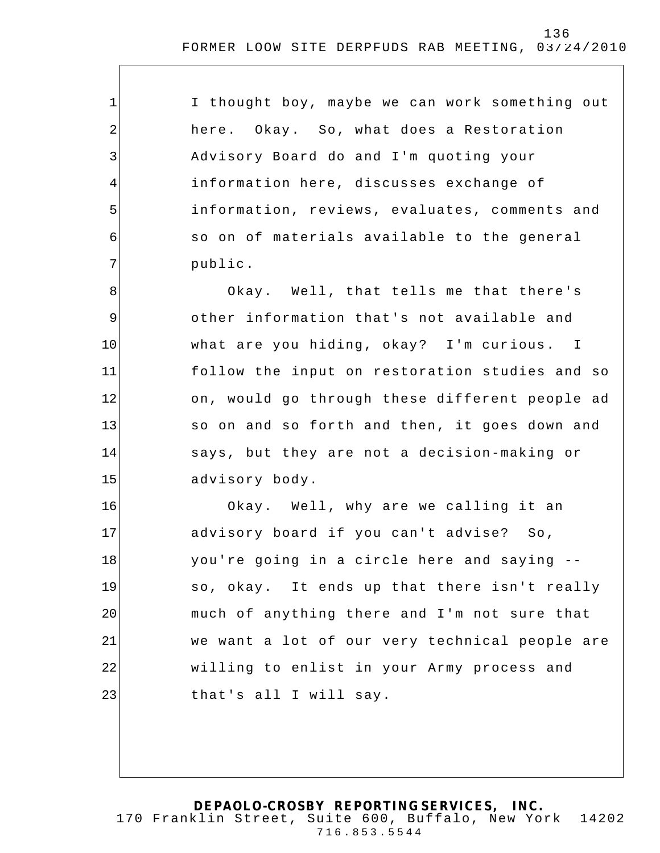| I thought boy, maybe we can work something out |
|------------------------------------------------|
| here. Okay. So, what does a Restoration        |
| Advisory Board do and I'm quoting your         |
| information here, discusses exchange of        |
| information, reviews, evaluates, comments and  |
| so on of materials available to the general    |
| public.                                        |
| Okay. Well, that tells me that there's         |

1

2

3

4

5

6

7

8

9

10

11

12

13

14

15

other information that's not available and what are you hiding, okay? I'm curious. I follow the input on restoration studies and so on, would go through these different people ad so on and so forth and then, it goes down and says, but they are not a decision-making or advisory body.

16 17 18 19 20 21 22 23 Okay. Well, why are we calling it an advisory board if you can't advise? So, you're going in a circle here and saying - so, okay. It ends up that there isn't really much of anything there and I'm not sure that we want a lot of our very technical people are willing to enlist in your Army process and that's all I will say.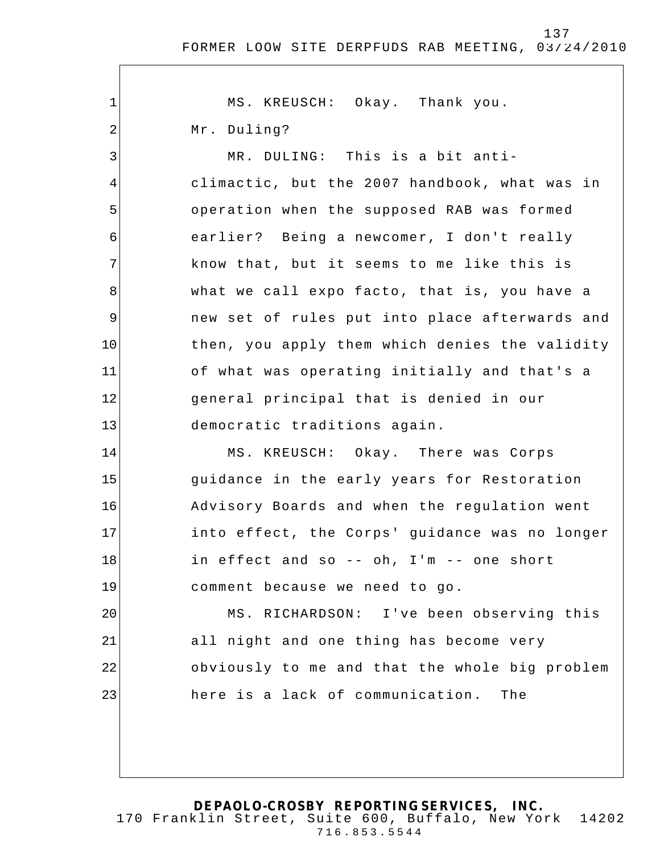| $1\,$          | MS. KREUSCH: Okay. Thank you.                  |
|----------------|------------------------------------------------|
| $\overline{2}$ | Mr. Duling?                                    |
| 3              | MR. DULING: This is a bit anti-                |
| 4              | climactic, but the 2007 handbook, what was in  |
| 5              | operation when the supposed RAB was formed     |
| 6              | earlier? Being a newcomer, I don't really      |
| 7              | know that, but it seems to me like this is     |
| 8              | what we call expo facto, that is, you have a   |
| 9              | new set of rules put into place afterwards and |
| 10             | then, you apply them which denies the validity |
| 11             | of what was operating initially and that's a   |
| 12             | general principal that is denied in our        |
| 13             | democratic traditions again.                   |
| 14             | MS. KREUSCH: Okay. There was Corps             |
| 15             | guidance in the early years for Restoration    |
| 16             | Advisory Boards and when the regulation went   |
| 17             | into effect, the Corps' guidance was no longer |
| 18             | in effect and so -- oh, I'm -- one short       |
| 19             | comment because we need to go.                 |
| 20             | MS. RICHARDSON: I've been observing this       |
| 21             | all night and one thing has become very        |
| 22             | obviously to me and that the whole big problem |
| 23             | here is a lack of communication. The           |
|                |                                                |
|                |                                                |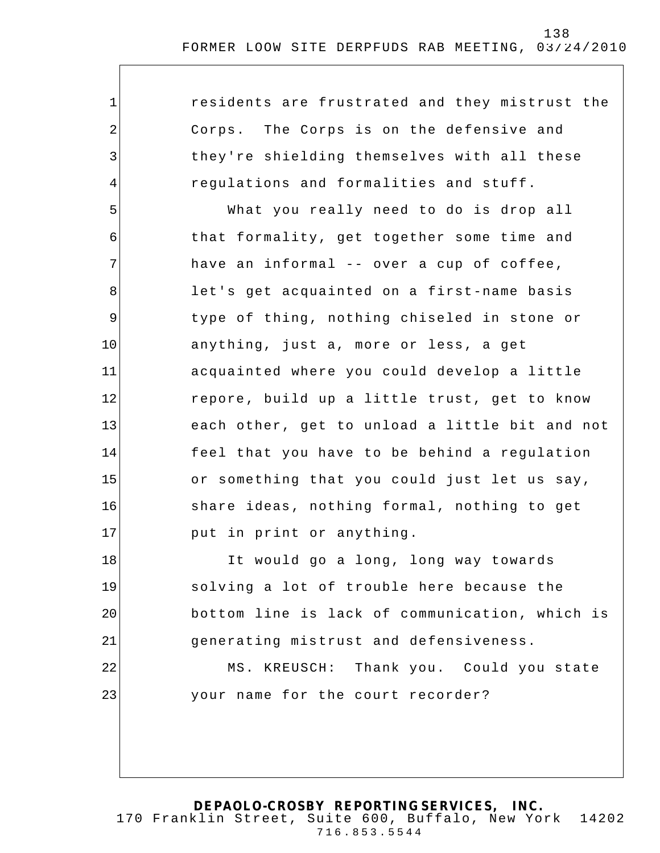| $\mathbf 1$ | residents are frustrated and they mistrust the |
|-------------|------------------------------------------------|
| 2           | Corps. The Corps is on the defensive and       |
| 3           | they're shielding themselves with all these    |
| 4           | regulations and formalities and stuff.         |
| 5           | What you really need to do is drop all         |
| 6           | that formality, get together some time and     |
| 7           | have an informal -- over a cup of coffee,      |
| 8           | let's get acquainted on a first-name basis     |
| 9           | type of thing, nothing chiseled in stone or    |
| 10          | anything, just a, more or less, a get          |
| 11          | acquainted where you could develop a little    |
| 12          | repore, build up a little trust, get to know   |
| 13          | each other, get to unload a little bit and not |
| 14          | feel that you have to be behind a regulation   |
| 15          | or something that you could just let us say,   |
| 16          | share ideas, nothing formal, nothing to get    |
| 17          | put in print or anything.                      |
| 18          | It would go a long, long way towards           |
| 19          | solving a lot of trouble here because the      |
| 20          | bottom line is lack of communication, which is |
| 21          | generating mistrust and defensiveness.         |
| 22          | MS. KREUSCH: Thank you. Could you state        |
| 23          | your name for the court recorder?              |
|             |                                                |
|             |                                                |